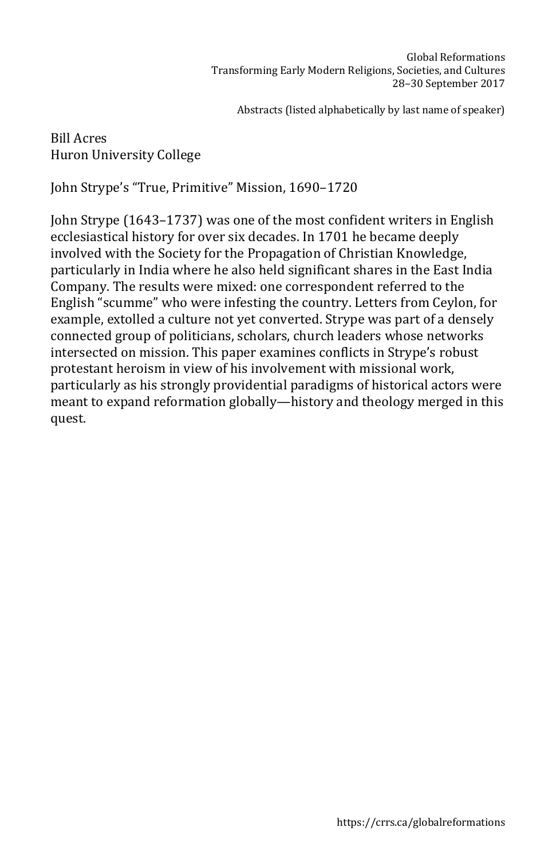## Bill Acres Huron University College

John Strype's "True, Primitive" Mission, 1690–1720

John Strype (1643–1737) was one of the most confident writers in English ecclesiastical history for over six decades. In 1701 he became deeply involved with the Society for the Propagation of Christian Knowledge, particularly in India where he also held significant shares in the East India Company. The results were mixed: one correspondent referred to the English "scumme" who were infesting the country. Letters from Ceylon, for example, extolled a culture not yet converted. Strype was part of a densely connected group of politicians, scholars, church leaders whose networks intersected on mission. This paper examines conflicts in Strype's robust protestant heroism in view of his involvement with missional work, particularly as his strongly providential paradigms of historical actors were meant to expand reformation globally—history and theology merged in this quest.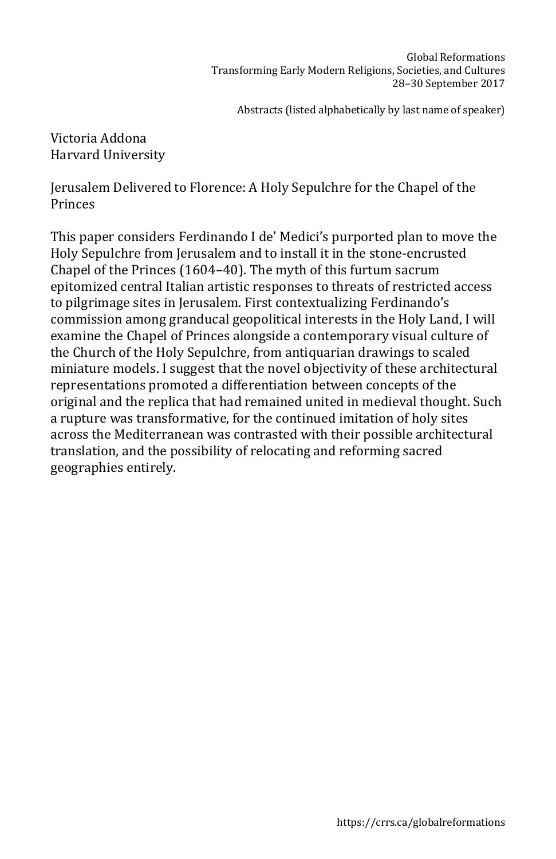Victoria Addona Harvard University

Jerusalem Delivered to Florence: A Holy Sepulchre for the Chapel of the Princes

This paper considers Ferdinando I de' Medici's purported plan to move the Holy Sepulchre from Jerusalem and to install it in the stone-encrusted Chapel of the Princes (1604–40). The myth of this furtum sacrum epitomized central Italian artistic responses to threats of restricted access to pilgrimage sites in Jerusalem. First contextualizing Ferdinando's commission among granducal geopolitical interests in the Holy Land, I will examine the Chapel of Princes alongside a contemporary visual culture of the Church of the Holy Sepulchre, from antiquarian drawings to scaled miniature models. I suggest that the novel objectivity of these architectural representations promoted a differentiation between concepts of the original and the replica that had remained united in medieval thought. Such a rupture was transformative, for the continued imitation of holy sites across the Mediterranean was contrasted with their possible architectural translation, and the possibility of relocating and reforming sacred geographies entirely.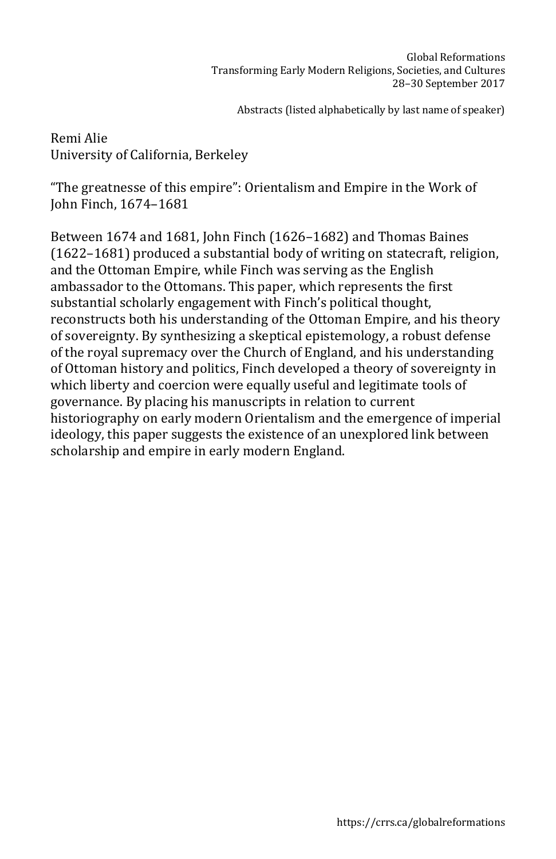Remi Alie University of California, Berkeley

"The greatnesse of this empire": Orientalism and Empire in the Work of John Finch, 1674–1681

Between 1674 and 1681, John Finch (1626–1682) and Thomas Baines (1622–1681) produced a substantial body of writing on statecraft, religion, and the Ottoman Empire, while Finch was serving as the English ambassador to the Ottomans. This paper, which represents the first substantial scholarly engagement with Finch's political thought, reconstructs both his understanding of the Ottoman Empire, and his theory of sovereignty. By synthesizing a skeptical epistemology, a robust defense of the royal supremacy over the Church of England, and his understanding of Ottoman history and politics, Finch developed a theory of sovereignty in which liberty and coercion were equally useful and legitimate tools of governance. By placing his manuscripts in relation to current historiography on early modern Orientalism and the emergence of imperial ideology, this paper suggests the existence of an unexplored link between scholarship and empire in early modern England.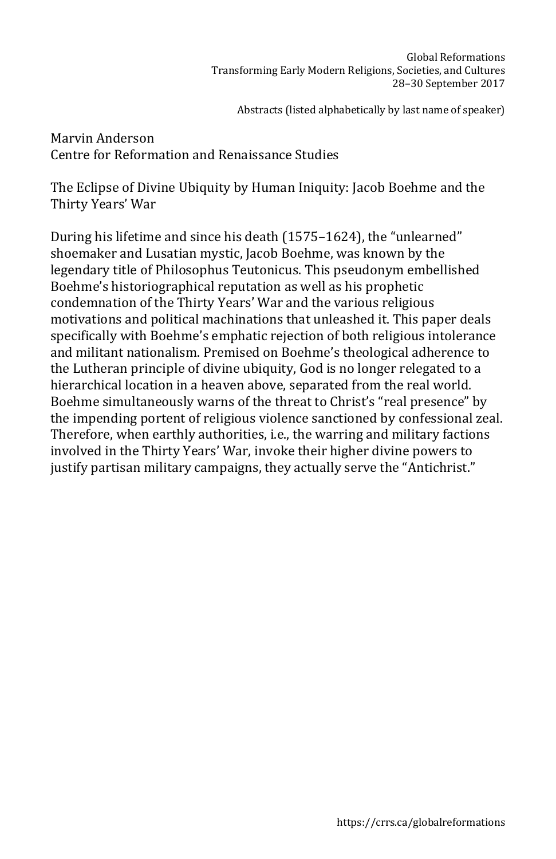Marvin Anderson Centre for Reformation and Renaissance Studies

The Eclipse of Divine Ubiquity by Human Iniquity: Jacob Boehme and the Thirty Years' War

During his lifetime and since his death (1575–1624), the "unlearned" shoemaker and Lusatian mystic, Jacob Boehme, was known by the legendary title of Philosophus Teutonicus. This pseudonym embellished Boehme's historiographical reputation as well as his prophetic condemnation of the Thirty Years' War and the various religious motivations and political machinations that unleashed it. This paper deals specifically with Boehme's emphatic rejection of both religious intolerance and militant nationalism. Premised on Boehme's theological adherence to the Lutheran principle of divine ubiquity, God is no longer relegated to a hierarchical location in a heaven above, separated from the real world. Boehme simultaneously warns of the threat to Christ's "real presence" by the impending portent of religious violence sanctioned by confessional zeal. Therefore, when earthly authorities, i.e., the warring and military factions involved in the Thirty Years' War, invoke their higher divine powers to justify partisan military campaigns, they actually serve the "Antichrist."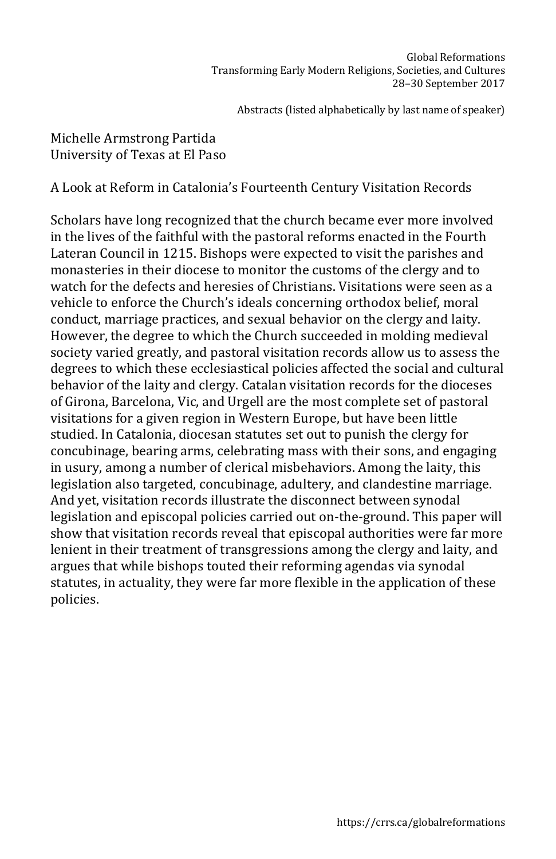# Michelle Armstrong Partida University of Texas at El Paso

A Look at Reform in Catalonia's Fourteenth Century Visitation Records

Scholars have long recognized that the church became ever more involved in the lives of the faithful with the pastoral reforms enacted in the Fourth Lateran Council in 1215. Bishops were expected to visit the parishes and monasteries in their diocese to monitor the customs of the clergy and to watch for the defects and heresies of Christians. Visitations were seen as a vehicle to enforce the Church's ideals concerning orthodox belief, moral conduct, marriage practices, and sexual behavior on the clergy and laity. However, the degree to which the Church succeeded in molding medieval society varied greatly, and pastoral visitation records allow us to assess the degrees to which these ecclesiastical policies affected the social and cultural behavior of the laity and clergy. Catalan visitation records for the dioceses of Girona, Barcelona, Vic, and Urgell are the most complete set of pastoral visitations for a given region in Western Europe, but have been little studied. In Catalonia, diocesan statutes set out to punish the clergy for concubinage, bearing arms, celebrating mass with their sons, and engaging in usury, among a number of clerical misbehaviors. Among the laity, this legislation also targeted, concubinage, adultery, and clandestine marriage. And yet, visitation records illustrate the disconnect between synodal legislation and episcopal policies carried out on-the-ground. This paper will show that visitation records reveal that episcopal authorities were far more lenient in their treatment of transgressions among the clergy and laity, and argues that while bishops touted their reforming agendas via synodal statutes, in actuality, they were far more flexible in the application of these policies.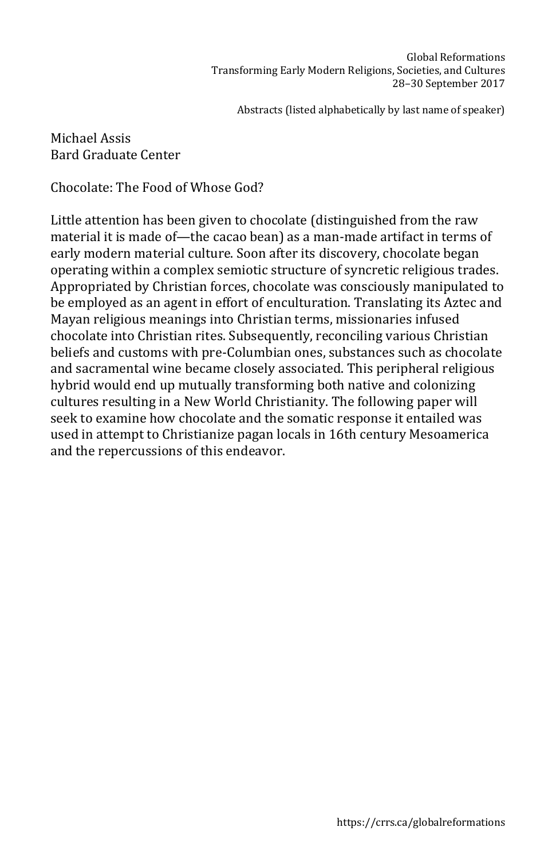Michael Assis Bard Graduate Center

Chocolate: The Food of Whose God?

Little attention has been given to chocolate (distinguished from the raw material it is made of—the cacao bean) as a man-made artifact in terms of early modern material culture. Soon after its discovery, chocolate began operating within a complex semiotic structure of syncretic religious trades. Appropriated by Christian forces, chocolate was consciously manipulated to be employed as an agent in effort of enculturation. Translating its Aztec and Mayan religious meanings into Christian terms, missionaries infused chocolate into Christian rites. Subsequently, reconciling various Christian beliefs and customs with pre-Columbian ones, substances such as chocolate and sacramental wine became closely associated. This peripheral religious hybrid would end up mutually transforming both native and colonizing cultures resulting in a New World Christianity. The following paper will seek to examine how chocolate and the somatic response it entailed was used in attempt to Christianize pagan locals in 16th century Mesoamerica and the repercussions of this endeavor.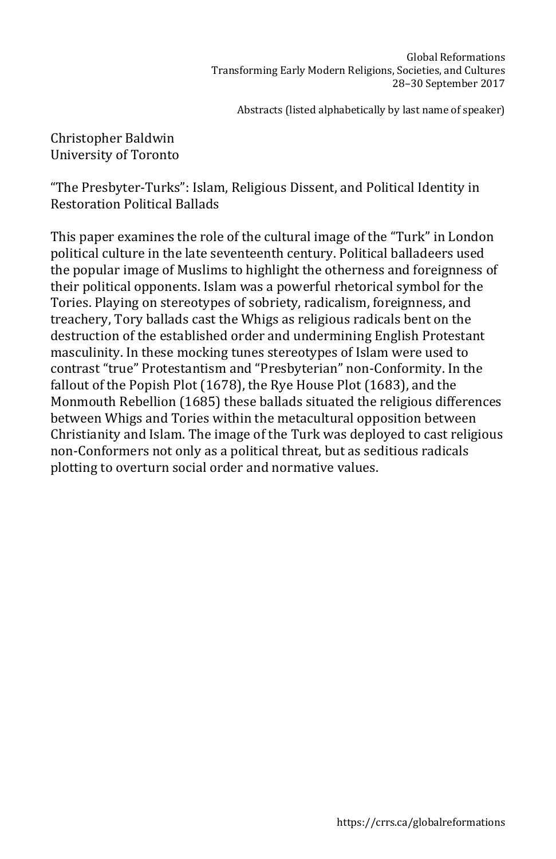Christopher Baldwin University of Toronto

"The Presbyter-Turks": Islam, Religious Dissent, and Political Identity in Restoration Political Ballads

This paper examines the role of the cultural image of the "Turk" in London political culture in the late seventeenth century. Political balladeers used the popular image of Muslims to highlight the otherness and foreignness of their political opponents. Islam was a powerful rhetorical symbol for the Tories. Playing on stereotypes of sobriety, radicalism, foreignness, and treachery, Tory ballads cast the Whigs as religious radicals bent on the destruction of the established order and undermining English Protestant masculinity. In these mocking tunes stereotypes of Islam were used to contrast "true" Protestantism and "Presbyterian" non-Conformity. In the fallout of the Popish Plot (1678), the Rye House Plot (1683), and the Monmouth Rebellion (1685) these ballads situated the religious differences between Whigs and Tories within the metacultural opposition between Christianity and Islam. The image of the Turk was deployed to cast religious non-Conformers not only as a political threat, but as seditious radicals plotting to overturn social order and normative values.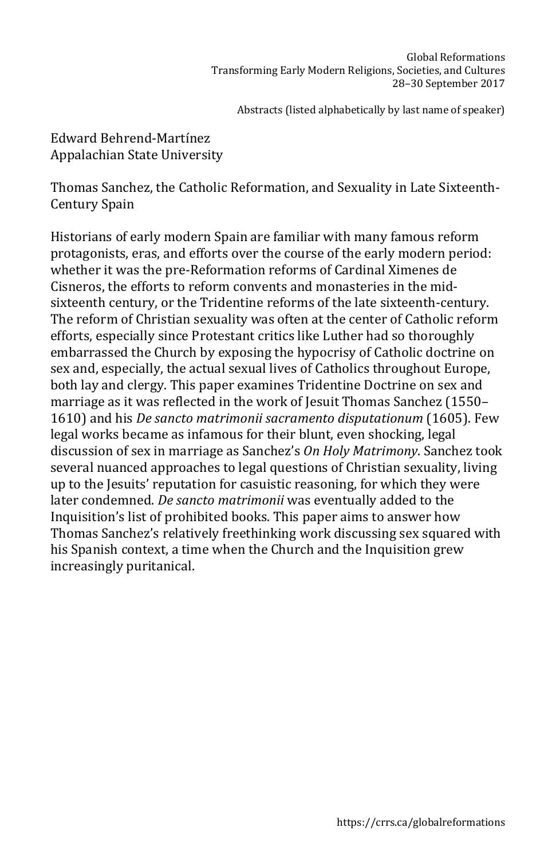## Edward Behrend-Martínez Appalachian State University

Thomas Sanchez, the Catholic Reformation, and Sexuality in Late Sixteenth-Century Spain

Historians of early modern Spain are familiar with many famous reform protagonists, eras, and efforts over the course of the early modern period: whether it was the pre-Reformation reforms of Cardinal Ximenes de Cisneros, the efforts to reform convents and monasteries in the midsixteenth century, or the Tridentine reforms of the late sixteenth-century. The reform of Christian sexuality was often at the center of Catholic reform efforts, especially since Protestant critics like Luther had so thoroughly embarrassed the Church by exposing the hypocrisy of Catholic doctrine on sex and, especially, the actual sexual lives of Catholics throughout Europe, both lay and clergy. This paper examines Tridentine Doctrine on sex and marriage as it was reflected in the work of Jesuit Thomas Sanchez (1550– 1610) and his *De sancto matrimonii sacramento disputationum* (1605). Few legal works became as infamous for their blunt, even shocking, legal discussion of sex in marriage as Sanchez's *On Holy Matrimony*. Sanchez took several nuanced approaches to legal questions of Christian sexuality, living up to the Jesuits' reputation for casuistic reasoning, for which they were later condemned. *De sancto matrimonii* was eventually added to the Inquisition's list of prohibited books. This paper aims to answer how Thomas Sanchez's relatively freethinking work discussing sex squared with his Spanish context, a time when the Church and the Inquisition grew increasingly puritanical.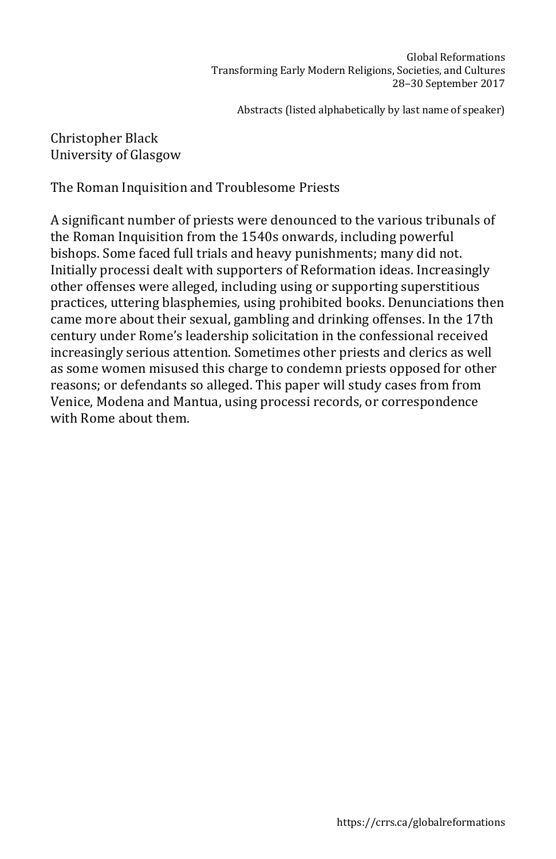## Christopher Black University of Glasgow

The Roman Inquisition and Troublesome Priests

A significant number of priests were denounced to the various tribunals of the Roman Inquisition from the 1540s onwards, including powerful bishops. Some faced full trials and heavy punishments; many did not. Initially processi dealt with supporters of Reformation ideas. Increasingly other offenses were alleged, including using or supporting superstitious practices, uttering blasphemies, using prohibited books. Denunciations then came more about their sexual, gambling and drinking offenses. In the 17th century under Rome's leadership solicitation in the confessional received increasingly serious attention. Sometimes other priests and clerics as well as some women misused this charge to condemn priests opposed for other reasons; or defendants so alleged. This paper will study cases from from Venice, Modena and Mantua, using processi records, or correspondence with Rome about them.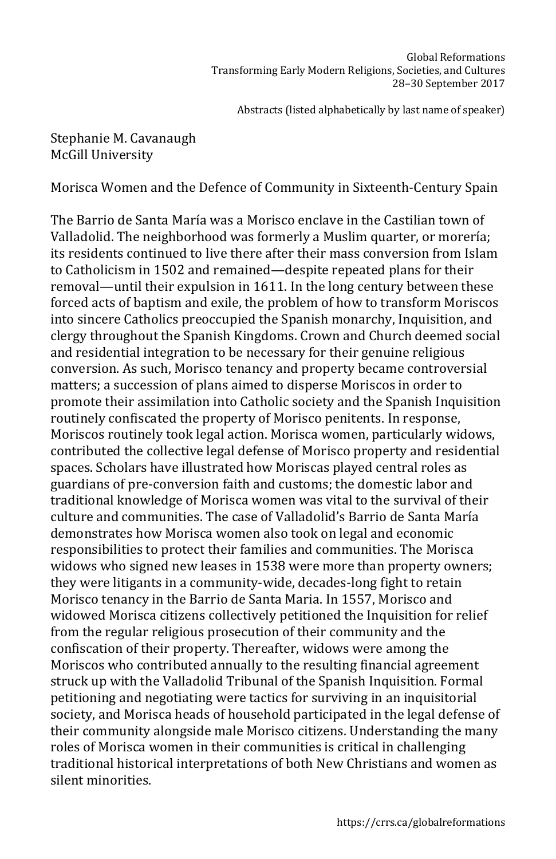# Stephanie M. Cavanaugh McGill University

Morisca Women and the Defence of Community in Sixteenth-Century Spain

The Barrio de Santa María was a Morisco enclave in the Castilian town of Valladolid. The neighborhood was formerly a Muslim quarter, or morería; its residents continued to live there after their mass conversion from Islam to Catholicism in 1502 and remained—despite repeated plans for their removal—until their expulsion in 1611. In the long century between these forced acts of baptism and exile, the problem of how to transform Moriscos into sincere Catholics preoccupied the Spanish monarchy, Inquisition, and clergy throughout the Spanish Kingdoms. Crown and Church deemed social and residential integration to be necessary for their genuine religious conversion. As such, Morisco tenancy and property became controversial matters; a succession of plans aimed to disperse Moriscos in order to promote their assimilation into Catholic society and the Spanish Inquisition routinely confiscated the property of Morisco penitents. In response, Moriscos routinely took legal action. Morisca women, particularly widows, contributed the collective legal defense of Morisco property and residential spaces. Scholars have illustrated how Moriscas played central roles as guardians of pre-conversion faith and customs; the domestic labor and traditional knowledge of Morisca women was vital to the survival of their culture and communities. The case of Valladolid's Barrio de Santa María demonstrates how Morisca women also took on legal and economic responsibilities to protect their families and communities. The Morisca widows who signed new leases in 1538 were more than property owners; they were litigants in a community-wide, decades-long fight to retain Morisco tenancy in the Barrio de Santa Maria. In 1557, Morisco and widowed Morisca citizens collectively petitioned the Inquisition for relief from the regular religious prosecution of their community and the confiscation of their property. Thereafter, widows were among the Moriscos who contributed annually to the resulting financial agreement struck up with the Valladolid Tribunal of the Spanish Inquisition. Formal petitioning and negotiating were tactics for surviving in an inquisitorial society, and Morisca heads of household participated in the legal defense of their community alongside male Morisco citizens. Understanding the many roles of Morisca women in their communities is critical in challenging traditional historical interpretations of both New Christians and women as silent minorities.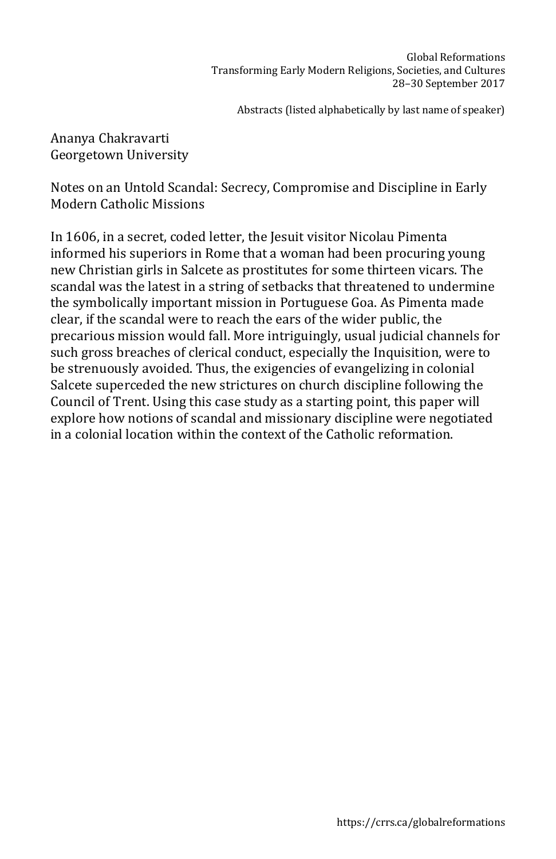Ananya Chakravarti Georgetown University

Notes on an Untold Scandal: Secrecy, Compromise and Discipline in Early Modern Catholic Missions

In 1606, in a secret, coded letter, the Jesuit visitor Nicolau Pimenta informed his superiors in Rome that a woman had been procuring young new Christian girls in Salcete as prostitutes for some thirteen vicars. The scandal was the latest in a string of setbacks that threatened to undermine the symbolically important mission in Portuguese Goa. As Pimenta made clear, if the scandal were to reach the ears of the wider public, the precarious mission would fall. More intriguingly, usual judicial channels for such gross breaches of clerical conduct, especially the Inquisition, were to be strenuously avoided. Thus, the exigencies of evangelizing in colonial Salcete superceded the new strictures on church discipline following the Council of Trent. Using this case study as a starting point, this paper will explore how notions of scandal and missionary discipline were negotiated in a colonial location within the context of the Catholic reformation.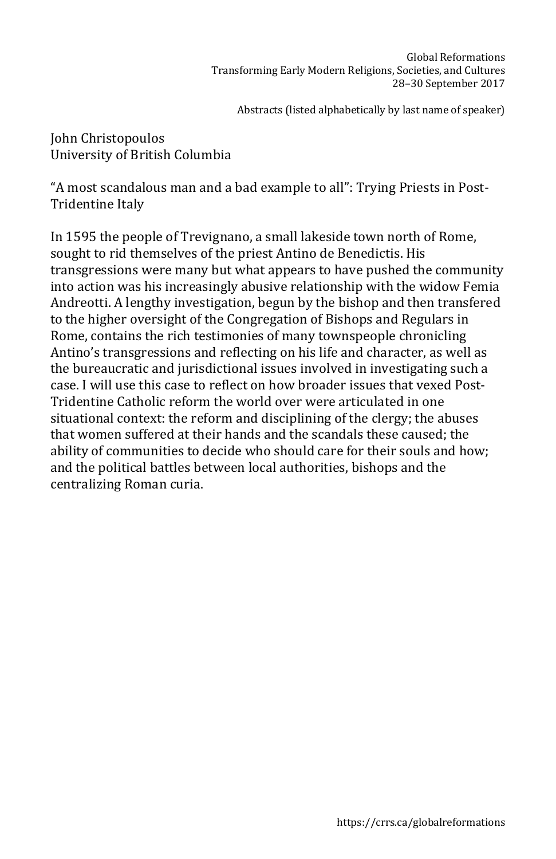John Christopoulos University of British Columbia

"A most scandalous man and a bad example to all": Trying Priests in Post-Tridentine Italy

In 1595 the people of Trevignano, a small lakeside town north of Rome, sought to rid themselves of the priest Antino de Benedictis. His transgressions were many but what appears to have pushed the community into action was his increasingly abusive relationship with the widow Femia Andreotti. A lengthy investigation, begun by the bishop and then transfered to the higher oversight of the Congregation of Bishops and Regulars in Rome, contains the rich testimonies of many townspeople chronicling Antino's transgressions and reflecting on his life and character, as well as the bureaucratic and jurisdictional issues involved in investigating such a case. I will use this case to reflect on how broader issues that vexed Post-Tridentine Catholic reform the world over were articulated in one situational context: the reform and disciplining of the clergy; the abuses that women suffered at their hands and the scandals these caused; the ability of communities to decide who should care for their souls and how; and the political battles between local authorities, bishops and the centralizing Roman curia.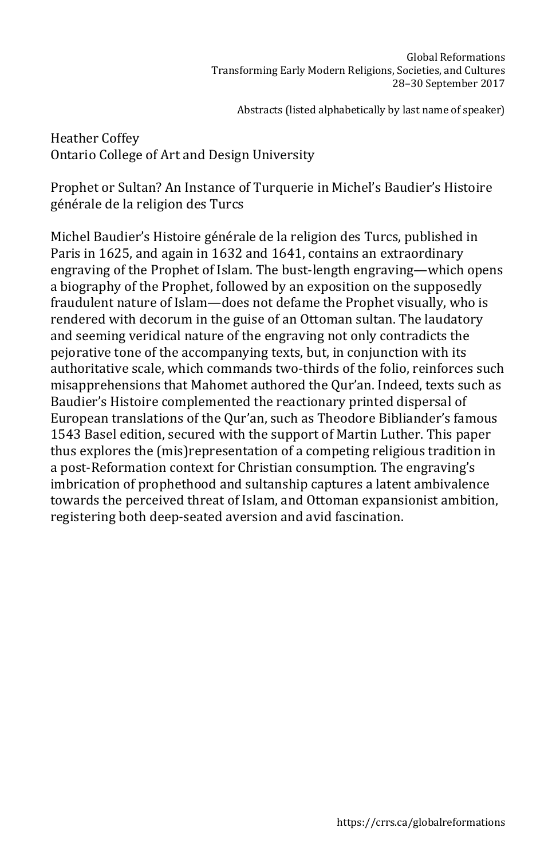Heather Coffey Ontario College of Art and Design University

Prophet or Sultan? An Instance of Turquerie in Michel's Baudier's Histoire générale de la religion des Turcs

Michel Baudier's Histoire générale de la religion des Turcs, published in Paris in 1625, and again in 1632 and 1641, contains an extraordinary engraving of the Prophet of Islam. The bust-length engraving—which opens a biography of the Prophet, followed by an exposition on the supposedly fraudulent nature of Islam—does not defame the Prophet visually, who is rendered with decorum in the guise of an Ottoman sultan. The laudatory and seeming veridical nature of the engraving not only contradicts the pejorative tone of the accompanying texts, but, in conjunction with its authoritative scale, which commands two-thirds of the folio, reinforces such misapprehensions that Mahomet authored the Qur'an. Indeed, texts such as Baudier's Histoire complemented the reactionary printed dispersal of European translations of the Qur'an, such as Theodore Bibliander's famous 1543 Basel edition, secured with the support of Martin Luther. This paper thus explores the (mis)representation of a competing religious tradition in a post-Reformation context for Christian consumption. The engraving's imbrication of prophethood and sultanship captures a latent ambivalence towards the perceived threat of Islam, and Ottoman expansionist ambition, registering both deep-seated aversion and avid fascination.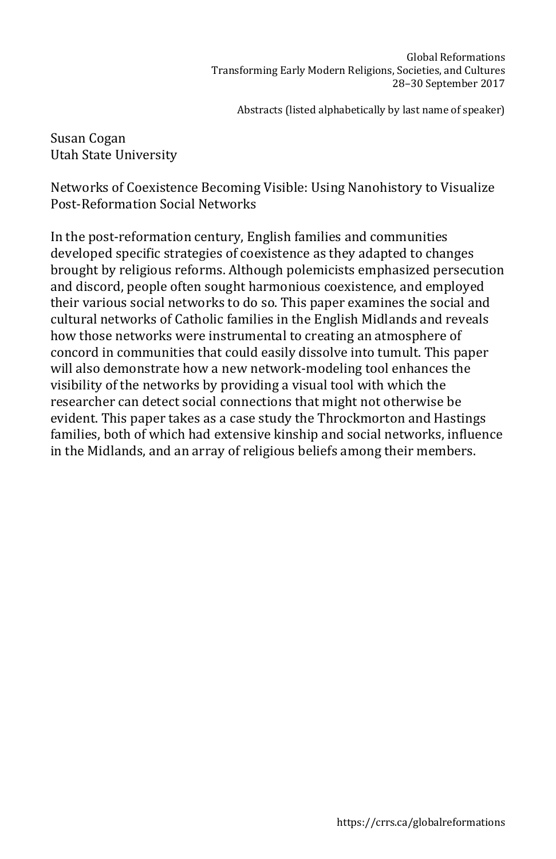Susan Cogan Utah State University

Networks of Coexistence Becoming Visible: Using Nanohistory to Visualize Post-Reformation Social Networks

In the post-reformation century, English families and communities developed specific strategies of coexistence as they adapted to changes brought by religious reforms. Although polemicists emphasized persecution and discord, people often sought harmonious coexistence, and employed their various social networks to do so. This paper examines the social and cultural networks of Catholic families in the English Midlands and reveals how those networks were instrumental to creating an atmosphere of concord in communities that could easily dissolve into tumult. This paper will also demonstrate how a new network-modeling tool enhances the visibility of the networks by providing a visual tool with which the researcher can detect social connections that might not otherwise be evident. This paper takes as a case study the Throckmorton and Hastings families, both of which had extensive kinship and social networks, influence in the Midlands, and an array of religious beliefs among their members.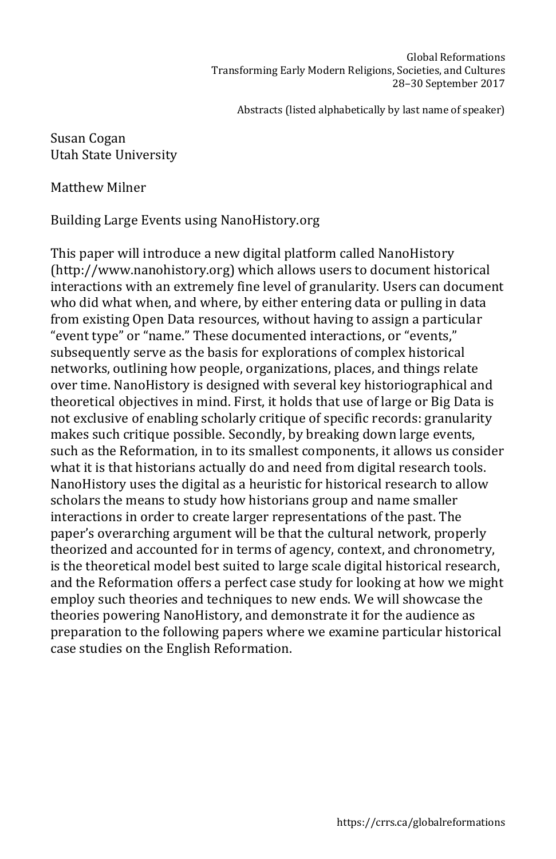Susan Cogan Utah State University

Matthew Milner

Building Large Events using NanoHistory.org

This paper will introduce a new digital platform called NanoHistory (http://www.nanohistory.org) which allows users to document historical interactions with an extremely fine level of granularity. Users can document who did what when, and where, by either entering data or pulling in data from existing Open Data resources, without having to assign a particular "event type" or "name." These documented interactions, or "events," subsequently serve as the basis for explorations of complex historical networks, outlining how people, organizations, places, and things relate over time. NanoHistory is designed with several key historiographical and theoretical objectives in mind. First, it holds that use of large or Big Data is not exclusive of enabling scholarly critique of specific records: granularity makes such critique possible. Secondly, by breaking down large events, such as the Reformation, in to its smallest components, it allows us consider what it is that historians actually do and need from digital research tools. NanoHistory uses the digital as a heuristic for historical research to allow scholars the means to study how historians group and name smaller interactions in order to create larger representations of the past. The paper's overarching argument will be that the cultural network, properly theorized and accounted for in terms of agency, context, and chronometry, is the theoretical model best suited to large scale digital historical research, and the Reformation offers a perfect case study for looking at how we might employ such theories and techniques to new ends. We will showcase the theories powering NanoHistory, and demonstrate it for the audience as preparation to the following papers where we examine particular historical case studies on the English Reformation.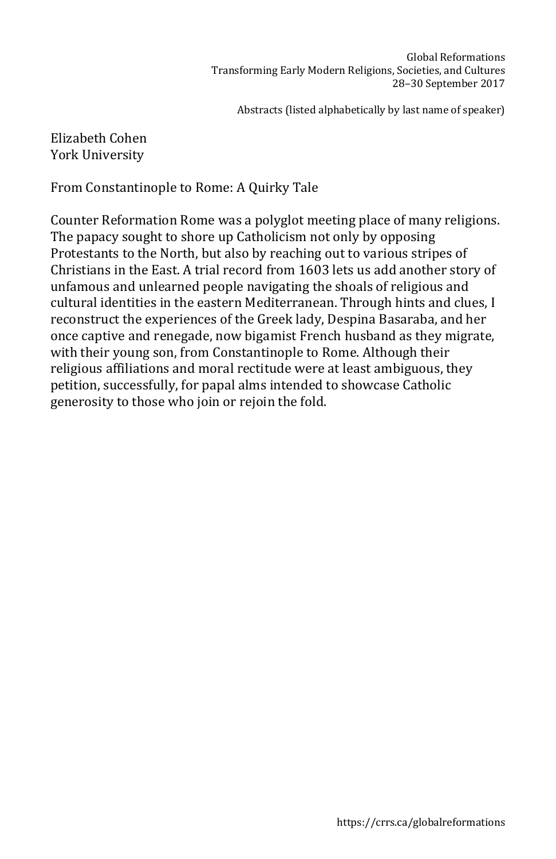## Elizabeth Cohen York University

From Constantinople to Rome: A Quirky Tale

Counter Reformation Rome was a polyglot meeting place of many religions. The papacy sought to shore up Catholicism not only by opposing Protestants to the North, but also by reaching out to various stripes of Christians in the East. A trial record from 1603 lets us add another story of unfamous and unlearned people navigating the shoals of religious and cultural identities in the eastern Mediterranean. Through hints and clues, I reconstruct the experiences of the Greek lady, Despina Basaraba, and her once captive and renegade, now bigamist French husband as they migrate, with their young son, from Constantinople to Rome. Although their religious affiliations and moral rectitude were at least ambiguous, they petition, successfully, for papal alms intended to showcase Catholic generosity to those who join or rejoin the fold.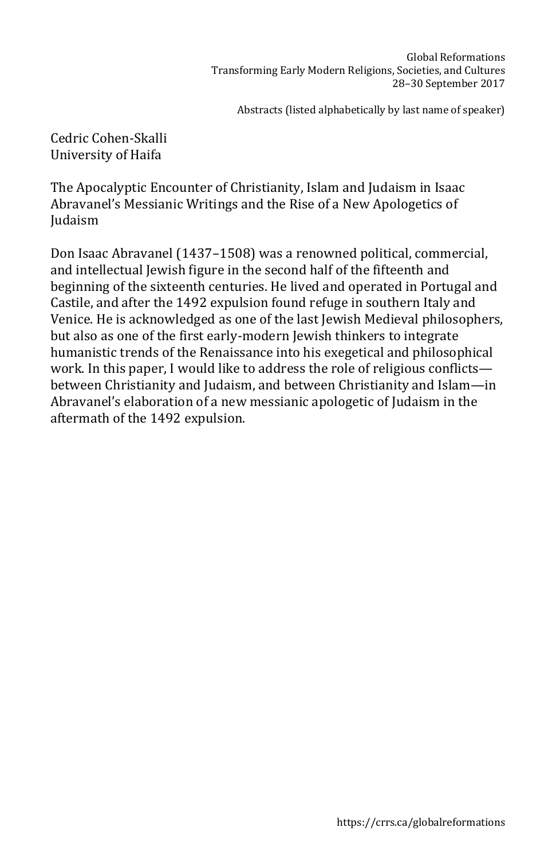Cedric Cohen-Skalli University of Haifa

The Apocalyptic Encounter of Christianity, Islam and Judaism in Isaac Abravanel's Messianic Writings and the Rise of a New Apologetics of Judaism

Don Isaac Abravanel (1437–1508) was a renowned political, commercial, and intellectual Jewish figure in the second half of the fifteenth and beginning of the sixteenth centuries. He lived and operated in Portugal and Castile, and after the 1492 expulsion found refuge in southern Italy and Venice. He is acknowledged as one of the last Jewish Medieval philosophers, but also as one of the first early-modern Jewish thinkers to integrate humanistic trends of the Renaissance into his exegetical and philosophical work. In this paper, I would like to address the role of religious conflicts between Christianity and Judaism, and between Christianity and Islam—in Abravanel's elaboration of a new messianic apologetic of Judaism in the aftermath of the 1492 expulsion.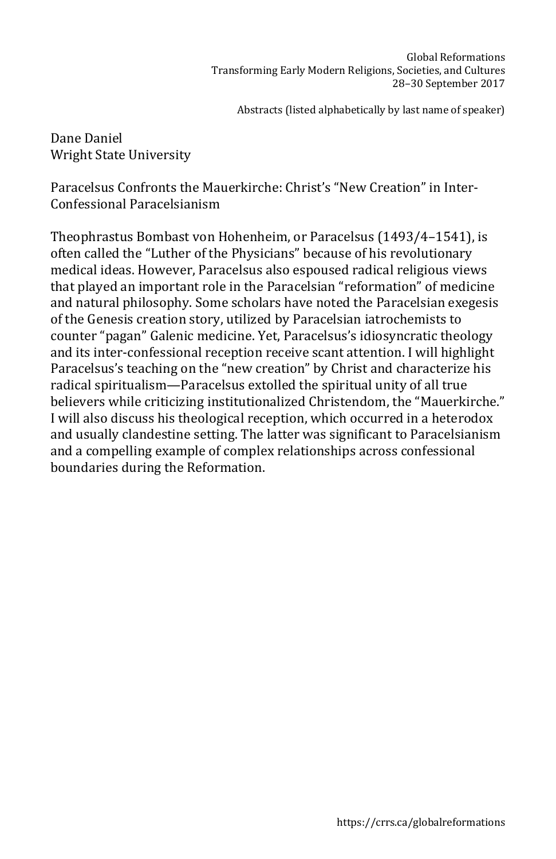Dane Daniel Wright State University

Paracelsus Confronts the Mauerkirche: Christ's "New Creation" in Inter-Confessional Paracelsianism

Theophrastus Bombast von Hohenheim, or Paracelsus (1493/4–1541), is often called the "Luther of the Physicians" because of his revolutionary medical ideas. However, Paracelsus also espoused radical religious views that played an important role in the Paracelsian "reformation" of medicine and natural philosophy. Some scholars have noted the Paracelsian exegesis of the Genesis creation story, utilized by Paracelsian iatrochemists to counter "pagan" Galenic medicine. Yet, Paracelsus's idiosyncratic theology and its inter-confessional reception receive scant attention. I will highlight Paracelsus's teaching on the "new creation" by Christ and characterize his radical spiritualism—Paracelsus extolled the spiritual unity of all true believers while criticizing institutionalized Christendom, the "Mauerkirche." I will also discuss his theological reception, which occurred in a heterodox and usually clandestine setting. The latter was significant to Paracelsianism and a compelling example of complex relationships across confessional boundaries during the Reformation.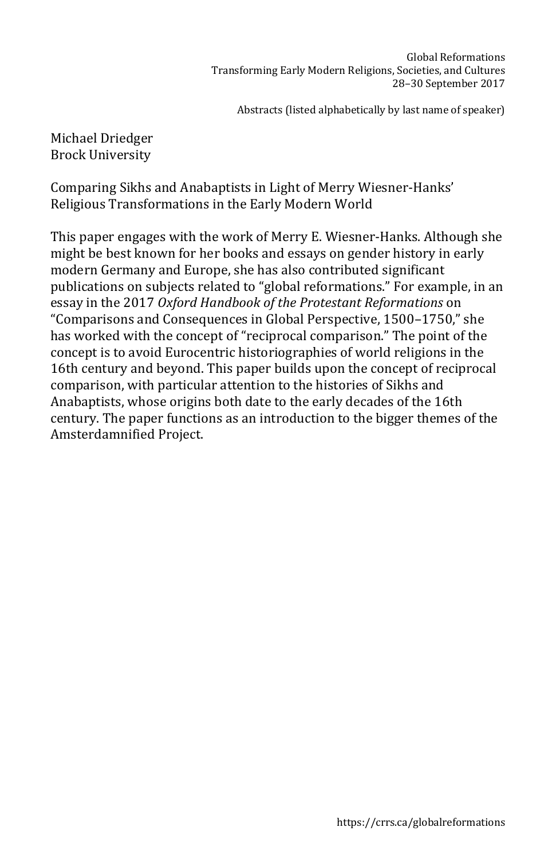### Michael Driedger Brock University

Comparing Sikhs and Anabaptists in Light of Merry Wiesner-Hanks' Religious Transformations in the Early Modern World

This paper engages with the work of Merry E. Wiesner-Hanks. Although she might be best known for her books and essays on gender history in early modern Germany and Europe, she has also contributed significant publications on subjects related to "global reformations." For example, in an essay in the 2017 *Oxford Handbook of the Protestant Reformations* on "Comparisons and Consequences in Global Perspective, 1500–1750," she has worked with the concept of "reciprocal comparison." The point of the concept is to avoid Eurocentric historiographies of world religions in the 16th century and beyond. This paper builds upon the concept of reciprocal comparison, with particular attention to the histories of Sikhs and Anabaptists, whose origins both date to the early decades of the 16th century. The paper functions as an introduction to the bigger themes of the Amsterdamnified Project.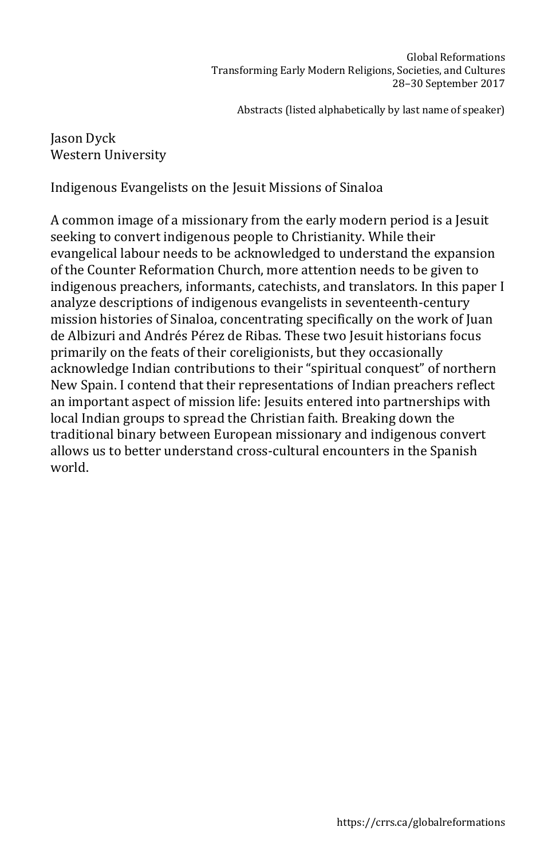# Jason Dyck Western University

Indigenous Evangelists on the Jesuit Missions of Sinaloa

A common image of a missionary from the early modern period is a Jesuit seeking to convert indigenous people to Christianity. While their evangelical labour needs to be acknowledged to understand the expansion of the Counter Reformation Church, more attention needs to be given to indigenous preachers, informants, catechists, and translators. In this paper I analyze descriptions of indigenous evangelists in seventeenth-century mission histories of Sinaloa, concentrating specifically on the work of Juan de Albizuri and Andrés Pérez de Ribas. These two Jesuit historians focus primarily on the feats of their coreligionists, but they occasionally acknowledge Indian contributions to their "spiritual conquest" of northern New Spain. I contend that their representations of Indian preachers reflect an important aspect of mission life: Jesuits entered into partnerships with local Indian groups to spread the Christian faith. Breaking down the traditional binary between European missionary and indigenous convert allows us to better understand cross-cultural encounters in the Spanish world.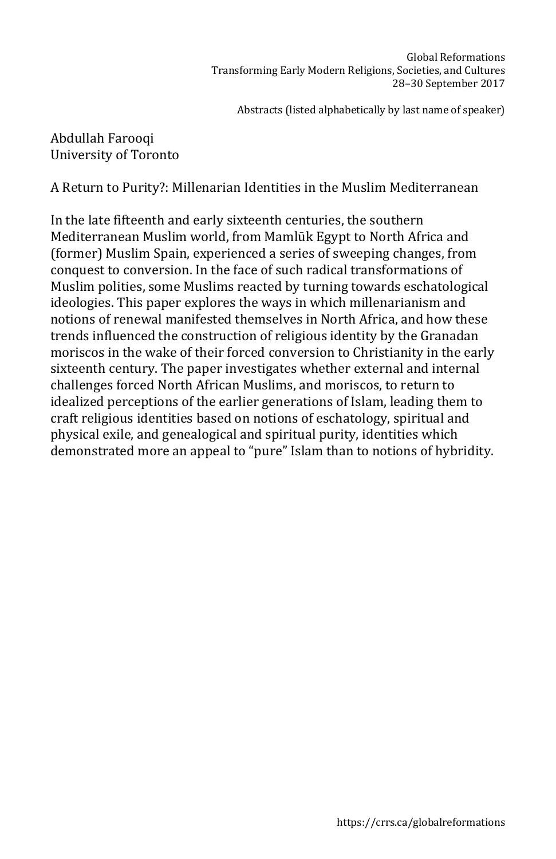## Abdullah Farooqi University of Toronto

A Return to Purity?: Millenarian Identities in the Muslim Mediterranean

In the late fifteenth and early sixteenth centuries, the southern Mediterranean Muslim world, from Mamlūk Egypt to North Africa and (former) Muslim Spain, experienced a series of sweeping changes, from conquest to conversion. In the face of such radical transformations of Muslim polities, some Muslims reacted by turning towards eschatological ideologies. This paper explores the ways in which millenarianism and notions of renewal manifested themselves in North Africa, and how these trends influenced the construction of religious identity by the Granadan moriscos in the wake of their forced conversion to Christianity in the early sixteenth century. The paper investigates whether external and internal challenges forced North African Muslims, and moriscos, to return to idealized perceptions of the earlier generations of Islam, leading them to craft religious identities based on notions of eschatology, spiritual and physical exile, and genealogical and spiritual purity, identities which demonstrated more an appeal to "pure" Islam than to notions of hybridity.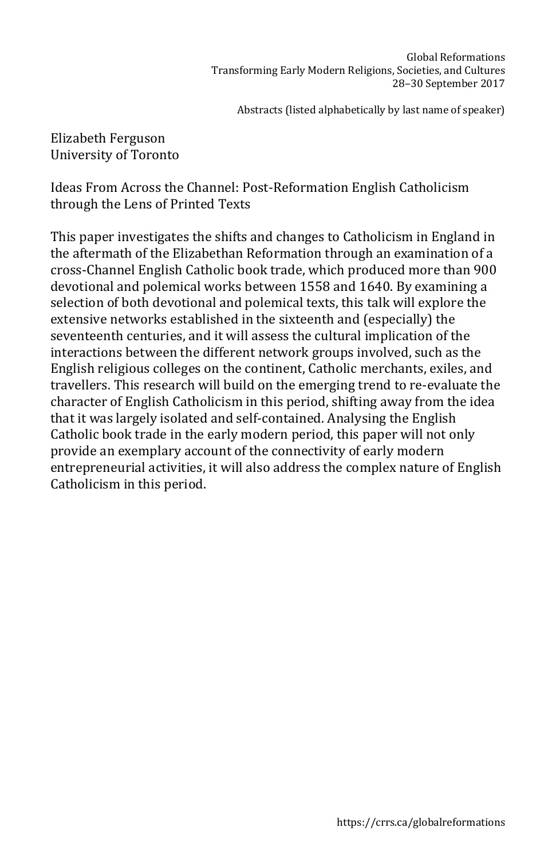Elizabeth Ferguson University of Toronto

Ideas From Across the Channel: Post-Reformation English Catholicism through the Lens of Printed Texts

This paper investigates the shifts and changes to Catholicism in England in the aftermath of the Elizabethan Reformation through an examination of a cross-Channel English Catholic book trade, which produced more than 900 devotional and polemical works between 1558 and 1640. By examining a selection of both devotional and polemical texts, this talk will explore the extensive networks established in the sixteenth and (especially) the seventeenth centuries, and it will assess the cultural implication of the interactions between the different network groups involved, such as the English religious colleges on the continent, Catholic merchants, exiles, and travellers. This research will build on the emerging trend to re-evaluate the character of English Catholicism in this period, shifting away from the idea that it was largely isolated and self-contained. Analysing the English Catholic book trade in the early modern period, this paper will not only provide an exemplary account of the connectivity of early modern entrepreneurial activities, it will also address the complex nature of English Catholicism in this period.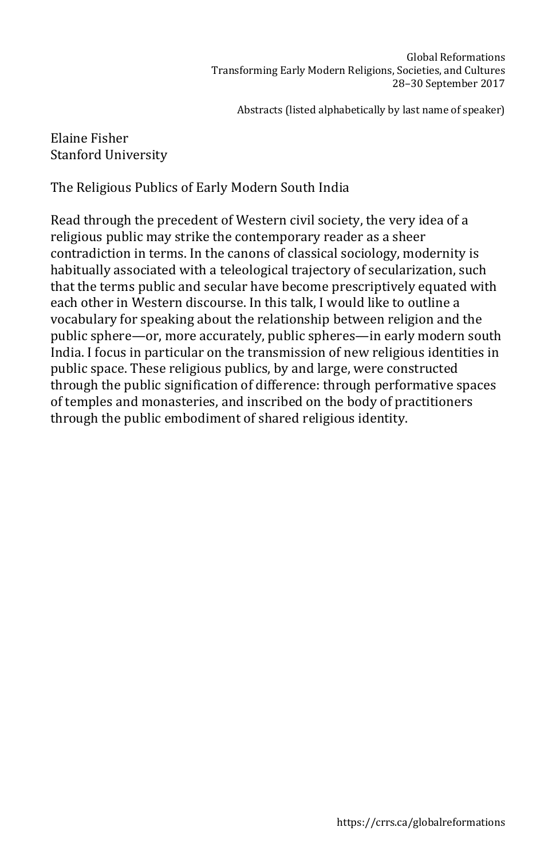## Elaine Fisher Stanford University

The Religious Publics of Early Modern South India

Read through the precedent of Western civil society, the very idea of a religious public may strike the contemporary reader as a sheer contradiction in terms. In the canons of classical sociology, modernity is habitually associated with a teleological trajectory of secularization, such that the terms public and secular have become prescriptively equated with each other in Western discourse. In this talk, I would like to outline a vocabulary for speaking about the relationship between religion and the public sphere—or, more accurately, public spheres—in early modern south India. I focus in particular on the transmission of new religious identities in public space. These religious publics, by and large, were constructed through the public signification of difference: through performative spaces of temples and monasteries, and inscribed on the body of practitioners through the public embodiment of shared religious identity.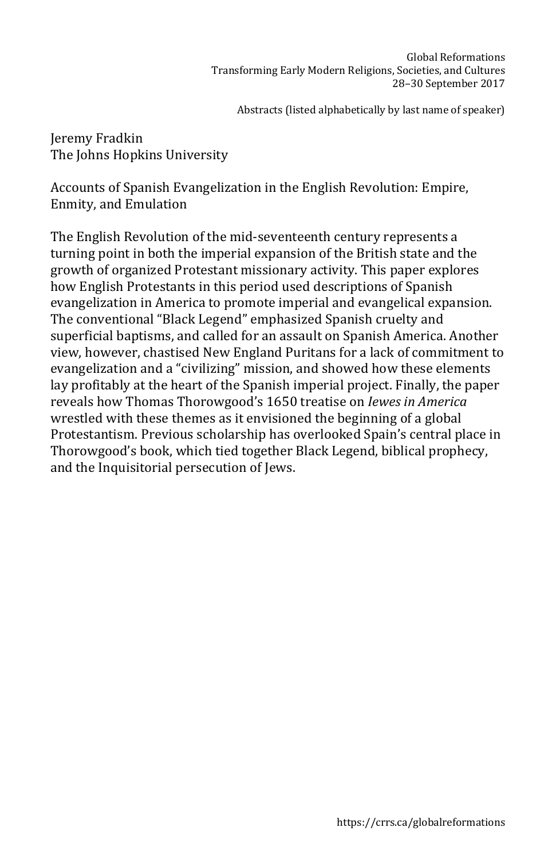Jeremy Fradkin The Johns Hopkins University

Accounts of Spanish Evangelization in the English Revolution: Empire, Enmity, and Emulation

The English Revolution of the mid-seventeenth century represents a turning point in both the imperial expansion of the British state and the growth of organized Protestant missionary activity. This paper explores how English Protestants in this period used descriptions of Spanish evangelization in America to promote imperial and evangelical expansion. The conventional "Black Legend" emphasized Spanish cruelty and superficial baptisms, and called for an assault on Spanish America. Another view, however, chastised New England Puritans for a lack of commitment to evangelization and a "civilizing" mission, and showed how these elements lay profitably at the heart of the Spanish imperial project. Finally, the paper reveals how Thomas Thorowgood's 1650 treatise on *Iewes in America* wrestled with these themes as it envisioned the beginning of a global Protestantism. Previous scholarship has overlooked Spain's central place in Thorowgood's book, which tied together Black Legend, biblical prophecy, and the Inquisitorial persecution of Jews.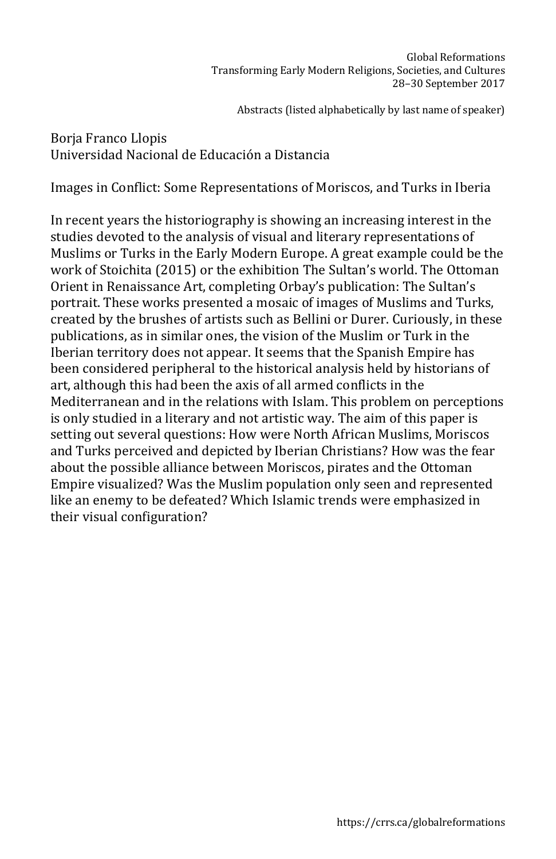# Borja Franco Llopis Universidad Nacional de Educación a Distancia

Images in Conflict: Some Representations of Moriscos, and Turks in Iberia

In recent years the historiography is showing an increasing interest in the studies devoted to the analysis of visual and literary representations of Muslims or Turks in the Early Modern Europe. A great example could be the work of Stoichita (2015) or the exhibition The Sultan's world. The Ottoman Orient in Renaissance Art, completing Orbay's publication: The Sultan's portrait. These works presented a mosaic of images of Muslims and Turks, created by the brushes of artists such as Bellini or Durer. Curiously, in these publications, as in similar ones, the vision of the Muslim or Turk in the Iberian territory does not appear. It seems that the Spanish Empire has been considered peripheral to the historical analysis held by historians of art, although this had been the axis of all armed conflicts in the Mediterranean and in the relations with Islam. This problem on perceptions is only studied in a literary and not artistic way. The aim of this paper is setting out several questions: How were North African Muslims, Moriscos and Turks perceived and depicted by Iberian Christians? How was the fear about the possible alliance between Moriscos, pirates and the Ottoman Empire visualized? Was the Muslim population only seen and represented like an enemy to be defeated? Which Islamic trends were emphasized in their visual configuration?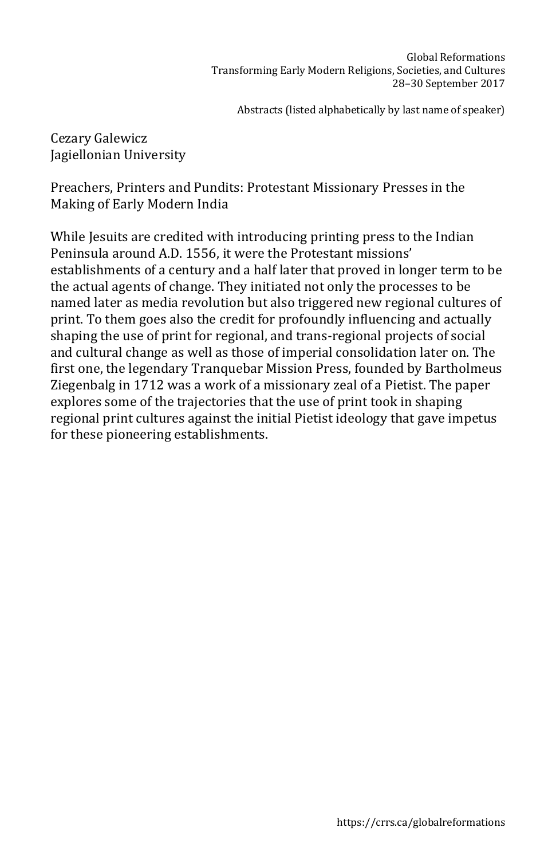Cezary Galewicz Jagiellonian University

Preachers, Printers and Pundits: Protestant Missionary Presses in the Making of Early Modern India

While Jesuits are credited with introducing printing press to the Indian Peninsula around A.D. 1556, it were the Protestant missions' establishments of a century and a half later that proved in longer term to be the actual agents of change. They initiated not only the processes to be named later as media revolution but also triggered new regional cultures of print. To them goes also the credit for profoundly influencing and actually shaping the use of print for regional, and trans-regional projects of social and cultural change as well as those of imperial consolidation later on. The first one, the legendary Tranquebar Mission Press, founded by Bartholmeus Ziegenbalg in 1712 was a work of a missionary zeal of a Pietist. The paper explores some of the trajectories that the use of print took in shaping regional print cultures against the initial Pietist ideology that gave impetus for these pioneering establishments.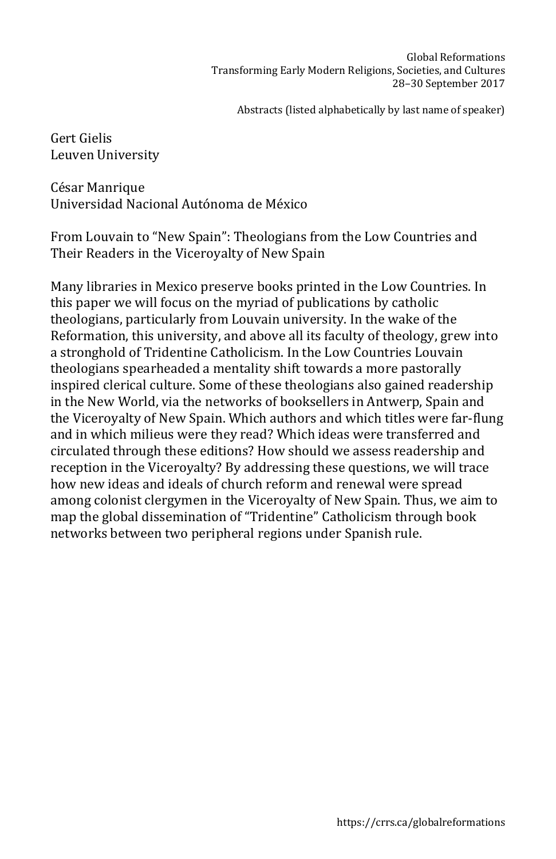Gert Gielis Leuven University

César Manrique Universidad Nacional Autónoma de México

From Louvain to "New Spain": Theologians from the Low Countries and Their Readers in the Viceroyalty of New Spain

Many libraries in Mexico preserve books printed in the Low Countries. In this paper we will focus on the myriad of publications by catholic theologians, particularly from Louvain university. In the wake of the Reformation, this university, and above all its faculty of theology, grew into a stronghold of Tridentine Catholicism. In the Low Countries Louvain theologians spearheaded a mentality shift towards a more pastorally inspired clerical culture. Some of these theologians also gained readership in the New World, via the networks of booksellers in Antwerp, Spain and the Viceroyalty of New Spain. Which authors and which titles were far-flung and in which milieus were they read? Which ideas were transferred and circulated through these editions? How should we assess readership and reception in the Viceroyalty? By addressing these questions, we will trace how new ideas and ideals of church reform and renewal were spread among colonist clergymen in the Viceroyalty of New Spain. Thus, we aim to map the global dissemination of "Tridentine" Catholicism through book networks between two peripheral regions under Spanish rule.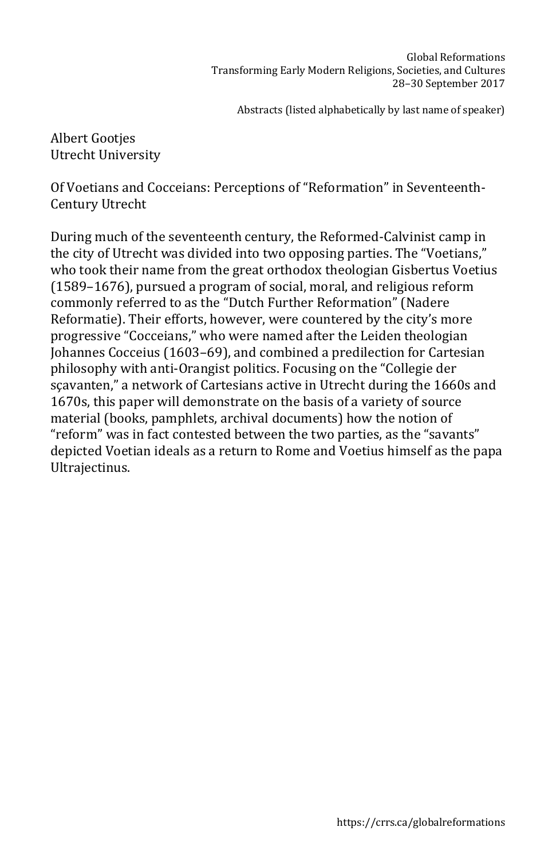Albert Gootjes Utrecht University

Of Voetians and Cocceians: Perceptions of "Reformation" in Seventeenth-Century Utrecht

During much of the seventeenth century, the Reformed-Calvinist camp in the city of Utrecht was divided into two opposing parties. The "Voetians," who took their name from the great orthodox theologian Gisbertus Voetius (1589–1676), pursued a program of social, moral, and religious reform commonly referred to as the "Dutch Further Reformation" (Nadere Reformatie). Their efforts, however, were countered by the city's more progressive "Cocceians," who were named after the Leiden theologian Johannes Cocceius (1603–69), and combined a predilection for Cartesian philosophy with anti-Orangist politics. Focusing on the "Collegie der sçavanten," a network of Cartesians active in Utrecht during the 1660s and 1670s, this paper will demonstrate on the basis of a variety of source material (books, pamphlets, archival documents) how the notion of "reform" was in fact contested between the two parties, as the "savants" depicted Voetian ideals as a return to Rome and Voetius himself as the papa Ultrajectinus.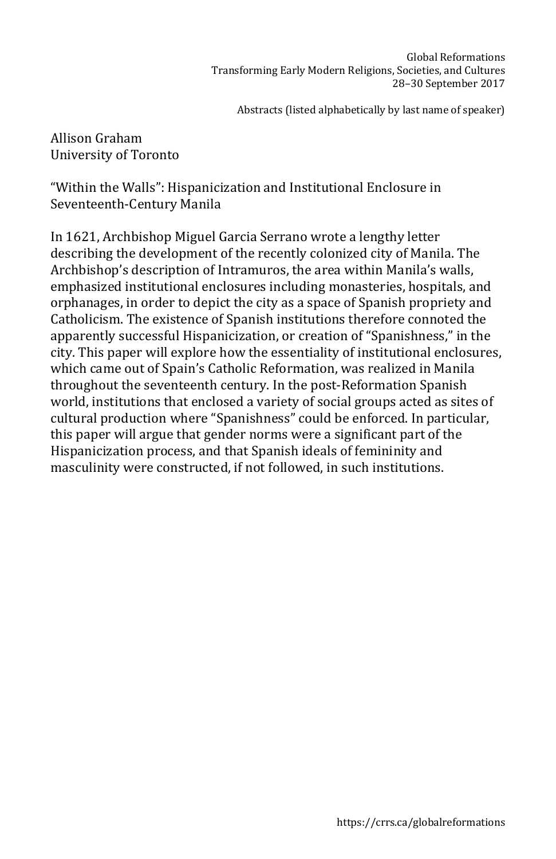Allison Graham University of Toronto

"Within the Walls": Hispanicization and Institutional Enclosure in Seventeenth-Century Manila

In 1621, Archbishop Miguel Garcia Serrano wrote a lengthy letter describing the development of the recently colonized city of Manila. The Archbishop's description of Intramuros, the area within Manila's walls, emphasized institutional enclosures including monasteries, hospitals, and orphanages, in order to depict the city as a space of Spanish propriety and Catholicism. The existence of Spanish institutions therefore connoted the apparently successful Hispanicization, or creation of "Spanishness," in the city. This paper will explore how the essentiality of institutional enclosures, which came out of Spain's Catholic Reformation, was realized in Manila throughout the seventeenth century. In the post-Reformation Spanish world, institutions that enclosed a variety of social groups acted as sites of cultural production where "Spanishness" could be enforced. In particular, this paper will argue that gender norms were a significant part of the Hispanicization process, and that Spanish ideals of femininity and masculinity were constructed, if not followed, in such institutions.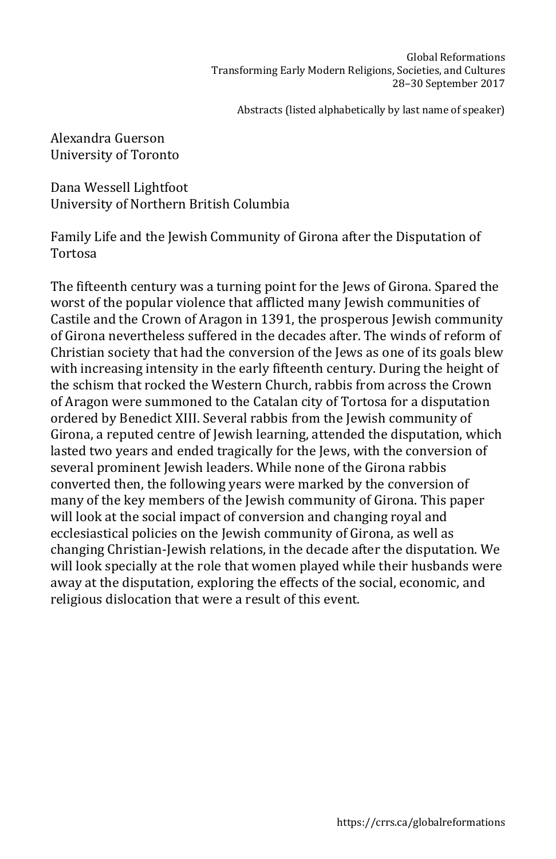Alexandra Guerson University of Toronto

Dana Wessell Lightfoot University of Northern British Columbia

Family Life and the Jewish Community of Girona after the Disputation of Tortosa

The fifteenth century was a turning point for the Jews of Girona. Spared the worst of the popular violence that afflicted many Jewish communities of Castile and the Crown of Aragon in 1391, the prosperous Jewish community of Girona nevertheless suffered in the decades after. The winds of reform of Christian society that had the conversion of the Jews as one of its goals blew with increasing intensity in the early fifteenth century. During the height of the schism that rocked the Western Church, rabbis from across the Crown of Aragon were summoned to the Catalan city of Tortosa for a disputation ordered by Benedict XIII. Several rabbis from the Jewish community of Girona, a reputed centre of Jewish learning, attended the disputation, which lasted two years and ended tragically for the Jews, with the conversion of several prominent Jewish leaders. While none of the Girona rabbis converted then, the following years were marked by the conversion of many of the key members of the Jewish community of Girona. This paper will look at the social impact of conversion and changing royal and ecclesiastical policies on the Jewish community of Girona, as well as changing Christian-Jewish relations, in the decade after the disputation. We will look specially at the role that women played while their husbands were away at the disputation, exploring the effects of the social, economic, and religious dislocation that were a result of this event.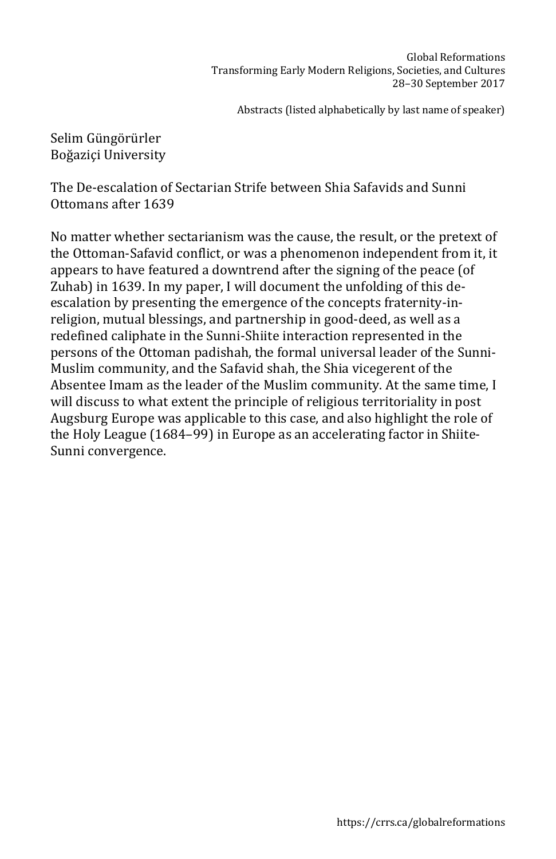Selim Güngörürler Boğaziçi University

The De-escalation of Sectarian Strife between Shia Safavids and Sunni Ottomans after 1639

No matter whether sectarianism was the cause, the result, or the pretext of the Ottoman-Safavid conflict, or was a phenomenon independent from it, it appears to have featured a downtrend after the signing of the peace (of Zuhab) in 1639. In my paper, I will document the unfolding of this deescalation by presenting the emergence of the concepts fraternity-inreligion, mutual blessings, and partnership in good-deed, as well as a redefined caliphate in the Sunni-Shiite interaction represented in the persons of the Ottoman padishah, the formal universal leader of the Sunni-Muslim community, and the Safavid shah, the Shia vicegerent of the Absentee Imam as the leader of the Muslim community. At the same time, I will discuss to what extent the principle of religious territoriality in post Augsburg Europe was applicable to this case, and also highlight the role of the Holy League (1684–99) in Europe as an accelerating factor in Shiite-Sunni convergence.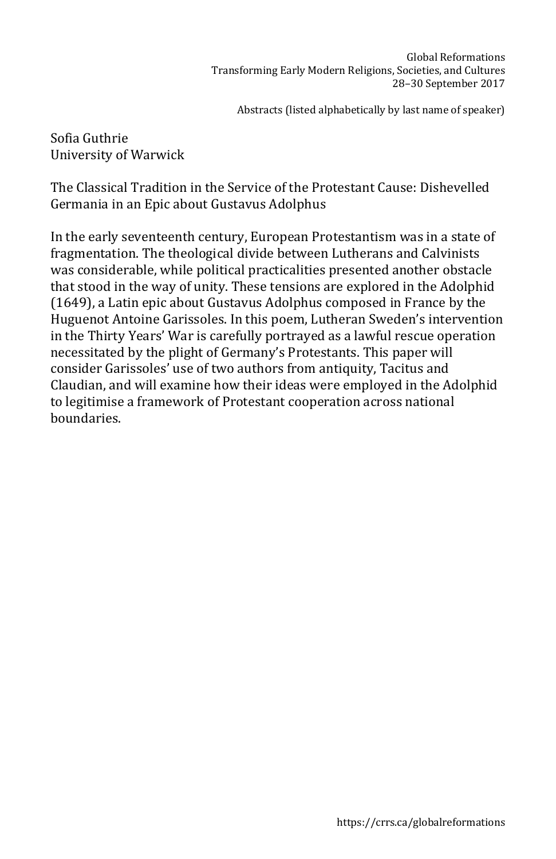Sofia Guthrie University of Warwick

The Classical Tradition in the Service of the Protestant Cause: Dishevelled Germania in an Epic about Gustavus Adolphus

In the early seventeenth century, European Protestantism was in a state of fragmentation. The theological divide between Lutherans and Calvinists was considerable, while political practicalities presented another obstacle that stood in the way of unity. These tensions are explored in the Adolphid (1649), a Latin epic about Gustavus Adolphus composed in France by the Huguenot Antoine Garissoles. In this poem, Lutheran Sweden's intervention in the Thirty Years' War is carefully portrayed as a lawful rescue operation necessitated by the plight of Germany's Protestants. This paper will consider Garissoles' use of two authors from antiquity, Tacitus and Claudian, and will examine how their ideas were employed in the Adolphid to legitimise a framework of Protestant cooperation across national boundaries.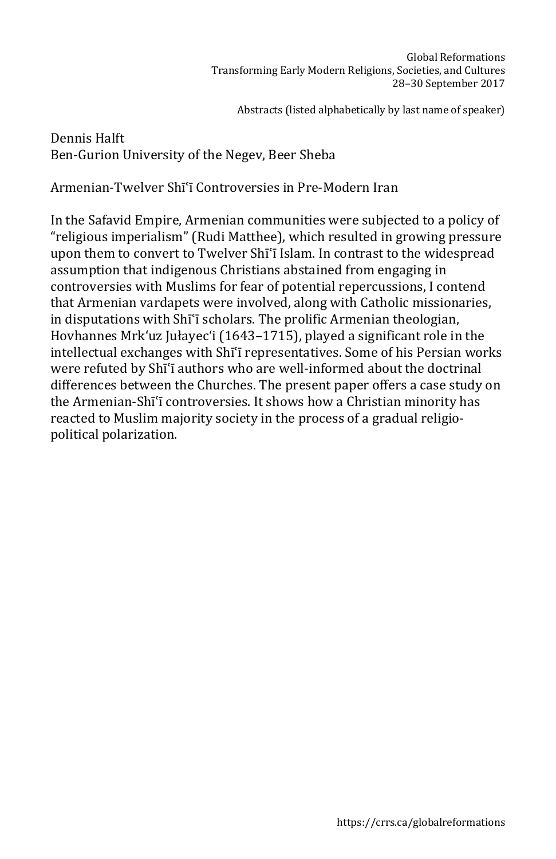# Dennis Halft Ben-Gurion University of the Negev, Beer Sheba

Armenian-Twelver Shīʿī Controversies in Pre-Modern Iran

In the Safavid Empire, Armenian communities were subjected to a policy of "religious imperialism" (Rudi Matthee), which resulted in growing pressure upon them to convert to Twelver Shīʿī Islam. In contrast to the widespread assumption that indigenous Christians abstained from engaging in controversies with Muslims for fear of potential repercussions, I contend that Armenian vardapets were involved, along with Catholic missionaries, in disputations with Shīʿī scholars. The prolific Armenian theologian, Hovhannes Mrk'uz Jułayec'i (1643–1715), played a significant role in the intellectual exchanges with Shīʿī representatives. Some of his Persian works were refuted by Shīʿī authors who are well-informed about the doctrinal differences between the Churches. The present paper offers a case study on the Armenian-Shīʿī controversies. It shows how a Christian minority has reacted to Muslim majority society in the process of a gradual religiopolitical polarization.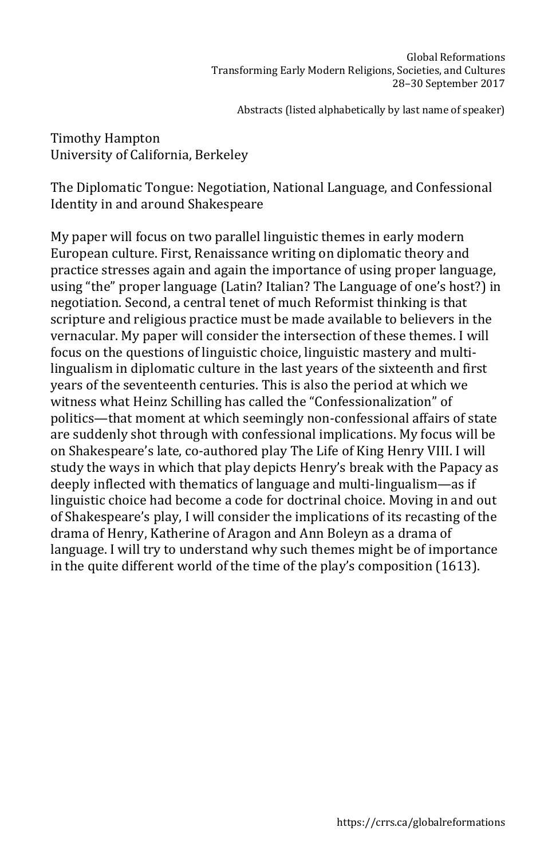Timothy Hampton University of California, Berkeley

The Diplomatic Tongue: Negotiation, National Language, and Confessional Identity in and around Shakespeare

My paper will focus on two parallel linguistic themes in early modern European culture. First, Renaissance writing on diplomatic theory and practice stresses again and again the importance of using proper language, using "the" proper language (Latin? Italian? The Language of one's host?) in negotiation. Second, a central tenet of much Reformist thinking is that scripture and religious practice must be made available to believers in the vernacular. My paper will consider the intersection of these themes. I will focus on the questions of linguistic choice, linguistic mastery and multilingualism in diplomatic culture in the last years of the sixteenth and first years of the seventeenth centuries. This is also the period at which we witness what Heinz Schilling has called the "Confessionalization" of politics—that moment at which seemingly non-confessional affairs of state are suddenly shot through with confessional implications. My focus will be on Shakespeare's late, co-authored play The Life of King Henry VIII. I will study the ways in which that play depicts Henry's break with the Papacy as deeply inflected with thematics of language and multi-lingualism—as if linguistic choice had become a code for doctrinal choice. Moving in and out of Shakespeare's play, I will consider the implications of its recasting of the drama of Henry, Katherine of Aragon and Ann Boleyn as a drama of language. I will try to understand why such themes might be of importance in the quite different world of the time of the play's composition (1613).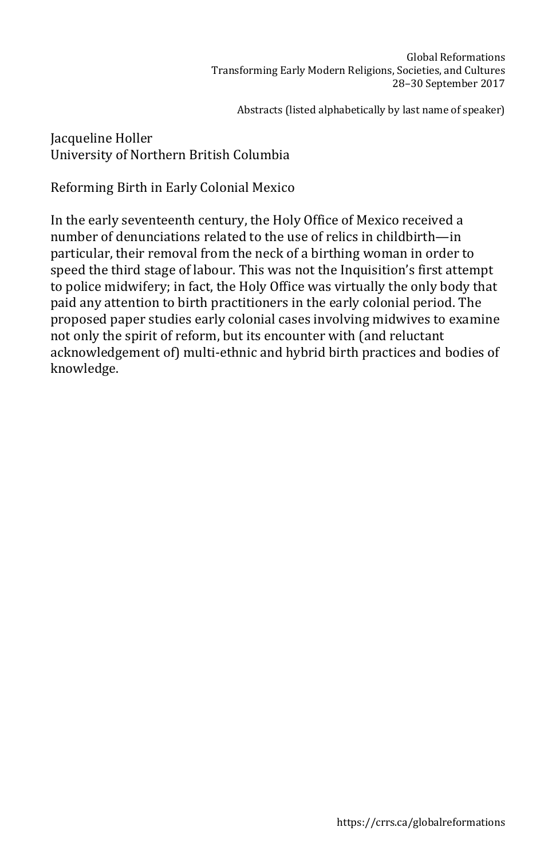# Jacqueline Holler University of Northern British Columbia

Reforming Birth in Early Colonial Mexico

In the early seventeenth century, the Holy Office of Mexico received a number of denunciations related to the use of relics in childbirth—in particular, their removal from the neck of a birthing woman in order to speed the third stage of labour. This was not the Inquisition's first attempt to police midwifery; in fact, the Holy Office was virtually the only body that paid any attention to birth practitioners in the early colonial period. The proposed paper studies early colonial cases involving midwives to examine not only the spirit of reform, but its encounter with (and reluctant acknowledgement of) multi-ethnic and hybrid birth practices and bodies of knowledge.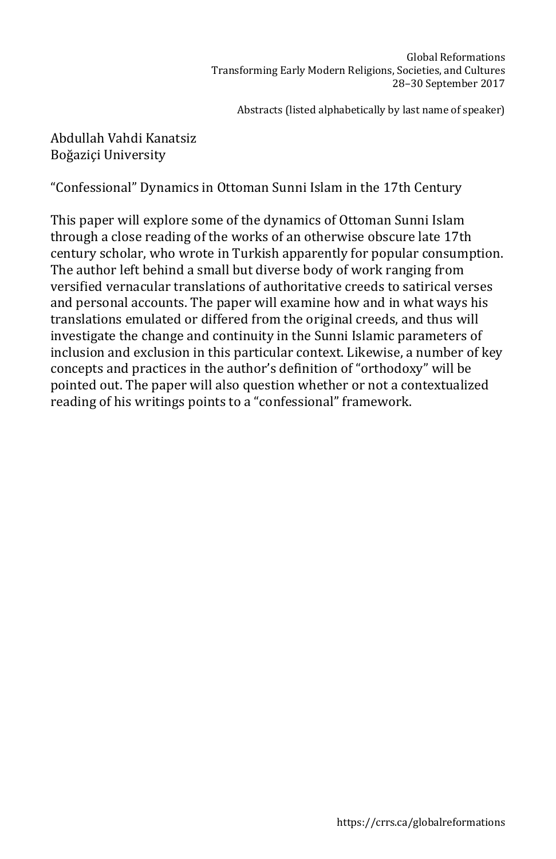# Abdullah Vahdi Kanatsiz Boğaziçi University

"Confessional" Dynamics in Ottoman Sunni Islam in the 17th Century

This paper will explore some of the dynamics of Ottoman Sunni Islam through a close reading of the works of an otherwise obscure late 17th century scholar, who wrote in Turkish apparently for popular consumption. The author left behind a small but diverse body of work ranging from versified vernacular translations of authoritative creeds to satirical verses and personal accounts. The paper will examine how and in what ways his translations emulated or differed from the original creeds, and thus will investigate the change and continuity in the Sunni Islamic parameters of inclusion and exclusion in this particular context. Likewise, a number of key concepts and practices in the author's definition of "orthodoxy" will be pointed out. The paper will also question whether or not a contextualized reading of his writings points to a "confessional" framework.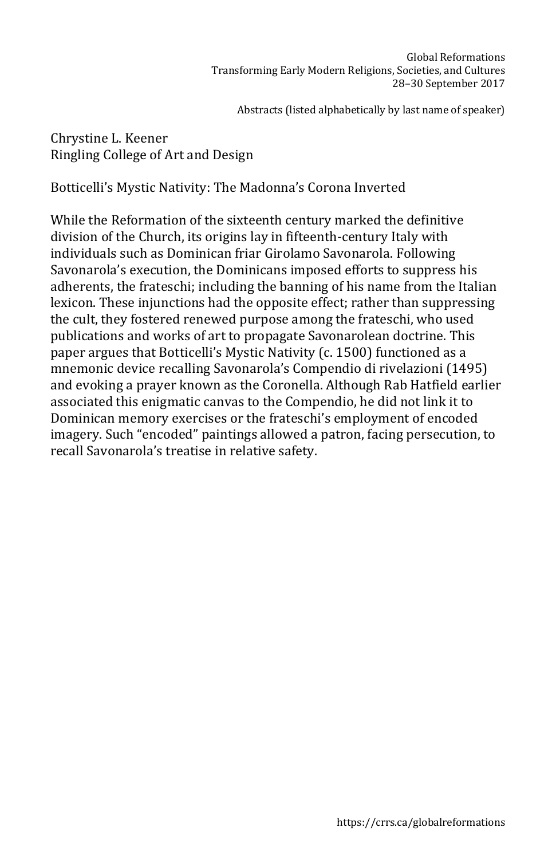#### Chrystine L. Keener Ringling College of Art and Design

Botticelli's Mystic Nativity: The Madonna's Corona Inverted

While the Reformation of the sixteenth century marked the definitive division of the Church, its origins lay in fifteenth-century Italy with individuals such as Dominican friar Girolamo Savonarola. Following Savonarola's execution, the Dominicans imposed efforts to suppress his adherents, the frateschi; including the banning of his name from the Italian lexicon. These injunctions had the opposite effect; rather than suppressing the cult, they fostered renewed purpose among the frateschi, who used publications and works of art to propagate Savonarolean doctrine. This paper argues that Botticelli's Mystic Nativity (c. 1500) functioned as a mnemonic device recalling Savonarola's Compendio di rivelazioni (1495) and evoking a prayer known as the Coronella. Although Rab Hatfield earlier associated this enigmatic canvas to the Compendio, he did not link it to Dominican memory exercises or the frateschi's employment of encoded imagery. Such "encoded" paintings allowed a patron, facing persecution, to recall Savonarola's treatise in relative safety.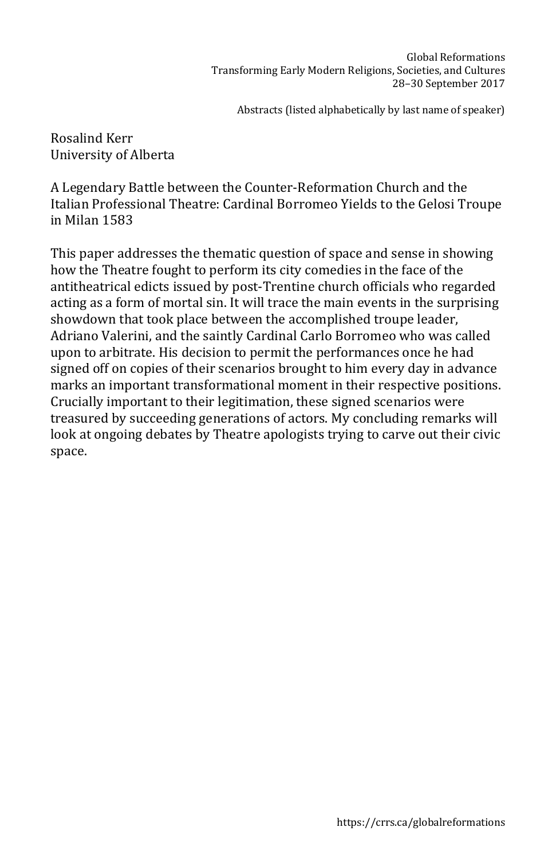Rosalind Kerr University of Alberta

A Legendary Battle between the Counter-Reformation Church and the Italian Professional Theatre: Cardinal Borromeo Yields to the Gelosi Troupe in Milan 1583

This paper addresses the thematic question of space and sense in showing how the Theatre fought to perform its city comedies in the face of the antitheatrical edicts issued by post-Trentine church officials who regarded acting as a form of mortal sin. It will trace the main events in the surprising showdown that took place between the accomplished troupe leader, Adriano Valerini, and the saintly Cardinal Carlo Borromeo who was called upon to arbitrate. His decision to permit the performances once he had signed off on copies of their scenarios brought to him every day in advance marks an important transformational moment in their respective positions. Crucially important to their legitimation, these signed scenarios were treasured by succeeding generations of actors. My concluding remarks will look at ongoing debates by Theatre apologists trying to carve out their civic space.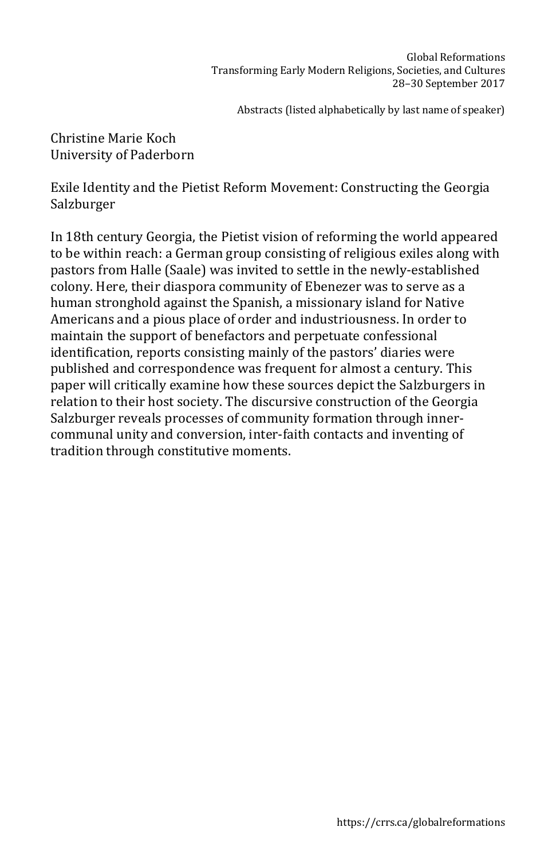Christine Marie Koch University of Paderborn

Exile Identity and the Pietist Reform Movement: Constructing the Georgia Salzburger

In 18th century Georgia, the Pietist vision of reforming the world appeared to be within reach: a German group consisting of religious exiles along with pastors from Halle (Saale) was invited to settle in the newly-established colony. Here, their diaspora community of Ebenezer was to serve as a human stronghold against the Spanish, a missionary island for Native Americans and a pious place of order and industriousness. In order to maintain the support of benefactors and perpetuate confessional identification, reports consisting mainly of the pastors' diaries were published and correspondence was frequent for almost a century. This paper will critically examine how these sources depict the Salzburgers in relation to their host society. The discursive construction of the Georgia Salzburger reveals processes of community formation through innercommunal unity and conversion, inter-faith contacts and inventing of tradition through constitutive moments.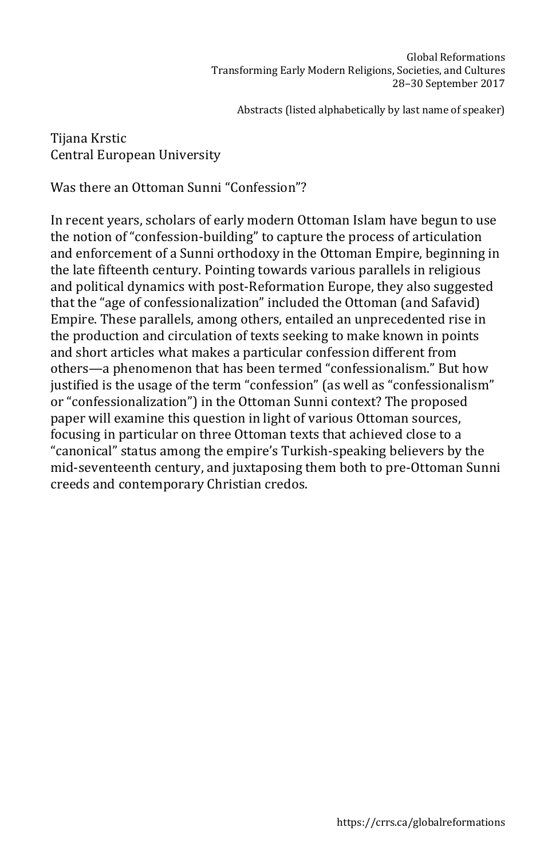## Tijana Krstic Central European University

Was there an Ottoman Sunni "Confession"?

In recent years, scholars of early modern Ottoman Islam have begun to use the notion of "confession-building" to capture the process of articulation and enforcement of a Sunni orthodoxy in the Ottoman Empire, beginning in the late fifteenth century. Pointing towards various parallels in religious and political dynamics with post-Reformation Europe, they also suggested that the "age of confessionalization" included the Ottoman (and Safavid) Empire. These parallels, among others, entailed an unprecedented rise in the production and circulation of texts seeking to make known in points and short articles what makes a particular confession different from others—a phenomenon that has been termed "confessionalism." But how justified is the usage of the term "confession" (as well as "confessionalism" or "confessionalization") in the Ottoman Sunni context? The proposed paper will examine this question in light of various Ottoman sources, focusing in particular on three Ottoman texts that achieved close to a "canonical" status among the empire's Turkish-speaking believers by the mid-seventeenth century, and juxtaposing them both to pre-Ottoman Sunni creeds and contemporary Christian credos.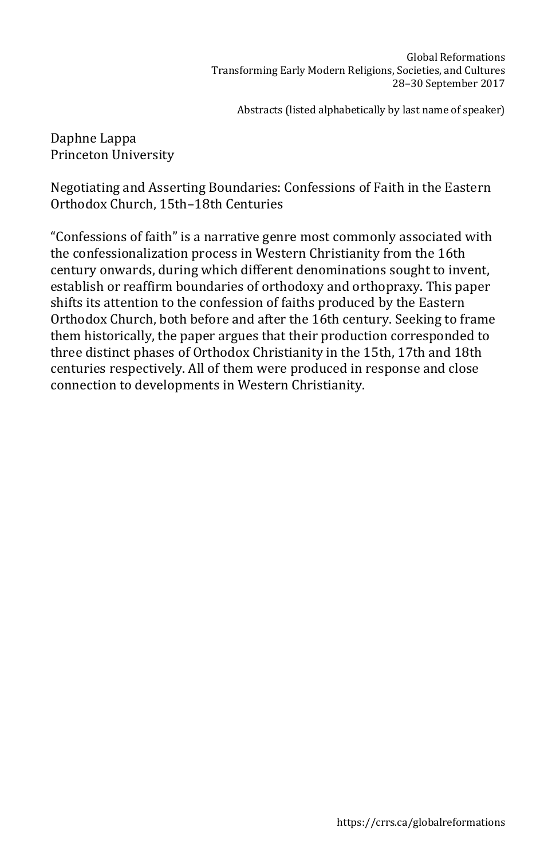Daphne Lappa Princeton University

Negotiating and Asserting Boundaries: Confessions of Faith in the Eastern Orthodox Church, 15th–18th Centuries

"Confessions of faith" is a narrative genre most commonly associated with the confessionalization process in Western Christianity from the 16th century onwards, during which different denominations sought to invent, establish or reaffirm boundaries of orthodoxy and orthopraxy. This paper shifts its attention to the confession of faiths produced by the Eastern Orthodox Church, both before and after the 16th century. Seeking to frame them historically, the paper argues that their production corresponded to three distinct phases of Orthodox Christianity in the 15th, 17th and 18th centuries respectively. All of them were produced in response and close connection to developments in Western Christianity.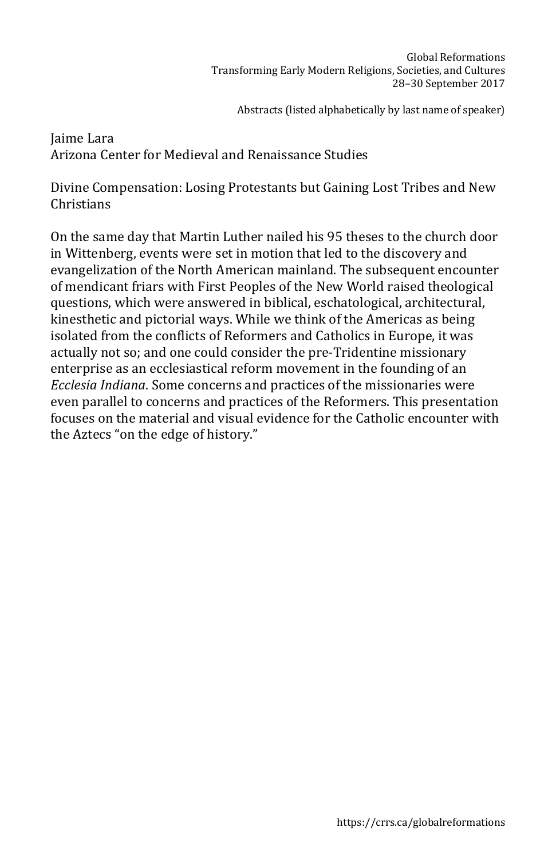Jaime Lara Arizona Center for Medieval and Renaissance Studies

Divine Compensation: Losing Protestants but Gaining Lost Tribes and New Christians

On the same day that Martin Luther nailed his 95 theses to the church door in Wittenberg, events were set in motion that led to the discovery and evangelization of the North American mainland. The subsequent encounter of mendicant friars with First Peoples of the New World raised theological questions, which were answered in biblical, eschatological, architectural, kinesthetic and pictorial ways. While we think of the Americas as being isolated from the conflicts of Reformers and Catholics in Europe, it was actually not so; and one could consider the pre-Tridentine missionary enterprise as an ecclesiastical reform movement in the founding of an *Ecclesia Indiana*. Some concerns and practices of the missionaries were even parallel to concerns and practices of the Reformers. This presentation focuses on the material and visual evidence for the Catholic encounter with the Aztecs "on the edge of history."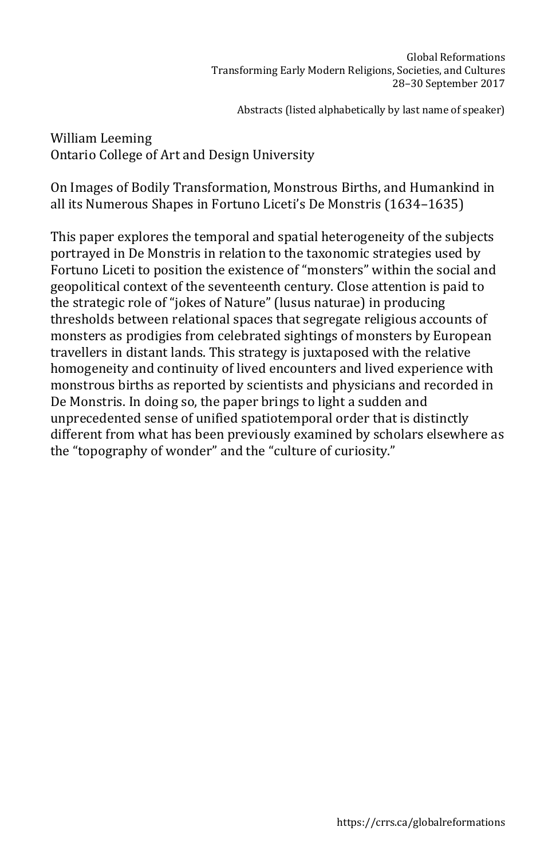William Leeming Ontario College of Art and Design University

On Images of Bodily Transformation, Monstrous Births, and Humankind in all its Numerous Shapes in Fortuno Liceti's De Monstris (1634–1635)

This paper explores the temporal and spatial heterogeneity of the subjects portrayed in De Monstris in relation to the taxonomic strategies used by Fortuno Liceti to position the existence of "monsters" within the social and geopolitical context of the seventeenth century. Close attention is paid to the strategic role of "jokes of Nature" (lusus naturae) in producing thresholds between relational spaces that segregate religious accounts of monsters as prodigies from celebrated sightings of monsters by European travellers in distant lands. This strategy is juxtaposed with the relative homogeneity and continuity of lived encounters and lived experience with monstrous births as reported by scientists and physicians and recorded in De Monstris. In doing so, the paper brings to light a sudden and unprecedented sense of unified spatiotemporal order that is distinctly different from what has been previously examined by scholars elsewhere as the "topography of wonder" and the "culture of curiosity."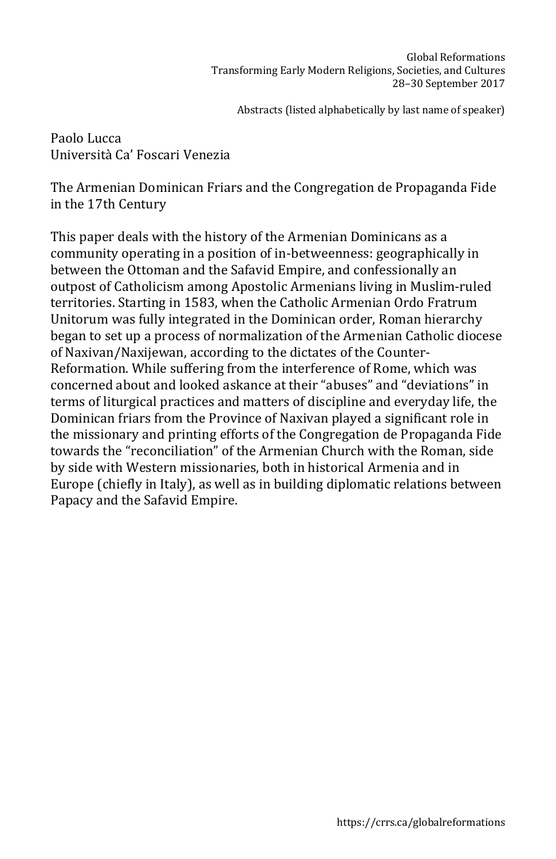Paolo Lucca Università Ca' Foscari Venezia

The Armenian Dominican Friars and the Congregation de Propaganda Fide in the 17th Century

This paper deals with the history of the Armenian Dominicans as a community operating in a position of in-betweenness: geographically in between the Ottoman and the Safavid Empire, and confessionally an outpost of Catholicism among Apostolic Armenians living in Muslim-ruled territories. Starting in 1583, when the Catholic Armenian Ordo Fratrum Unitorum was fully integrated in the Dominican order, Roman hierarchy began to set up a process of normalization of the Armenian Catholic diocese of Naxivan/Naxijewan, according to the dictates of the Counter-Reformation. While suffering from the interference of Rome, which was concerned about and looked askance at their "abuses" and "deviations" in terms of liturgical practices and matters of discipline and everyday life, the Dominican friars from the Province of Naxivan played a significant role in the missionary and printing efforts of the Congregation de Propaganda Fide towards the "reconciliation" of the Armenian Church with the Roman, side by side with Western missionaries, both in historical Armenia and in Europe (chiefly in Italy), as well as in building diplomatic relations between Papacy and the Safavid Empire.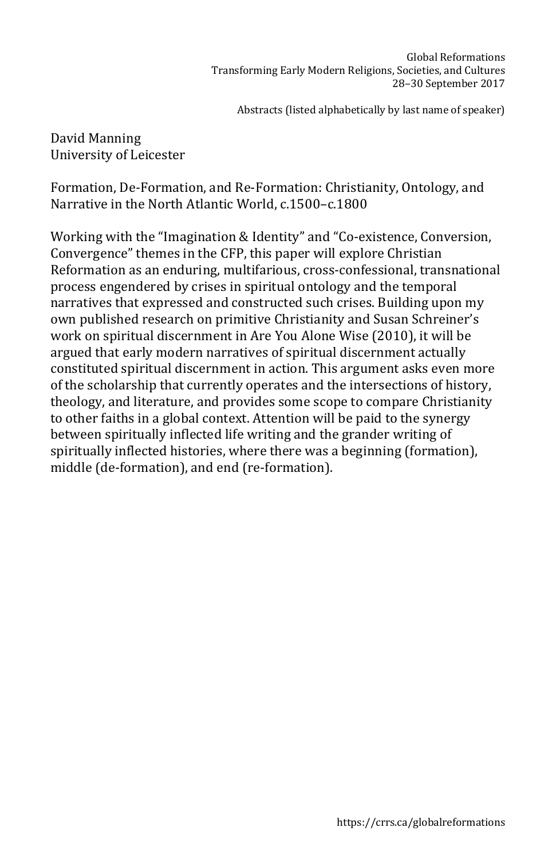David Manning University of Leicester

Formation, De-Formation, and Re-Formation: Christianity, Ontology, and Narrative in the North Atlantic World, c.1500–c.1800

Working with the "Imagination & Identity" and "Co-existence, Conversion, Convergence" themes in the CFP, this paper will explore Christian Reformation as an enduring, multifarious, cross-confessional, transnational process engendered by crises in spiritual ontology and the temporal narratives that expressed and constructed such crises. Building upon my own published research on primitive Christianity and Susan Schreiner's work on spiritual discernment in Are You Alone Wise (2010), it will be argued that early modern narratives of spiritual discernment actually constituted spiritual discernment in action. This argument asks even more of the scholarship that currently operates and the intersections of history, theology, and literature, and provides some scope to compare Christianity to other faiths in a global context. Attention will be paid to the synergy between spiritually inflected life writing and the grander writing of spiritually inflected histories, where there was a beginning (formation), middle (de-formation), and end (re-formation).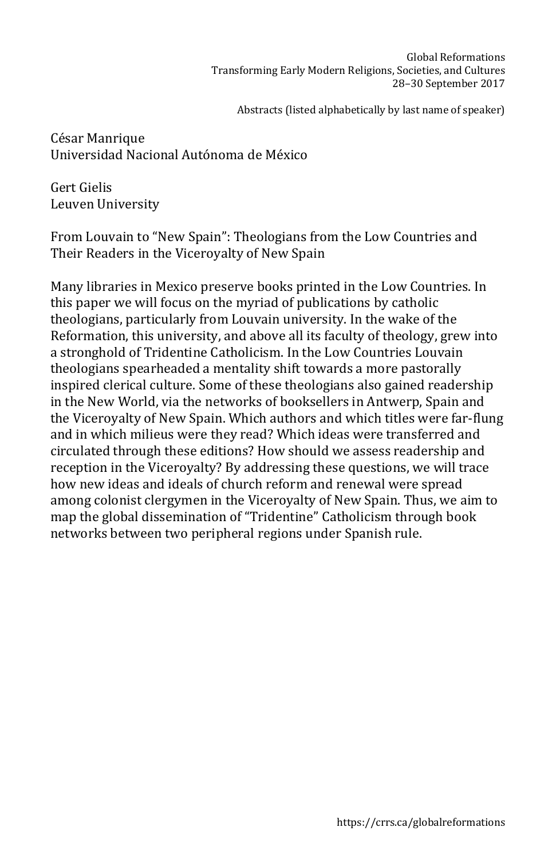César Manrique Universidad Nacional Autónoma de México

Gert Gielis Leuven University

From Louvain to "New Spain": Theologians from the Low Countries and Their Readers in the Viceroyalty of New Spain

Many libraries in Mexico preserve books printed in the Low Countries. In this paper we will focus on the myriad of publications by catholic theologians, particularly from Louvain university. In the wake of the Reformation, this university, and above all its faculty of theology, grew into a stronghold of Tridentine Catholicism. In the Low Countries Louvain theologians spearheaded a mentality shift towards a more pastorally inspired clerical culture. Some of these theologians also gained readership in the New World, via the networks of booksellers in Antwerp, Spain and the Viceroyalty of New Spain. Which authors and which titles were far-flung and in which milieus were they read? Which ideas were transferred and circulated through these editions? How should we assess readership and reception in the Viceroyalty? By addressing these questions, we will trace how new ideas and ideals of church reform and renewal were spread among colonist clergymen in the Viceroyalty of New Spain. Thus, we aim to map the global dissemination of "Tridentine" Catholicism through book networks between two peripheral regions under Spanish rule.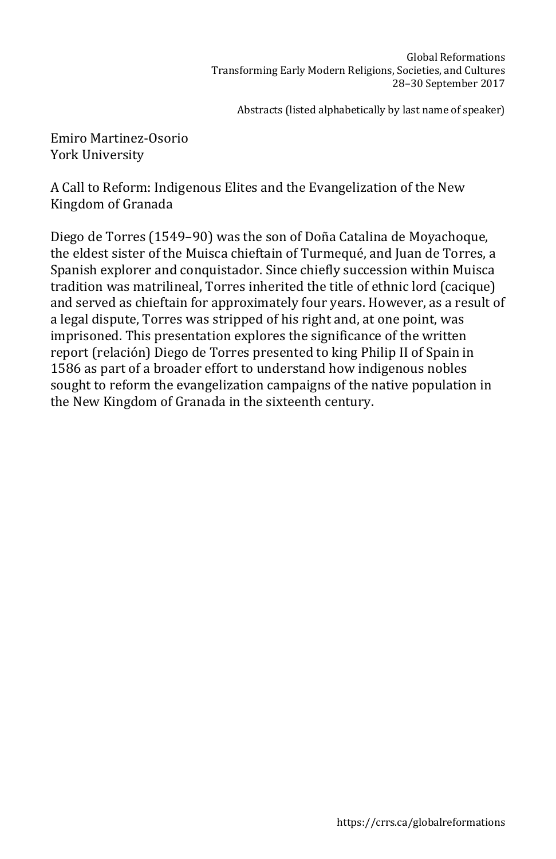Emiro Martinez-Osorio York University

A Call to Reform: Indigenous Elites and the Evangelization of the New Kingdom of Granada

Diego de Torres (1549–90) was the son of Doña Catalina de Moyachoque, the eldest sister of the Muisca chieftain of Turmequé, and Juan de Torres, a Spanish explorer and conquistador. Since chiefly succession within Muisca tradition was matrilineal, Torres inherited the title of ethnic lord (cacique) and served as chieftain for approximately four years. However, as a result of a legal dispute, Torres was stripped of his right and, at one point, was imprisoned. This presentation explores the significance of the written report (relación) Diego de Torres presented to king Philip II of Spain in 1586 as part of a broader effort to understand how indigenous nobles sought to reform the evangelization campaigns of the native population in the New Kingdom of Granada in the sixteenth century.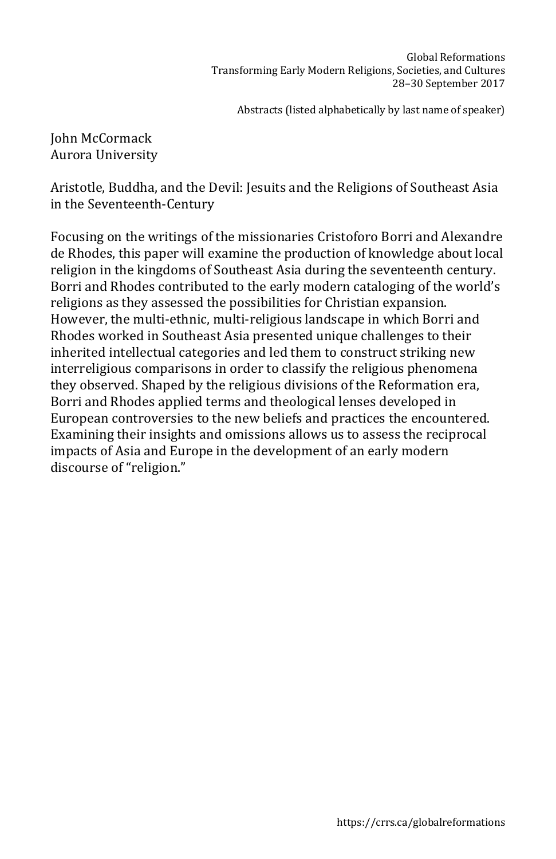John McCormack Aurora University

Aristotle, Buddha, and the Devil: Jesuits and the Religions of Southeast Asia in the Seventeenth-Century

Focusing on the writings of the missionaries Cristoforo Borri and Alexandre de Rhodes, this paper will examine the production of knowledge about local religion in the kingdoms of Southeast Asia during the seventeenth century. Borri and Rhodes contributed to the early modern cataloging of the world's religions as they assessed the possibilities for Christian expansion. However, the multi-ethnic, multi-religious landscape in which Borri and Rhodes worked in Southeast Asia presented unique challenges to their inherited intellectual categories and led them to construct striking new interreligious comparisons in order to classify the religious phenomena they observed. Shaped by the religious divisions of the Reformation era, Borri and Rhodes applied terms and theological lenses developed in European controversies to the new beliefs and practices the encountered. Examining their insights and omissions allows us to assess the reciprocal impacts of Asia and Europe in the development of an early modern discourse of "religion."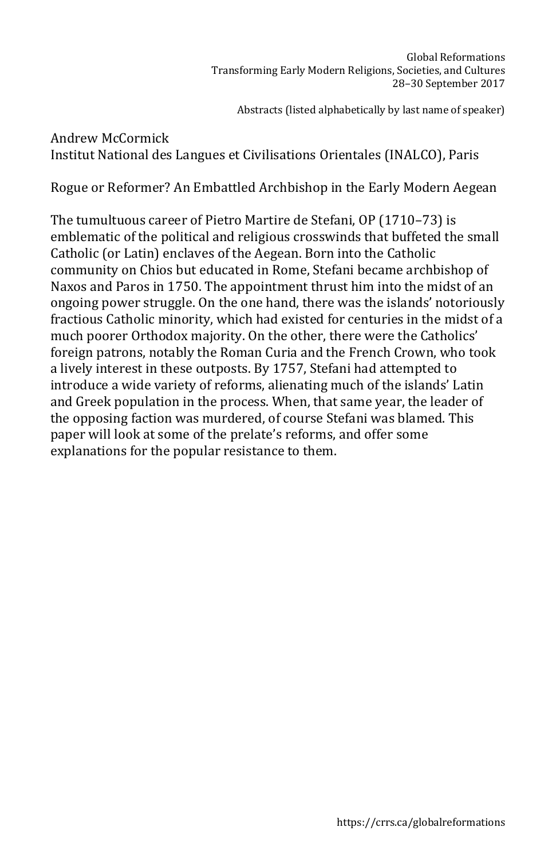Andrew McCormick Institut National des Langues et Civilisations Orientales (INALCO), Paris

Rogue or Reformer? An Embattled Archbishop in the Early Modern Aegean

The tumultuous career of Pietro Martire de Stefani, OP (1710–73) is emblematic of the political and religious crosswinds that buffeted the small Catholic (or Latin) enclaves of the Aegean. Born into the Catholic community on Chios but educated in Rome, Stefani became archbishop of Naxos and Paros in 1750. The appointment thrust him into the midst of an ongoing power struggle. On the one hand, there was the islands' notoriously fractious Catholic minority, which had existed for centuries in the midst of a much poorer Orthodox majority. On the other, there were the Catholics' foreign patrons, notably the Roman Curia and the French Crown, who took a lively interest in these outposts. By 1757, Stefani had attempted to introduce a wide variety of reforms, alienating much of the islands' Latin and Greek population in the process. When, that same year, the leader of the opposing faction was murdered, of course Stefani was blamed. This paper will look at some of the prelate's reforms, and offer some explanations for the popular resistance to them.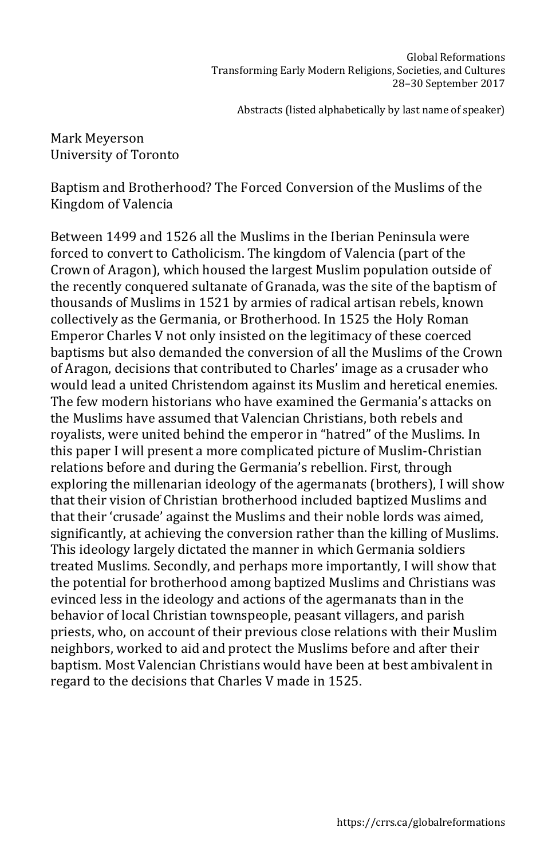Mark Meyerson University of Toronto

Baptism and Brotherhood? The Forced Conversion of the Muslims of the Kingdom of Valencia

Between 1499 and 1526 all the Muslims in the Iberian Peninsula were forced to convert to Catholicism. The kingdom of Valencia (part of the Crown of Aragon), which housed the largest Muslim population outside of the recently conquered sultanate of Granada, was the site of the baptism of thousands of Muslims in 1521 by armies of radical artisan rebels, known collectively as the Germania, or Brotherhood. In 1525 the Holy Roman Emperor Charles V not only insisted on the legitimacy of these coerced baptisms but also demanded the conversion of all the Muslims of the Crown of Aragon, decisions that contributed to Charles' image as a crusader who would lead a united Christendom against its Muslim and heretical enemies. The few modern historians who have examined the Germania's attacks on the Muslims have assumed that Valencian Christians, both rebels and royalists, were united behind the emperor in "hatred" of the Muslims. In this paper I will present a more complicated picture of Muslim-Christian relations before and during the Germania's rebellion. First, through exploring the millenarian ideology of the agermanats (brothers), I will show that their vision of Christian brotherhood included baptized Muslims and that their 'crusade' against the Muslims and their noble lords was aimed, significantly, at achieving the conversion rather than the killing of Muslims. This ideology largely dictated the manner in which Germania soldiers treated Muslims. Secondly, and perhaps more importantly, I will show that the potential for brotherhood among baptized Muslims and Christians was evinced less in the ideology and actions of the agermanats than in the behavior of local Christian townspeople, peasant villagers, and parish priests, who, on account of their previous close relations with their Muslim neighbors, worked to aid and protect the Muslims before and after their baptism. Most Valencian Christians would have been at best ambivalent in regard to the decisions that Charles V made in 1525.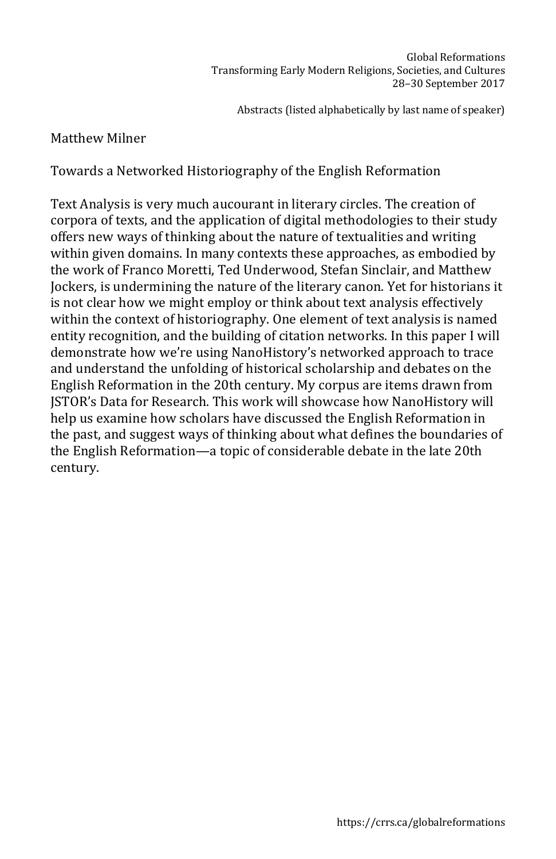## Matthew Milner

Towards a Networked Historiography of the English Reformation

Text Analysis is very much aucourant in literary circles. The creation of corpora of texts, and the application of digital methodologies to their study offers new ways of thinking about the nature of textualities and writing within given domains. In many contexts these approaches, as embodied by the work of Franco Moretti, Ted Underwood, Stefan Sinclair, and Matthew Jockers, is undermining the nature of the literary canon. Yet for historians it is not clear how we might employ or think about text analysis effectively within the context of historiography. One element of text analysis is named entity recognition, and the building of citation networks. In this paper I will demonstrate how we're using NanoHistory's networked approach to trace and understand the unfolding of historical scholarship and debates on the English Reformation in the 20th century. My corpus are items drawn from JSTOR's Data for Research. This work will showcase how NanoHistory will help us examine how scholars have discussed the English Reformation in the past, and suggest ways of thinking about what defines the boundaries of the English Reformation—a topic of considerable debate in the late 20th century.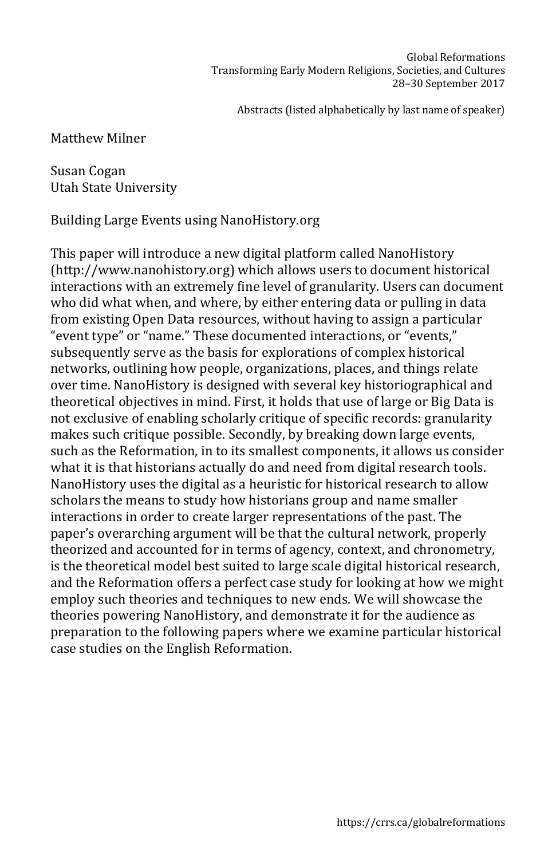Matthew Milner

Susan Cogan Utah State University

Building Large Events using NanoHistory.org

This paper will introduce a new digital platform called NanoHistory (http://www.nanohistory.org) which allows users to document historical interactions with an extremely fine level of granularity. Users can document who did what when, and where, by either entering data or pulling in data from existing Open Data resources, without having to assign a particular "event type" or "name." These documented interactions, or "events," subsequently serve as the basis for explorations of complex historical networks, outlining how people, organizations, places, and things relate over time. NanoHistory is designed with several key historiographical and theoretical objectives in mind. First, it holds that use of large or Big Data is not exclusive of enabling scholarly critique of specific records: granularity makes such critique possible. Secondly, by breaking down large events, such as the Reformation, in to its smallest components, it allows us consider what it is that historians actually do and need from digital research tools. NanoHistory uses the digital as a heuristic for historical research to allow scholars the means to study how historians group and name smaller interactions in order to create larger representations of the past. The paper's overarching argument will be that the cultural network, properly theorized and accounted for in terms of agency, context, and chronometry, is the theoretical model best suited to large scale digital historical research, and the Reformation offers a perfect case study for looking at how we might employ such theories and techniques to new ends. We will showcase the theories powering NanoHistory, and demonstrate it for the audience as preparation to the following papers where we examine particular historical case studies on the English Reformation.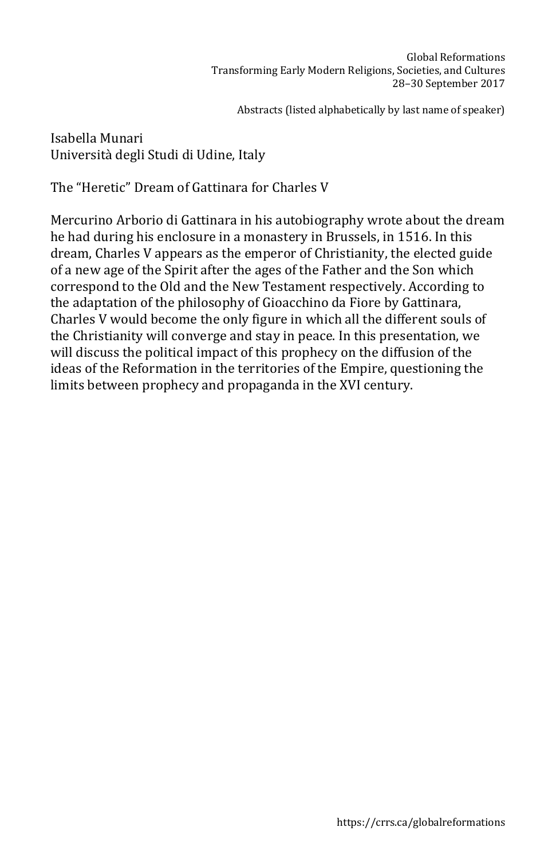Isabella Munari Università degli Studi di Udine, Italy

The "Heretic" Dream of Gattinara for Charles V

Mercurino Arborio di Gattinara in his autobiography wrote about the dream he had during his enclosure in a monastery in Brussels, in 1516. In this dream, Charles V appears as the emperor of Christianity, the elected guide of a new age of the Spirit after the ages of the Father and the Son which correspond to the Old and the New Testament respectively. According to the adaptation of the philosophy of Gioacchino da Fiore by Gattinara, Charles V would become the only figure in which all the different souls of the Christianity will converge and stay in peace. In this presentation, we will discuss the political impact of this prophecy on the diffusion of the ideas of the Reformation in the territories of the Empire, questioning the limits between prophecy and propaganda in the XVI century.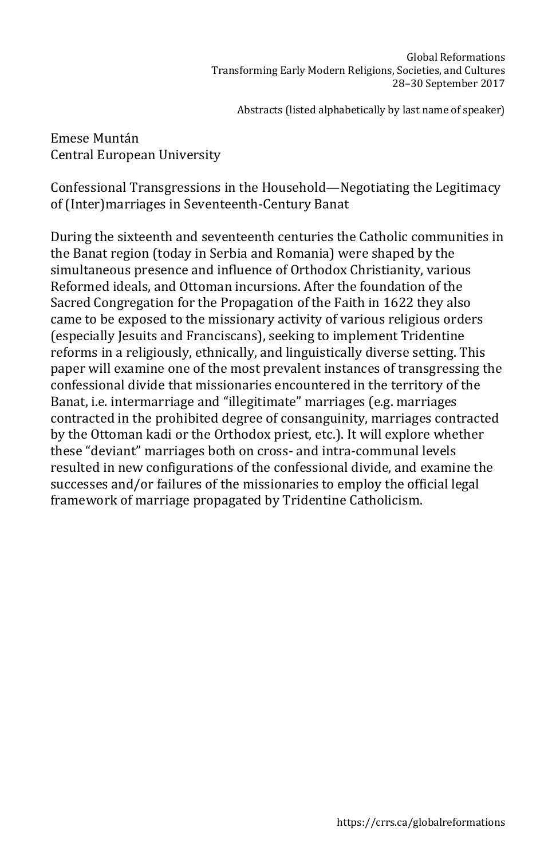Emese Muntán Central European University

Confessional Transgressions in the Household—Negotiating the Legitimacy of (Inter)marriages in Seventeenth-Century Banat

During the sixteenth and seventeenth centuries the Catholic communities in the Banat region (today in Serbia and Romania) were shaped by the simultaneous presence and influence of Orthodox Christianity, various Reformed ideals, and Ottoman incursions. After the foundation of the Sacred Congregation for the Propagation of the Faith in 1622 they also came to be exposed to the missionary activity of various religious orders (especially Jesuits and Franciscans), seeking to implement Tridentine reforms in a religiously, ethnically, and linguistically diverse setting. This paper will examine one of the most prevalent instances of transgressing the confessional divide that missionaries encountered in the territory of the Banat, i.e. intermarriage and "illegitimate" marriages (e.g. marriages contracted in the prohibited degree of consanguinity, marriages contracted by the Ottoman kadi or the Orthodox priest, etc.). It will explore whether these "deviant" marriages both on cross- and intra-communal levels resulted in new configurations of the confessional divide, and examine the successes and/or failures of the missionaries to employ the official legal framework of marriage propagated by Tridentine Catholicism.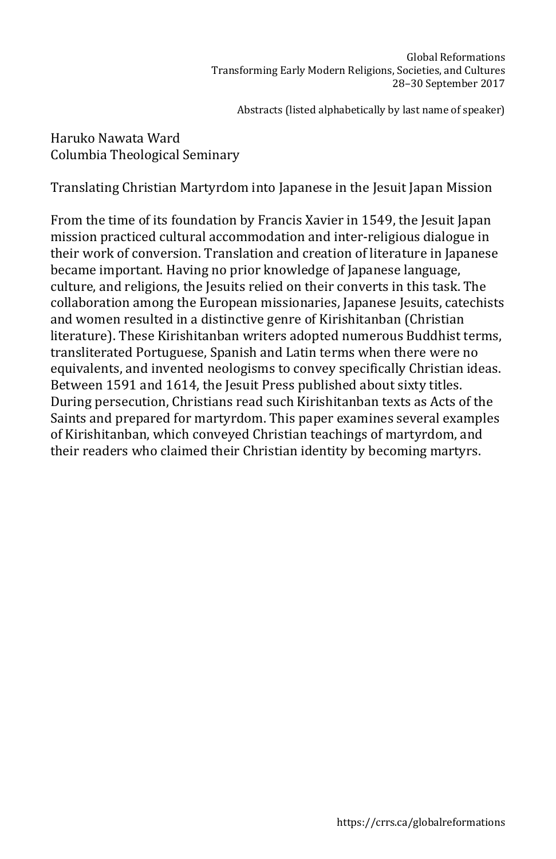## Haruko Nawata Ward Columbia Theological Seminary

Translating Christian Martyrdom into Japanese in the Jesuit Japan Mission

From the time of its foundation by Francis Xavier in 1549, the Jesuit Japan mission practiced cultural accommodation and inter-religious dialogue in their work of conversion. Translation and creation of literature in Japanese became important. Having no prior knowledge of Japanese language, culture, and religions, the Jesuits relied on their converts in this task. The collaboration among the European missionaries, Japanese Jesuits, catechists and women resulted in a distinctive genre of Kirishitanban (Christian literature). These Kirishitanban writers adopted numerous Buddhist terms, transliterated Portuguese, Spanish and Latin terms when there were no equivalents, and invented neologisms to convey specifically Christian ideas. Between 1591 and 1614, the Jesuit Press published about sixty titles. During persecution, Christians read such Kirishitanban texts as Acts of the Saints and prepared for martyrdom. This paper examines several examples of Kirishitanban, which conveyed Christian teachings of martyrdom, and their readers who claimed their Christian identity by becoming martyrs.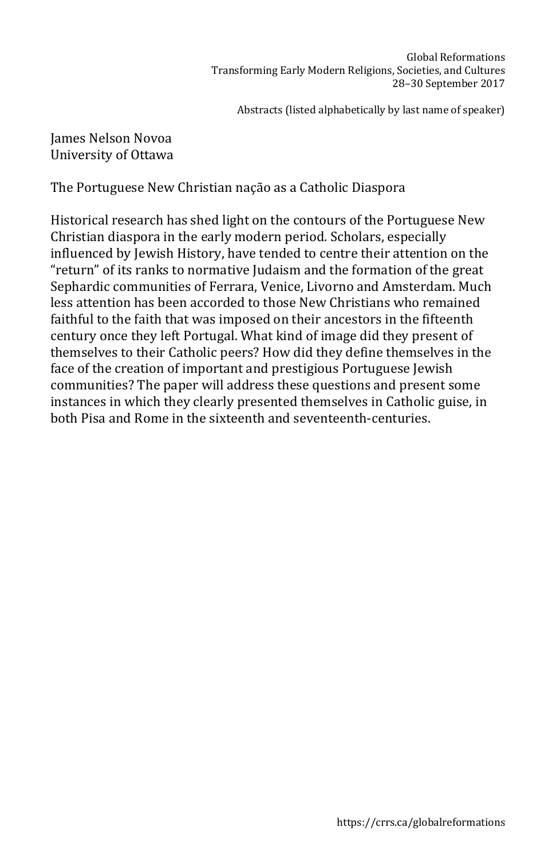James Nelson Novoa University of Ottawa

The Portuguese New Christian nação as a Catholic Diaspora

Historical research has shed light on the contours of the Portuguese New Christian diaspora in the early modern period. Scholars, especially influenced by Jewish History, have tended to centre their attention on the "return" of its ranks to normative Judaism and the formation of the great Sephardic communities of Ferrara, Venice, Livorno and Amsterdam. Much less attention has been accorded to those New Christians who remained faithful to the faith that was imposed on their ancestors in the fifteenth century once they left Portugal. What kind of image did they present of themselves to their Catholic peers? How did they define themselves in the face of the creation of important and prestigious Portuguese Jewish communities? The paper will address these questions and present some instances in which they clearly presented themselves in Catholic guise, in both Pisa and Rome in the sixteenth and seventeenth-centuries.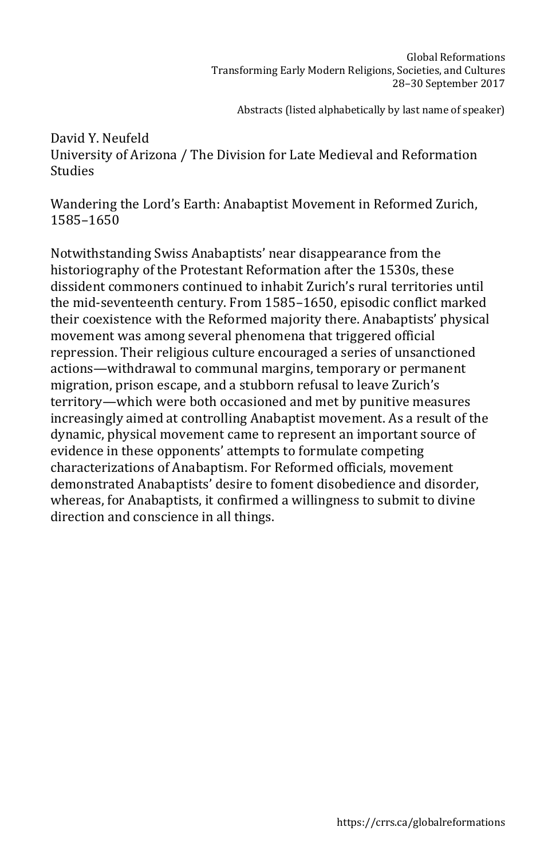## David Y. Neufeld University of Arizona / The Division for Late Medieval and Reformation Studies

Wandering the Lord's Earth: Anabaptist Movement in Reformed Zurich, 1585–1650

Notwithstanding Swiss Anabaptists' near disappearance from the historiography of the Protestant Reformation after the 1530s, these dissident commoners continued to inhabit Zurich's rural territories until the mid-seventeenth century. From 1585–1650, episodic conflict marked their coexistence with the Reformed majority there. Anabaptists' physical movement was among several phenomena that triggered official repression. Their religious culture encouraged a series of unsanctioned actions—withdrawal to communal margins, temporary or permanent migration, prison escape, and a stubborn refusal to leave Zurich's territory—which were both occasioned and met by punitive measures increasingly aimed at controlling Anabaptist movement. As a result of the dynamic, physical movement came to represent an important source of evidence in these opponents' attempts to formulate competing characterizations of Anabaptism. For Reformed officials, movement demonstrated Anabaptists' desire to foment disobedience and disorder, whereas, for Anabaptists, it confirmed a willingness to submit to divine direction and conscience in all things.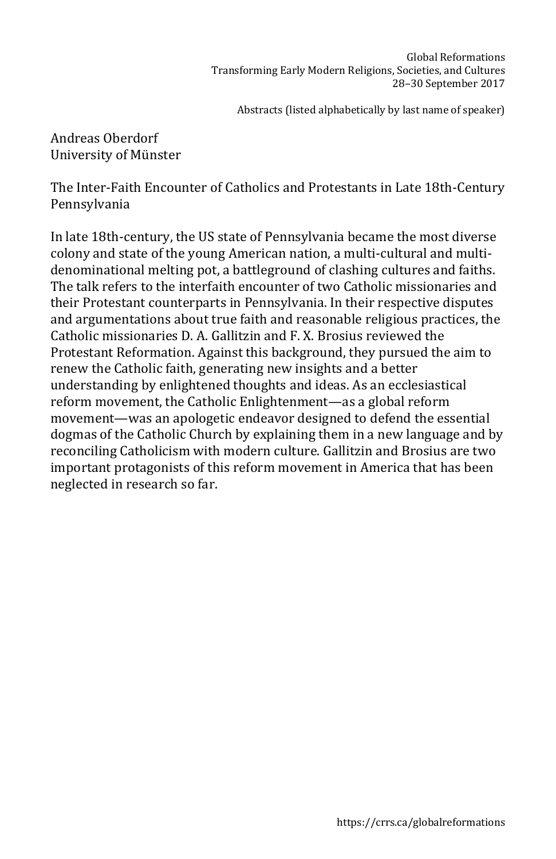Andreas Oberdorf University of Münster

The Inter-Faith Encounter of Catholics and Protestants in Late 18th-Century Pennsylvania

In late 18th-century, the US state of Pennsylvania became the most diverse colony and state of the young American nation, a multi-cultural and multidenominational melting pot, a battleground of clashing cultures and faiths. The talk refers to the interfaith encounter of two Catholic missionaries and their Protestant counterparts in Pennsylvania. In their respective disputes and argumentations about true faith and reasonable religious practices, the Catholic missionaries D. A. Gallitzin and F. X. Brosius reviewed the Protestant Reformation. Against this background, they pursued the aim to renew the Catholic faith, generating new insights and a better understanding by enlightened thoughts and ideas. As an ecclesiastical reform movement, the Catholic Enlightenment—as a global reform movement—was an apologetic endeavor designed to defend the essential dogmas of the Catholic Church by explaining them in a new language and by reconciling Catholicism with modern culture. Gallitzin and Brosius are two important protagonists of this reform movement in America that has been neglected in research so far.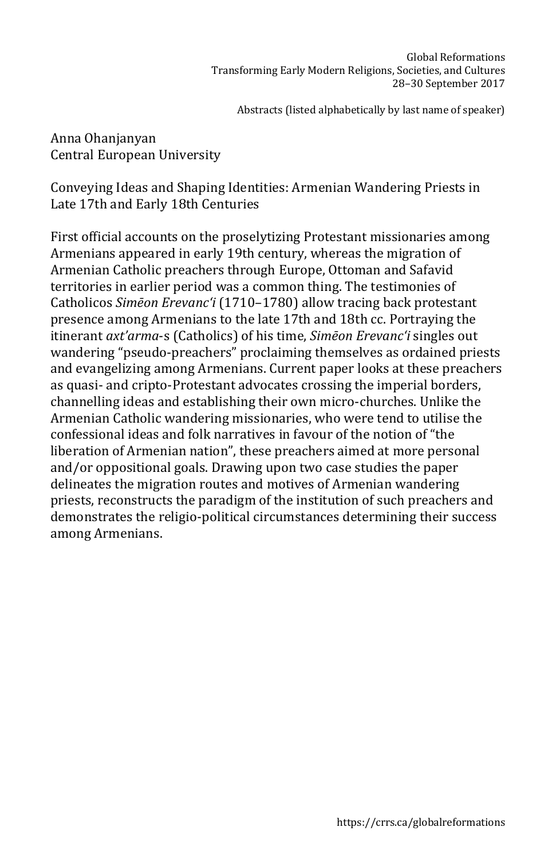Anna Ohanjanyan Central European University

Conveying Ideas and Shaping Identities: Armenian Wandering Priests in Late 17th and Early 18th Centuries

First official accounts on the proselytizing Protestant missionaries among Armenians appeared in early 19th century, whereas the migration of Armenian Catholic preachers through Europe, Ottoman and Safavid territories in earlier period was a common thing. The testimonies of Catholicos *Simēon Erevanc'i* (1710–1780) allow tracing back protestant presence among Armenians to the late 17th and 18th cc. Portraying the itinerant *axt'arma*-s (Catholics) of his time, *Simēon Erevanc'i* singles out wandering "pseudo-preachers" proclaiming themselves as ordained priests and evangelizing among Armenians. Current paper looks at these preachers as quasi- and cripto-Protestant advocates crossing the imperial borders, channelling ideas and establishing their own micro-churches. Unlike the Armenian Catholic wandering missionaries, who were tend to utilise the confessional ideas and folk narratives in favour of the notion of "the liberation of Armenian nation", these preachers aimed at more personal and/or oppositional goals. Drawing upon two case studies the paper delineates the migration routes and motives of Armenian wandering priests, reconstructs the paradigm of the institution of such preachers and demonstrates the religio-political circumstances determining their success among Armenians.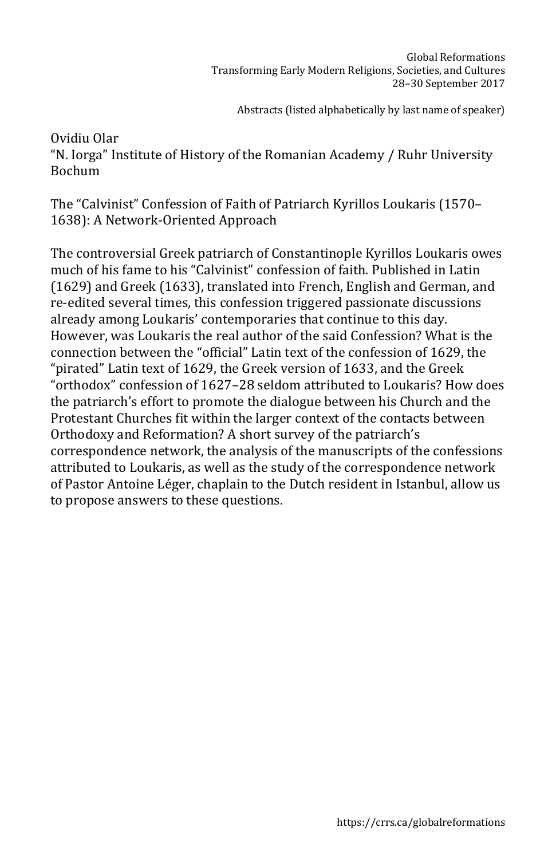Ovidiu Olar "N. Iorga" Institute of History of the Romanian Academy / Ruhr University Bochum

The "Calvinist" Confession of Faith of Patriarch Kyrillos Loukaris (1570– 1638): A Network-Oriented Approach

The controversial Greek patriarch of Constantinople Kyrillos Loukaris owes much of his fame to his "Calvinist" confession of faith. Published in Latin (1629) and Greek (1633), translated into French, English and German, and re-edited several times, this confession triggered passionate discussions already among Loukaris' contemporaries that continue to this day. However, was Loukaris the real author of the said Confession? What is the connection between the "official" Latin text of the confession of 1629, the "pirated" Latin text of 1629, the Greek version of 1633, and the Greek "orthodox" confession of 1627–28 seldom attributed to Loukaris? How does the patriarch's effort to promote the dialogue between his Church and the Protestant Churches fit within the larger context of the contacts between Orthodoxy and Reformation? A short survey of the patriarch's correspondence network, the analysis of the manuscripts of the confessions attributed to Loukaris, as well as the study of the correspondence network of Pastor Antoine Léger, chaplain to the Dutch resident in Istanbul, allow us to propose answers to these questions.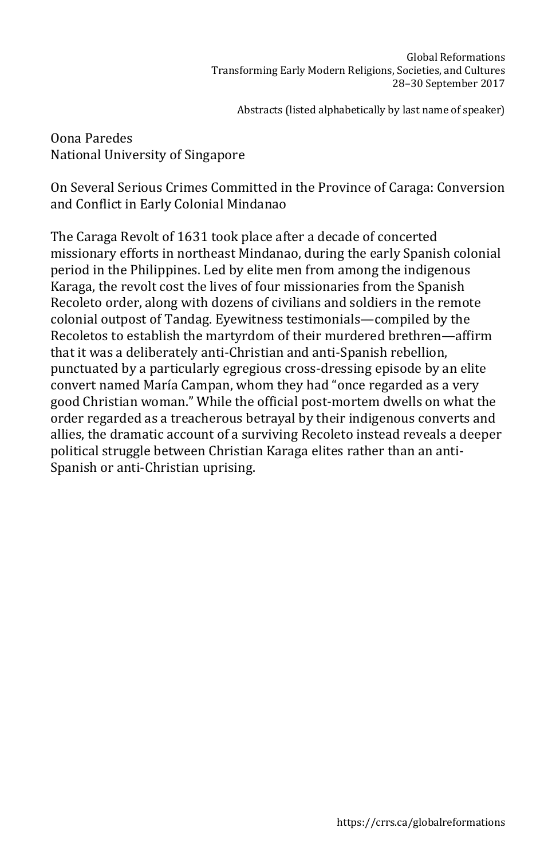Oona Paredes National University of Singapore

On Several Serious Crimes Committed in the Province of Caraga: Conversion and Conflict in Early Colonial Mindanao

The Caraga Revolt of 1631 took place after a decade of concerted missionary efforts in northeast Mindanao, during the early Spanish colonial period in the Philippines. Led by elite men from among the indigenous Karaga, the revolt cost the lives of four missionaries from the Spanish Recoleto order, along with dozens of civilians and soldiers in the remote colonial outpost of Tandag. Eyewitness testimonials—compiled by the Recoletos to establish the martyrdom of their murdered brethren—affirm that it was a deliberately anti-Christian and anti-Spanish rebellion, punctuated by a particularly egregious cross-dressing episode by an elite convert named María Campan, whom they had "once regarded as a very good Christian woman." While the official post-mortem dwells on what the order regarded as a treacherous betrayal by their indigenous converts and allies, the dramatic account of a surviving Recoleto instead reveals a deeper political struggle between Christian Karaga elites rather than an anti-Spanish or anti-Christian uprising.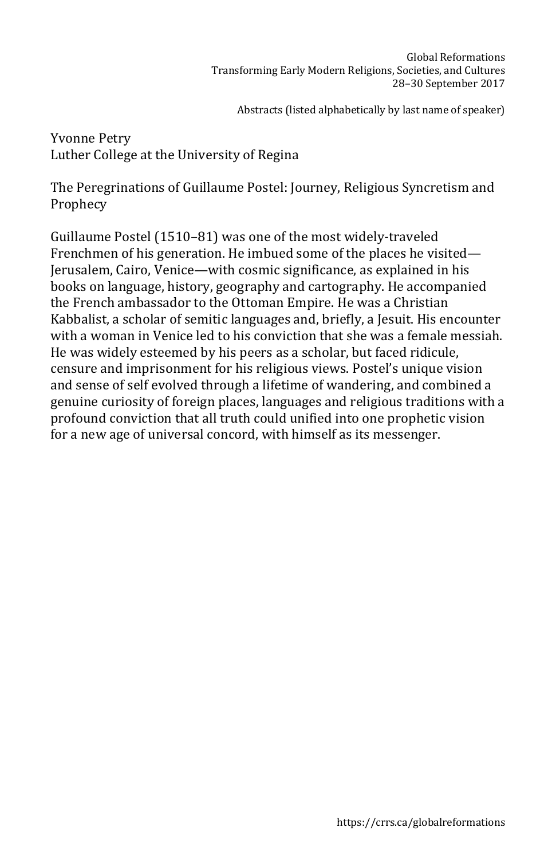Yvonne Petry Luther College at the University of Regina

The Peregrinations of Guillaume Postel: Journey, Religious Syncretism and Prophecy

Guillaume Postel (1510–81) was one of the most widely-traveled Frenchmen of his generation. He imbued some of the places he visited— Jerusalem, Cairo, Venice—with cosmic significance, as explained in his books on language, history, geography and cartography. He accompanied the French ambassador to the Ottoman Empire. He was a Christian Kabbalist, a scholar of semitic languages and, briefly, a Jesuit. His encounter with a woman in Venice led to his conviction that she was a female messiah. He was widely esteemed by his peers as a scholar, but faced ridicule, censure and imprisonment for his religious views. Postel's unique vision and sense of self evolved through a lifetime of wandering, and combined a genuine curiosity of foreign places, languages and religious traditions with a profound conviction that all truth could unified into one prophetic vision for a new age of universal concord, with himself as its messenger.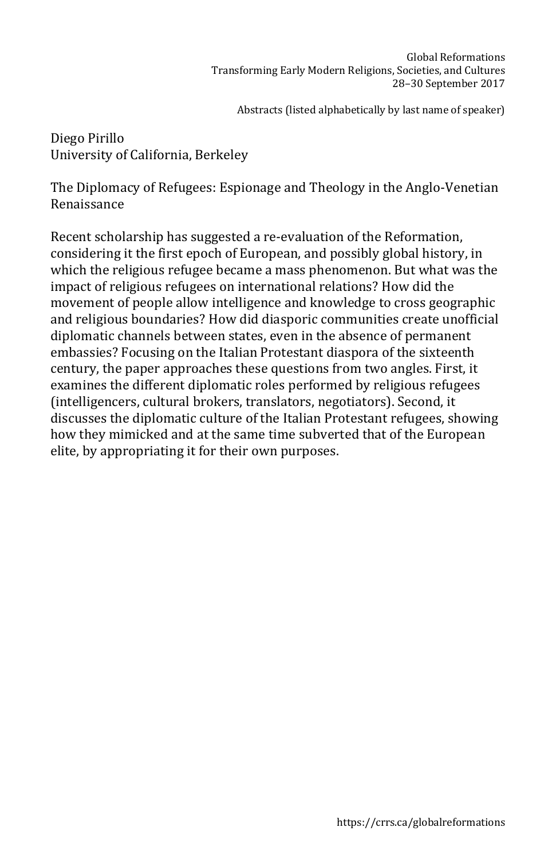Diego Pirillo University of California, Berkeley

The Diplomacy of Refugees: Espionage and Theology in the Anglo-Venetian Renaissance

Recent scholarship has suggested a re-evaluation of the Reformation, considering it the first epoch of European, and possibly global history, in which the religious refugee became a mass phenomenon. But what was the impact of religious refugees on international relations? How did the movement of people allow intelligence and knowledge to cross geographic and religious boundaries? How did diasporic communities create unofficial diplomatic channels between states, even in the absence of permanent embassies? Focusing on the Italian Protestant diaspora of the sixteenth century, the paper approaches these questions from two angles. First, it examines the different diplomatic roles performed by religious refugees (intelligencers, cultural brokers, translators, negotiators). Second, it discusses the diplomatic culture of the Italian Protestant refugees, showing how they mimicked and at the same time subverted that of the European elite, by appropriating it for their own purposes.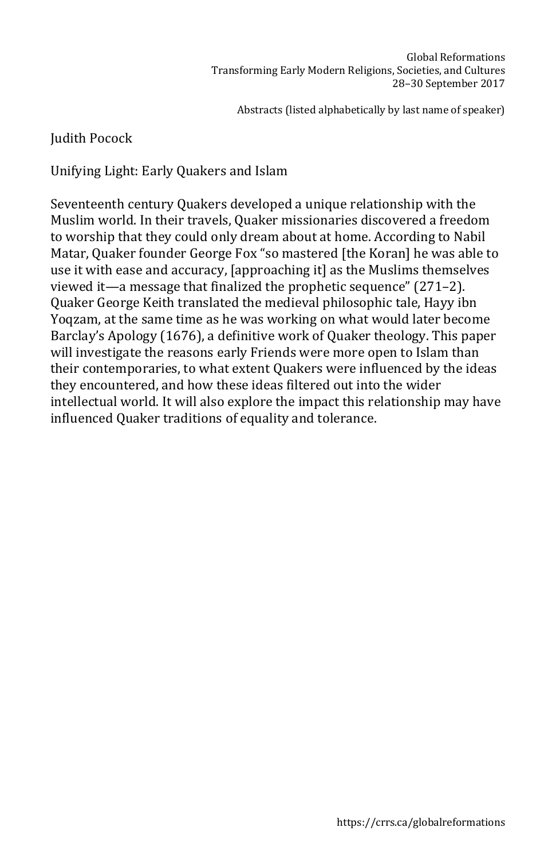# Judith Pocock

Unifying Light: Early Quakers and Islam

Seventeenth century Quakers developed a unique relationship with the Muslim world. In their travels, Quaker missionaries discovered a freedom to worship that they could only dream about at home. According to Nabil Matar, Quaker founder George Fox "so mastered [the Koran] he was able to use it with ease and accuracy, [approaching it] as the Muslims themselves viewed it—a message that finalized the prophetic sequence" (271–2). Quaker George Keith translated the medieval philosophic tale, Hayy ibn Yoqzam, at the same time as he was working on what would later become Barclay's Apology (1676), a definitive work of Quaker theology. This paper will investigate the reasons early Friends were more open to Islam than their contemporaries, to what extent Quakers were influenced by the ideas they encountered, and how these ideas filtered out into the wider intellectual world. It will also explore the impact this relationship may have influenced Quaker traditions of equality and tolerance.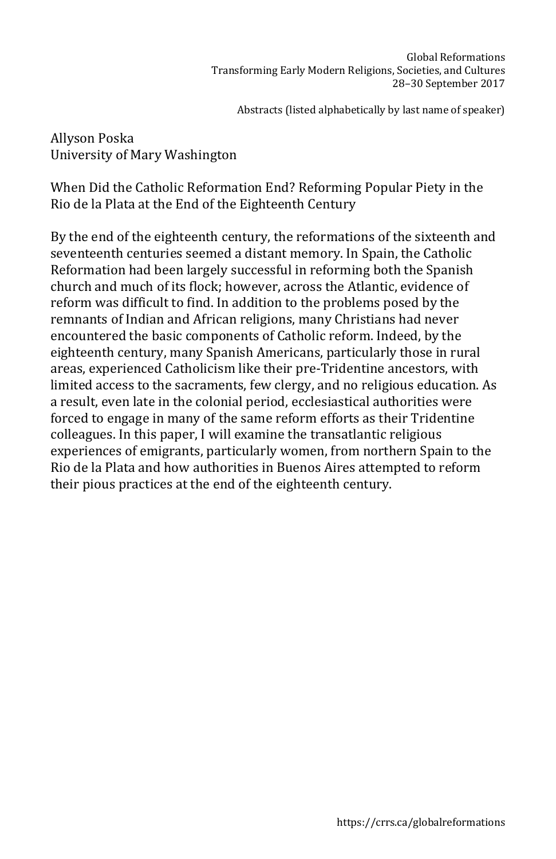Allyson Poska University of Mary Washington

When Did the Catholic Reformation End? Reforming Popular Piety in the Rio de la Plata at the End of the Eighteenth Century

By the end of the eighteenth century, the reformations of the sixteenth and seventeenth centuries seemed a distant memory. In Spain, the Catholic Reformation had been largely successful in reforming both the Spanish church and much of its flock; however, across the Atlantic, evidence of reform was difficult to find. In addition to the problems posed by the remnants of Indian and African religions, many Christians had never encountered the basic components of Catholic reform. Indeed, by the eighteenth century, many Spanish Americans, particularly those in rural areas, experienced Catholicism like their pre-Tridentine ancestors, with limited access to the sacraments, few clergy, and no religious education. As a result, even late in the colonial period, ecclesiastical authorities were forced to engage in many of the same reform efforts as their Tridentine colleagues. In this paper, I will examine the transatlantic religious experiences of emigrants, particularly women, from northern Spain to the Rio de la Plata and how authorities in Buenos Aires attempted to reform their pious practices at the end of the eighteenth century.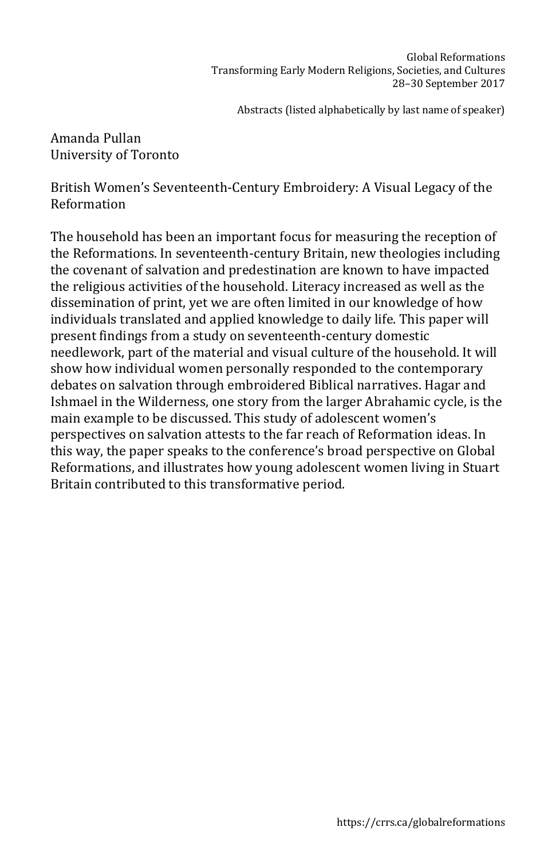Amanda Pullan University of Toronto

British Women's Seventeenth-Century Embroidery: A Visual Legacy of the Reformation

The household has been an important focus for measuring the reception of the Reformations. In seventeenth-century Britain, new theologies including the covenant of salvation and predestination are known to have impacted the religious activities of the household. Literacy increased as well as the dissemination of print, yet we are often limited in our knowledge of how individuals translated and applied knowledge to daily life. This paper will present findings from a study on seventeenth-century domestic needlework, part of the material and visual culture of the household. It will show how individual women personally responded to the contemporary debates on salvation through embroidered Biblical narratives. Hagar and Ishmael in the Wilderness, one story from the larger Abrahamic cycle, is the main example to be discussed. This study of adolescent women's perspectives on salvation attests to the far reach of Reformation ideas. In this way, the paper speaks to the conference's broad perspective on Global Reformations, and illustrates how young adolescent women living in Stuart Britain contributed to this transformative period.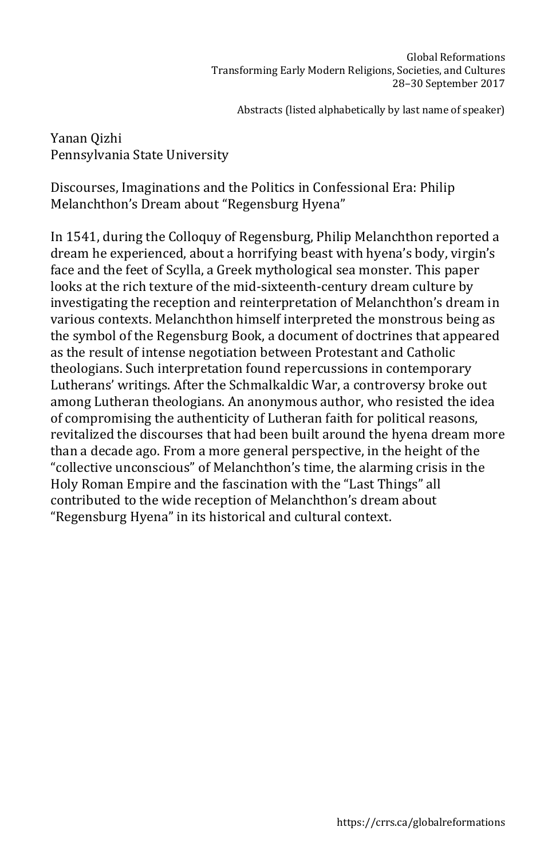Yanan Qizhi Pennsylvania State University

Discourses, Imaginations and the Politics in Confessional Era: Philip Melanchthon's Dream about "Regensburg Hyena"

In 1541, during the Colloquy of Regensburg, Philip Melanchthon reported a dream he experienced, about a horrifying beast with hyena's body, virgin's face and the feet of Scylla, a Greek mythological sea monster. This paper looks at the rich texture of the mid-sixteenth-century dream culture by investigating the reception and reinterpretation of Melanchthon's dream in various contexts. Melanchthon himself interpreted the monstrous being as the symbol of the Regensburg Book, a document of doctrines that appeared as the result of intense negotiation between Protestant and Catholic theologians. Such interpretation found repercussions in contemporary Lutherans' writings. After the Schmalkaldic War, a controversy broke out among Lutheran theologians. An anonymous author, who resisted the idea of compromising the authenticity of Lutheran faith for political reasons, revitalized the discourses that had been built around the hyena dream more than a decade ago. From a more general perspective, in the height of the "collective unconscious" of Melanchthon's time, the alarming crisis in the Holy Roman Empire and the fascination with the "Last Things" all contributed to the wide reception of Melanchthon's dream about "Regensburg Hyena" in its historical and cultural context.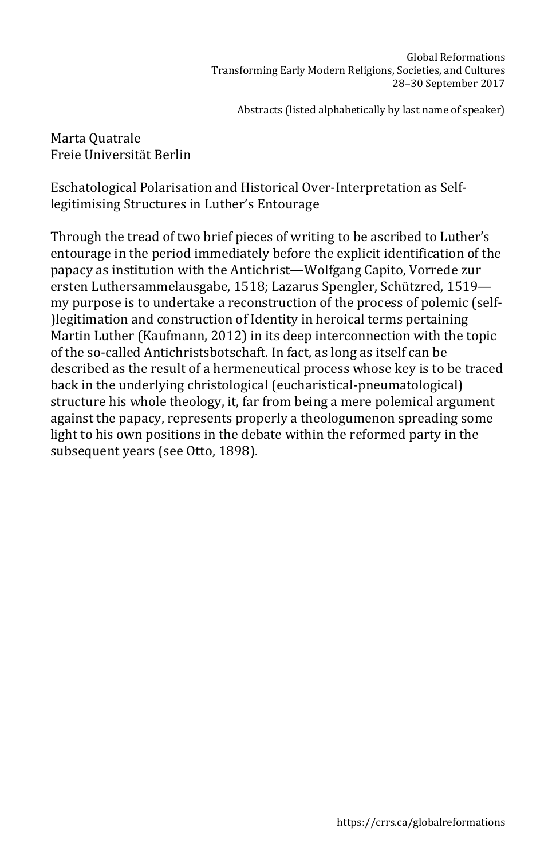Marta Quatrale Freie Universität Berlin

Eschatological Polarisation and Historical Over-Interpretation as Selflegitimising Structures in Luther's Entourage

Through the tread of two brief pieces of writing to be ascribed to Luther's entourage in the period immediately before the explicit identification of the papacy as institution with the Antichrist—Wolfgang Capito, Vorrede zur ersten Luthersammelausgabe, 1518; Lazarus Spengler, Schützred, 1519 my purpose is to undertake a reconstruction of the process of polemic (self- )legitimation and construction of Identity in heroical terms pertaining Martin Luther (Kaufmann, 2012) in its deep interconnection with the topic of the so-called Antichristsbotschaft. In fact, as long as itself can be described as the result of a hermeneutical process whose key is to be traced back in the underlying christological (eucharistical-pneumatological) structure his whole theology, it, far from being a mere polemical argument against the papacy, represents properly a theologumenon spreading some light to his own positions in the debate within the reformed party in the subsequent years (see Otto, 1898).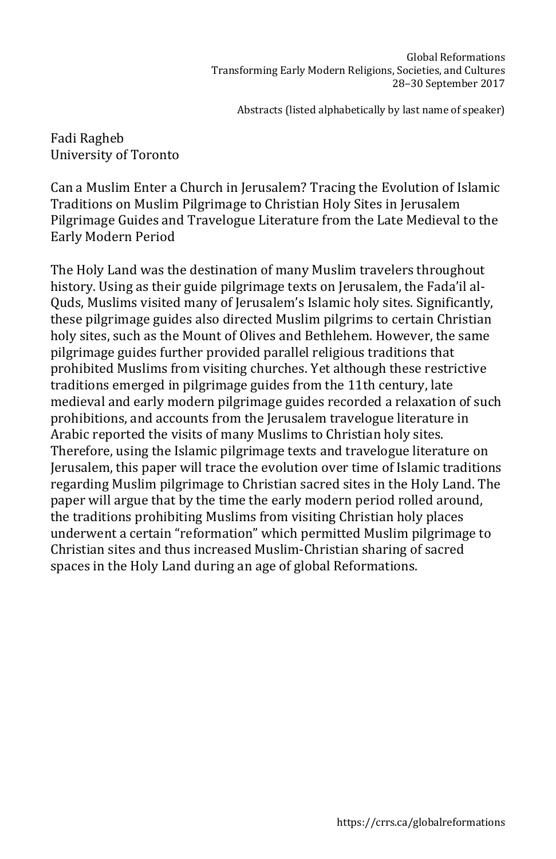Fadi Ragheb University of Toronto

Can a Muslim Enter a Church in Jerusalem? Tracing the Evolution of Islamic Traditions on Muslim Pilgrimage to Christian Holy Sites in Jerusalem Pilgrimage Guides and Travelogue Literature from the Late Medieval to the Early Modern Period

The Holy Land was the destination of many Muslim travelers throughout history. Using as their guide pilgrimage texts on Jerusalem, the Fada'il al-Quds, Muslims visited many of Jerusalem's Islamic holy sites. Significantly, these pilgrimage guides also directed Muslim pilgrims to certain Christian holy sites, such as the Mount of Olives and Bethlehem. However, the same pilgrimage guides further provided parallel religious traditions that prohibited Muslims from visiting churches. Yet although these restrictive traditions emerged in pilgrimage guides from the 11th century, late medieval and early modern pilgrimage guides recorded a relaxation of such prohibitions, and accounts from the Jerusalem travelogue literature in Arabic reported the visits of many Muslims to Christian holy sites. Therefore, using the Islamic pilgrimage texts and travelogue literature on Jerusalem, this paper will trace the evolution over time of Islamic traditions regarding Muslim pilgrimage to Christian sacred sites in the Holy Land. The paper will argue that by the time the early modern period rolled around, the traditions prohibiting Muslims from visiting Christian holy places underwent a certain "reformation" which permitted Muslim pilgrimage to Christian sites and thus increased Muslim-Christian sharing of sacred spaces in the Holy Land during an age of global Reformations.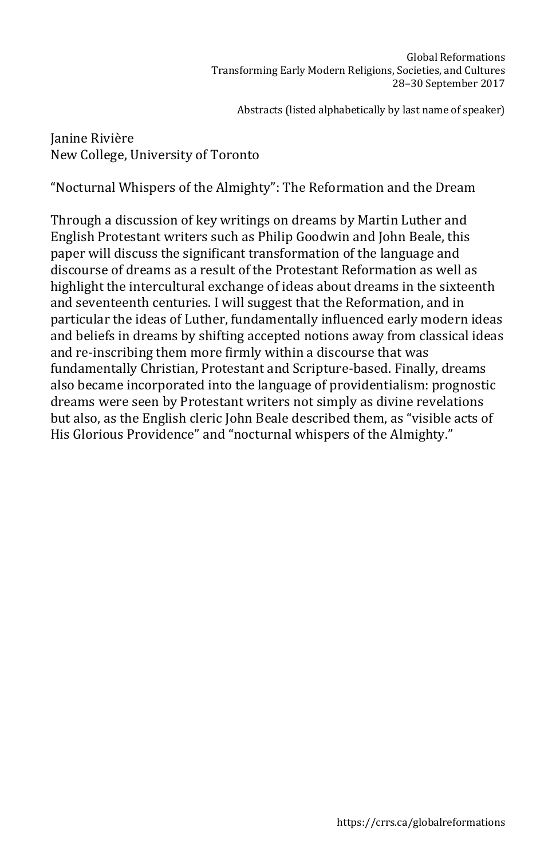Janine Rivière New College, University of Toronto

"Nocturnal Whispers of the Almighty": The Reformation and the Dream

Through a discussion of key writings on dreams by Martin Luther and English Protestant writers such as Philip Goodwin and John Beale, this paper will discuss the significant transformation of the language and discourse of dreams as a result of the Protestant Reformation as well as highlight the intercultural exchange of ideas about dreams in the sixteenth and seventeenth centuries. I will suggest that the Reformation, and in particular the ideas of Luther, fundamentally influenced early modern ideas and beliefs in dreams by shifting accepted notions away from classical ideas and re-inscribing them more firmly within a discourse that was fundamentally Christian, Protestant and Scripture-based. Finally, dreams also became incorporated into the language of providentialism: prognostic dreams were seen by Protestant writers not simply as divine revelations but also, as the English cleric John Beale described them, as "visible acts of His Glorious Providence" and "nocturnal whispers of the Almighty."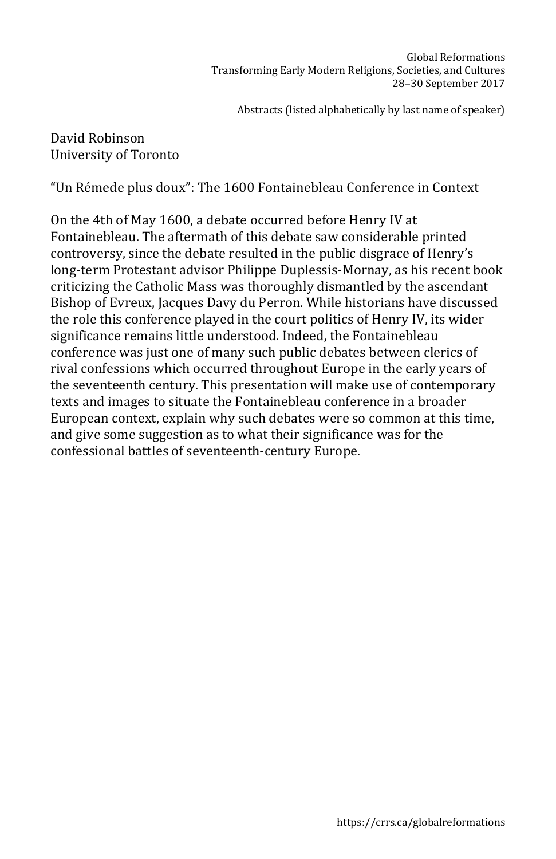#### David Robinson University of Toronto

"Un Rémede plus doux": The 1600 Fontainebleau Conference in Context

On the 4th of May 1600, a debate occurred before Henry IV at Fontainebleau. The aftermath of this debate saw considerable printed controversy, since the debate resulted in the public disgrace of Henry's long-term Protestant advisor Philippe Duplessis-Mornay, as his recent book criticizing the Catholic Mass was thoroughly dismantled by the ascendant Bishop of Evreux, Jacques Davy du Perron. While historians have discussed the role this conference played in the court politics of Henry IV, its wider significance remains little understood. Indeed, the Fontainebleau conference was just one of many such public debates between clerics of rival confessions which occurred throughout Europe in the early years of the seventeenth century. This presentation will make use of contemporary texts and images to situate the Fontainebleau conference in a broader European context, explain why such debates were so common at this time, and give some suggestion as to what their significance was for the confessional battles of seventeenth-century Europe.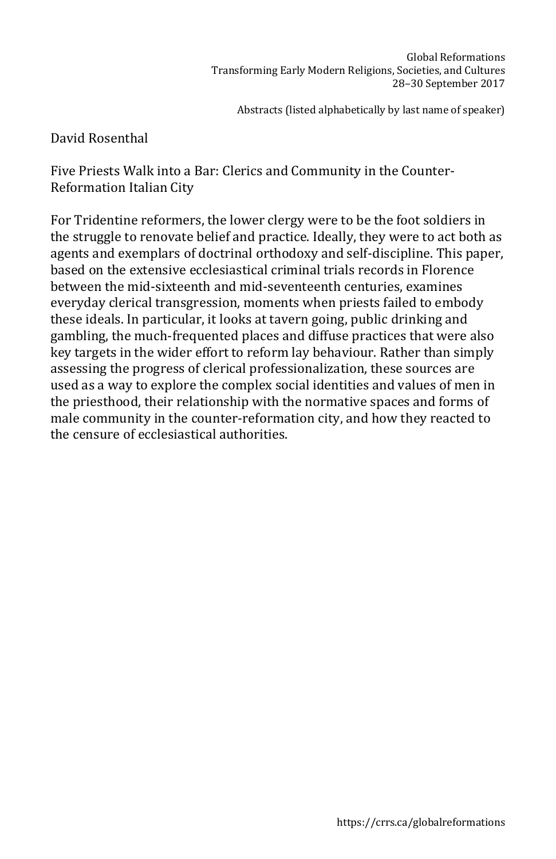## David Rosenthal

Five Priests Walk into a Bar: Clerics and Community in the Counter-Reformation Italian City

For Tridentine reformers, the lower clergy were to be the foot soldiers in the struggle to renovate belief and practice. Ideally, they were to act both as agents and exemplars of doctrinal orthodoxy and self-discipline. This paper, based on the extensive ecclesiastical criminal trials records in Florence between the mid-sixteenth and mid-seventeenth centuries, examines everyday clerical transgression, moments when priests failed to embody these ideals. In particular, it looks at tavern going, public drinking and gambling, the much-frequented places and diffuse practices that were also key targets in the wider effort to reform lay behaviour. Rather than simply assessing the progress of clerical professionalization, these sources are used as a way to explore the complex social identities and values of men in the priesthood, their relationship with the normative spaces and forms of male community in the counter-reformation city, and how they reacted to the censure of ecclesiastical authorities.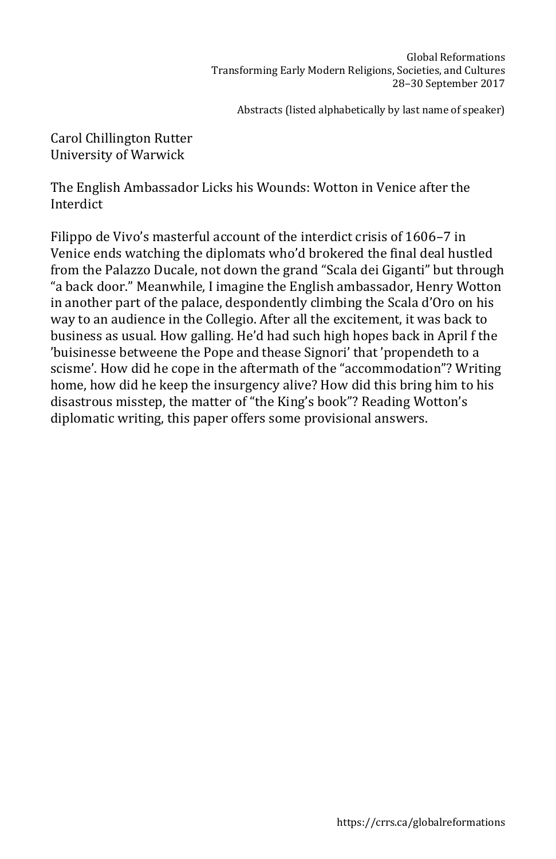Carol Chillington Rutter University of Warwick

The English Ambassador Licks his Wounds: Wotton in Venice after the Interdict

Filippo de Vivo's masterful account of the interdict crisis of 1606–7 in Venice ends watching the diplomats who'd brokered the final deal hustled from the Palazzo Ducale, not down the grand "Scala dei Giganti" but through "a back door." Meanwhile, I imagine the English ambassador, Henry Wotton in another part of the palace, despondently climbing the Scala d'Oro on his way to an audience in the Collegio. After all the excitement, it was back to business as usual. How galling. He'd had such high hopes back in April f the 'buisinesse betweene the Pope and thease Signori' that 'propendeth to a scisme'. How did he cope in the aftermath of the "accommodation"? Writing home, how did he keep the insurgency alive? How did this bring him to his disastrous misstep, the matter of "the King's book"? Reading Wotton's diplomatic writing, this paper offers some provisional answers.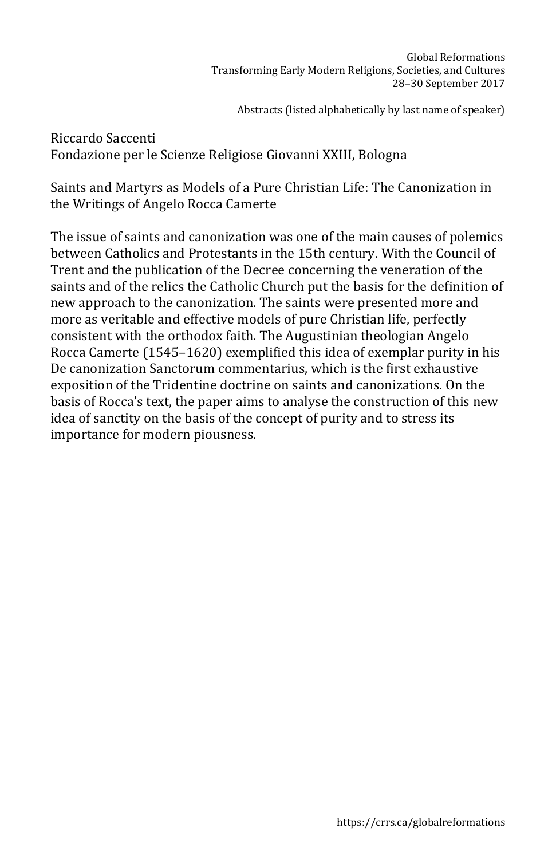Riccardo Saccenti Fondazione per le Scienze Religiose Giovanni XXIII, Bologna

Saints and Martyrs as Models of a Pure Christian Life: The Canonization in the Writings of Angelo Rocca Camerte

The issue of saints and canonization was one of the main causes of polemics between Catholics and Protestants in the 15th century. With the Council of Trent and the publication of the Decree concerning the veneration of the saints and of the relics the Catholic Church put the basis for the definition of new approach to the canonization. The saints were presented more and more as veritable and effective models of pure Christian life, perfectly consistent with the orthodox faith. The Augustinian theologian Angelo Rocca Camerte (1545–1620) exemplified this idea of exemplar purity in his De canonization Sanctorum commentarius, which is the first exhaustive exposition of the Tridentine doctrine on saints and canonizations. On the basis of Rocca's text, the paper aims to analyse the construction of this new idea of sanctity on the basis of the concept of purity and to stress its importance for modern piousness.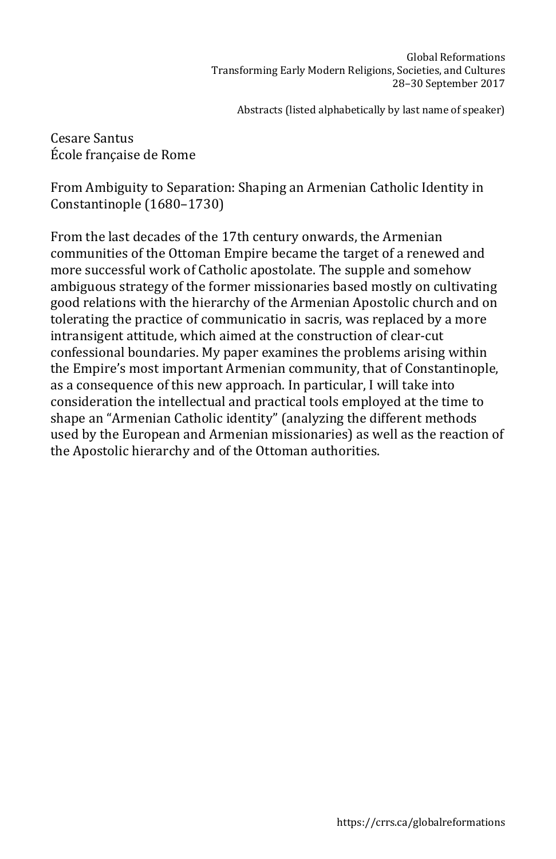Cesare Santus École française de Rome

From Ambiguity to Separation: Shaping an Armenian Catholic Identity in Constantinople (1680–1730)

From the last decades of the 17th century onwards, the Armenian communities of the Ottoman Empire became the target of a renewed and more successful work of Catholic apostolate. The supple and somehow ambiguous strategy of the former missionaries based mostly on cultivating good relations with the hierarchy of the Armenian Apostolic church and on tolerating the practice of communicatio in sacris, was replaced by a more intransigent attitude, which aimed at the construction of clear-cut confessional boundaries. My paper examines the problems arising within the Empire's most important Armenian community, that of Constantinople, as a consequence of this new approach. In particular, I will take into consideration the intellectual and practical tools employed at the time to shape an "Armenian Catholic identity" (analyzing the different methods used by the European and Armenian missionaries) as well as the reaction of the Apostolic hierarchy and of the Ottoman authorities.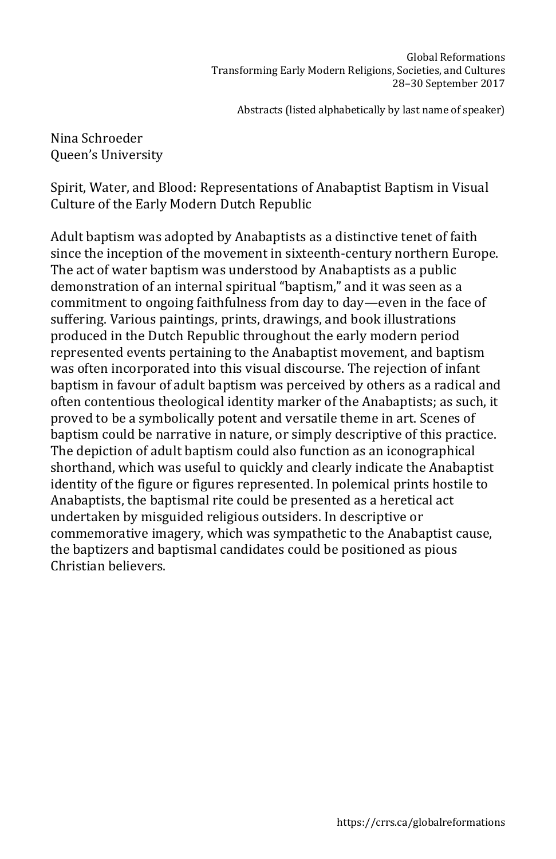Nina Schroeder Queen's University

Spirit, Water, and Blood: Representations of Anabaptist Baptism in Visual Culture of the Early Modern Dutch Republic

Adult baptism was adopted by Anabaptists as a distinctive tenet of faith since the inception of the movement in sixteenth-century northern Europe. The act of water baptism was understood by Anabaptists as a public demonstration of an internal spiritual "baptism," and it was seen as a commitment to ongoing faithfulness from day to day—even in the face of suffering. Various paintings, prints, drawings, and book illustrations produced in the Dutch Republic throughout the early modern period represented events pertaining to the Anabaptist movement, and baptism was often incorporated into this visual discourse. The rejection of infant baptism in favour of adult baptism was perceived by others as a radical and often contentious theological identity marker of the Anabaptists; as such, it proved to be a symbolically potent and versatile theme in art. Scenes of baptism could be narrative in nature, or simply descriptive of this practice. The depiction of adult baptism could also function as an iconographical shorthand, which was useful to quickly and clearly indicate the Anabaptist identity of the figure or figures represented. In polemical prints hostile to Anabaptists, the baptismal rite could be presented as a heretical act undertaken by misguided religious outsiders. In descriptive or commemorative imagery, which was sympathetic to the Anabaptist cause, the baptizers and baptismal candidates could be positioned as pious Christian believers.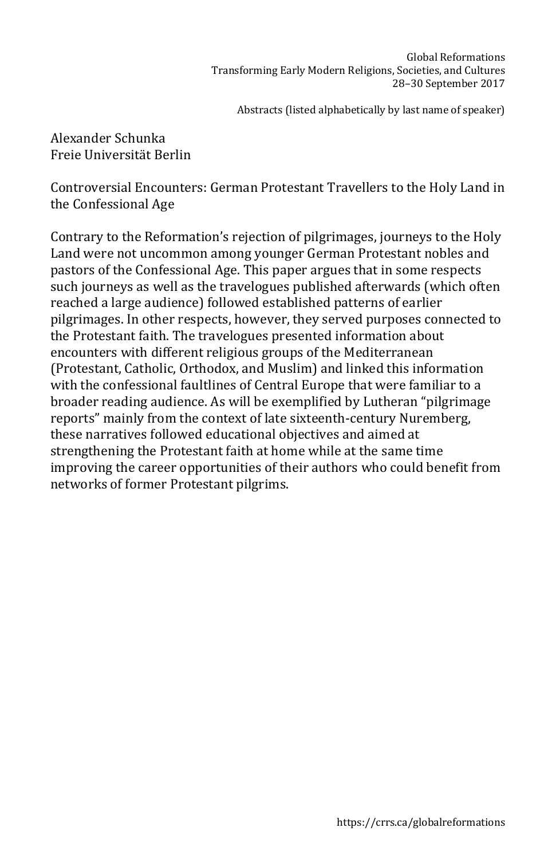Alexander Schunka Freie Universität Berlin

Controversial Encounters: German Protestant Travellers to the Holy Land in the Confessional Age

Contrary to the Reformation's rejection of pilgrimages, journeys to the Holy Land were not uncommon among younger German Protestant nobles and pastors of the Confessional Age. This paper argues that in some respects such journeys as well as the travelogues published afterwards (which often reached a large audience) followed established patterns of earlier pilgrimages. In other respects, however, they served purposes connected to the Protestant faith. The travelogues presented information about encounters with different religious groups of the Mediterranean (Protestant, Catholic, Orthodox, and Muslim) and linked this information with the confessional faultlines of Central Europe that were familiar to a broader reading audience. As will be exemplified by Lutheran "pilgrimage reports" mainly from the context of late sixteenth-century Nuremberg, these narratives followed educational objectives and aimed at strengthening the Protestant faith at home while at the same time improving the career opportunities of their authors who could benefit from networks of former Protestant pilgrims.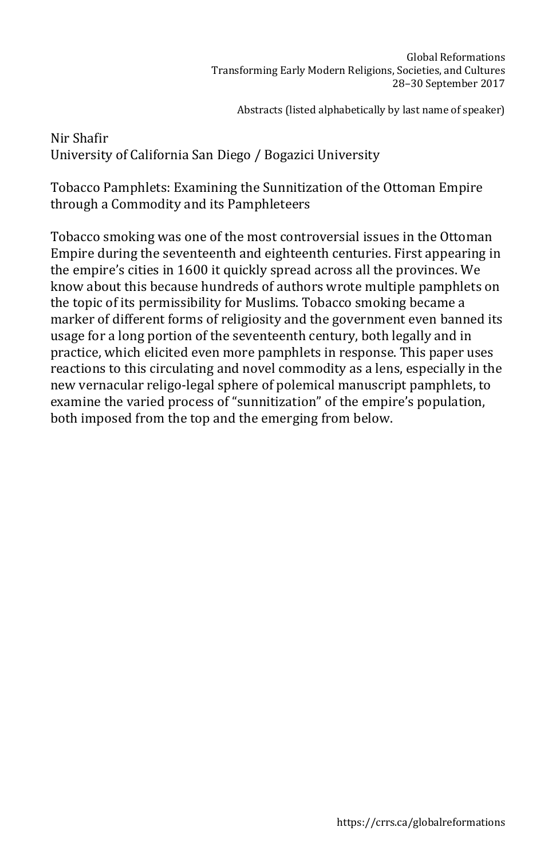Nir Shafir University of California San Diego / Bogazici University

Tobacco Pamphlets: Examining the Sunnitization of the Ottoman Empire through a Commodity and its Pamphleteers

Tobacco smoking was one of the most controversial issues in the Ottoman Empire during the seventeenth and eighteenth centuries. First appearing in the empire's cities in 1600 it quickly spread across all the provinces. We know about this because hundreds of authors wrote multiple pamphlets on the topic of its permissibility for Muslims. Tobacco smoking became a marker of different forms of religiosity and the government even banned its usage for a long portion of the seventeenth century, both legally and in practice, which elicited even more pamphlets in response. This paper uses reactions to this circulating and novel commodity as a lens, especially in the new vernacular religo-legal sphere of polemical manuscript pamphlets, to examine the varied process of "sunnitization" of the empire's population, both imposed from the top and the emerging from below.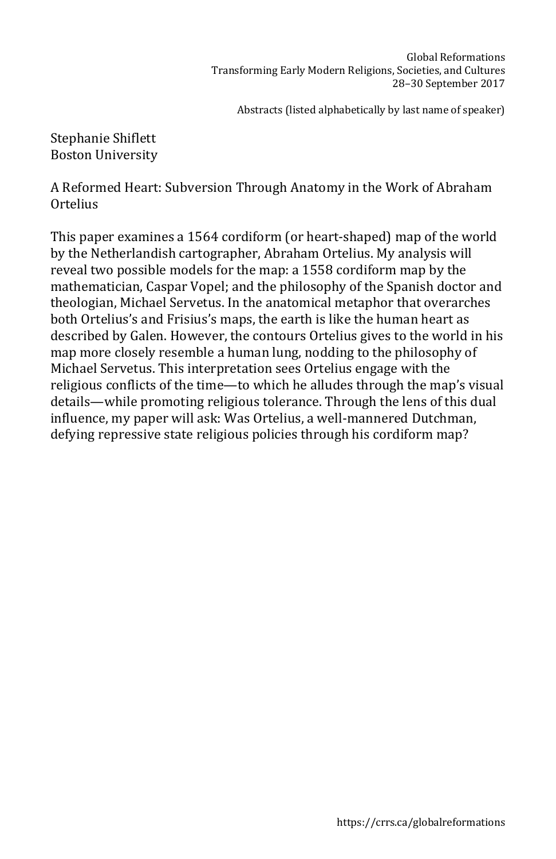Stephanie Shiflett Boston University

A Reformed Heart: Subversion Through Anatomy in the Work of Abraham Ortelius

This paper examines a 1564 cordiform (or heart-shaped) map of the world by the Netherlandish cartographer, Abraham Ortelius. My analysis will reveal two possible models for the map: a 1558 cordiform map by the mathematician, Caspar Vopel; and the philosophy of the Spanish doctor and theologian, Michael Servetus. In the anatomical metaphor that overarches both Ortelius's and Frisius's maps, the earth is like the human heart as described by Galen. However, the contours Ortelius gives to the world in his map more closely resemble a human lung, nodding to the philosophy of Michael Servetus. This interpretation sees Ortelius engage with the religious conflicts of the time—to which he alludes through the map's visual details—while promoting religious tolerance. Through the lens of this dual influence, my paper will ask: Was Ortelius, a well-mannered Dutchman, defying repressive state religious policies through his cordiform map?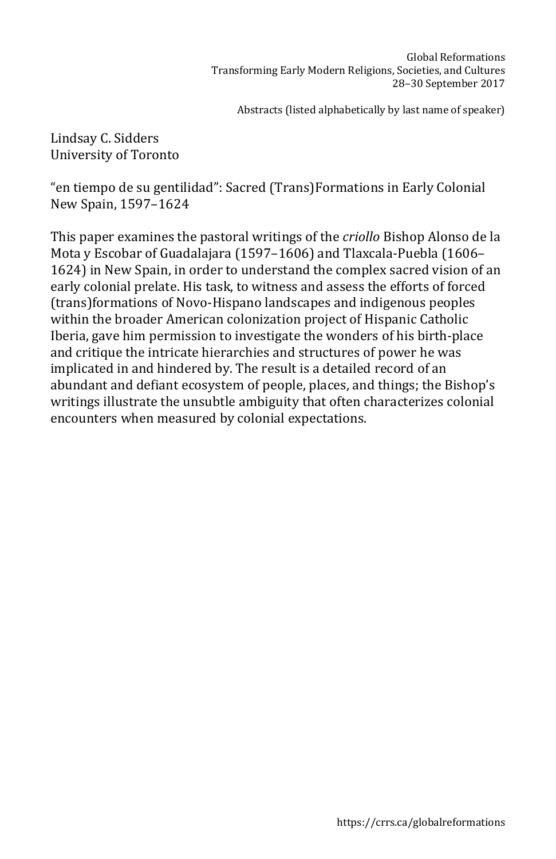Lindsay C. Sidders University of Toronto

"en tiempo de su gentilidad": Sacred (Trans)Formations in Early Colonial New Spain, 1597–1624

This paper examines the pastoral writings of the *criollo* Bishop Alonso de la Mota y Escobar of Guadalajara (1597–1606) and Tlaxcala-Puebla (1606– 1624) in New Spain, in order to understand the complex sacred vision of an early colonial prelate. His task, to witness and assess the efforts of forced (trans)formations of Novo-Hispano landscapes and indigenous peoples within the broader American colonization project of Hispanic Catholic Iberia, gave him permission to investigate the wonders of his birth-place and critique the intricate hierarchies and structures of power he was implicated in and hindered by. The result is a detailed record of an abundant and defiant ecosystem of people, places, and things; the Bishop's writings illustrate the unsubtle ambiguity that often characterizes colonial encounters when measured by colonial expectations.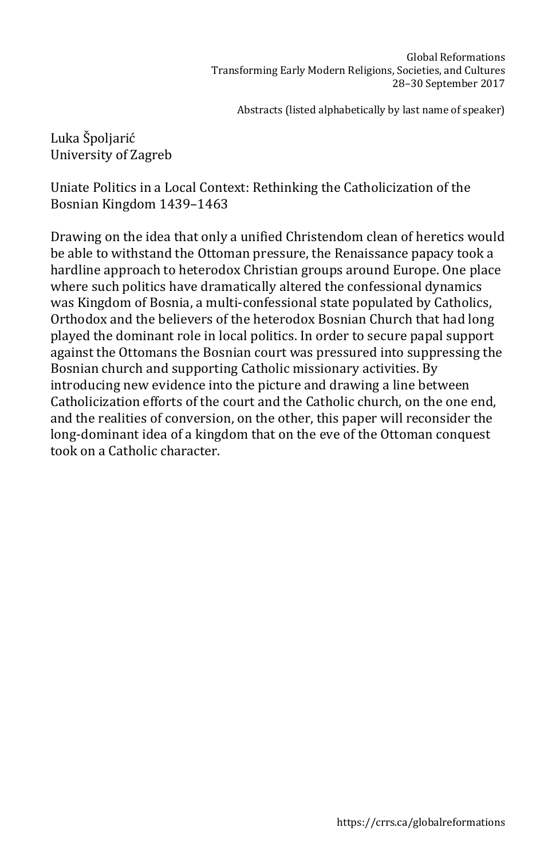Luka Špoljarić University of Zagreb

Uniate Politics in a Local Context: Rethinking the Catholicization of the Bosnian Kingdom 1439–1463

Drawing on the idea that only a unified Christendom clean of heretics would be able to withstand the Ottoman pressure, the Renaissance papacy took a hardline approach to heterodox Christian groups around Europe. One place where such politics have dramatically altered the confessional dynamics was Kingdom of Bosnia, a multi-confessional state populated by Catholics, Orthodox and the believers of the heterodox Bosnian Church that had long played the dominant role in local politics. In order to secure papal support against the Ottomans the Bosnian court was pressured into suppressing the Bosnian church and supporting Catholic missionary activities. By introducing new evidence into the picture and drawing a line between Catholicization efforts of the court and the Catholic church, on the one end, and the realities of conversion, on the other, this paper will reconsider the long-dominant idea of a kingdom that on the eve of the Ottoman conquest took on a Catholic character.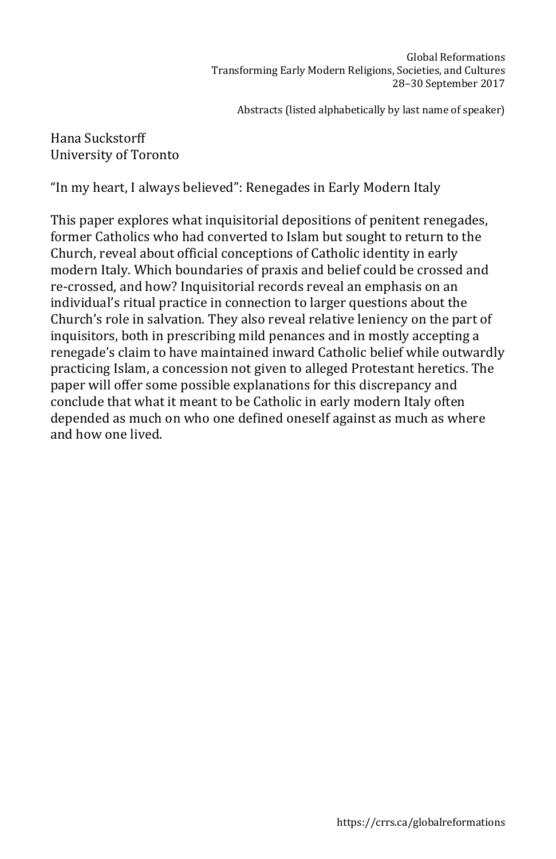## Hana Suckstorff University of Toronto

"In my heart, I always believed": Renegades in Early Modern Italy

This paper explores what inquisitorial depositions of penitent renegades, former Catholics who had converted to Islam but sought to return to the Church, reveal about official conceptions of Catholic identity in early modern Italy. Which boundaries of praxis and belief could be crossed and re-crossed, and how? Inquisitorial records reveal an emphasis on an individual's ritual practice in connection to larger questions about the Church's role in salvation. They also reveal relative leniency on the part of inquisitors, both in prescribing mild penances and in mostly accepting a renegade's claim to have maintained inward Catholic belief while outwardly practicing Islam, a concession not given to alleged Protestant heretics. The paper will offer some possible explanations for this discrepancy and conclude that what it meant to be Catholic in early modern Italy often depended as much on who one defined oneself against as much as where and how one lived.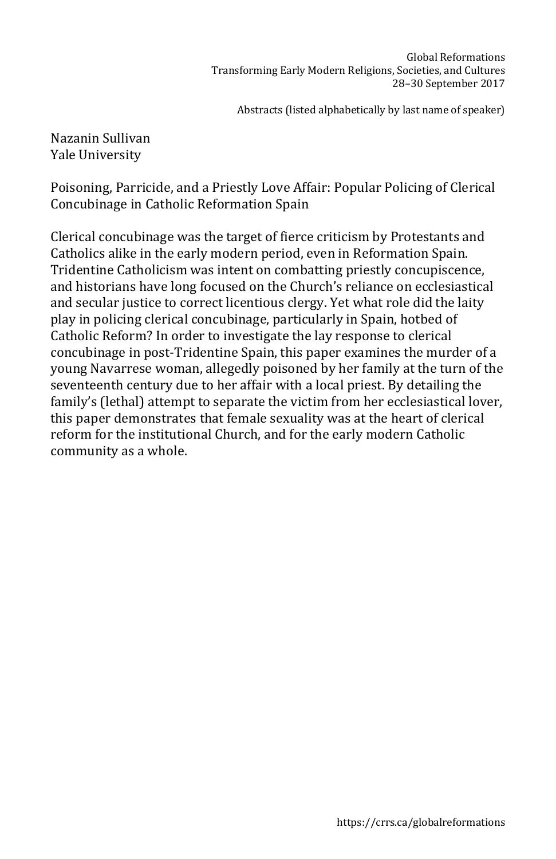## Nazanin Sullivan Yale University

Poisoning, Parricide, and a Priestly Love Affair: Popular Policing of Clerical Concubinage in Catholic Reformation Spain

Clerical concubinage was the target of fierce criticism by Protestants and Catholics alike in the early modern period, even in Reformation Spain. Tridentine Catholicism was intent on combatting priestly concupiscence, and historians have long focused on the Church's reliance on ecclesiastical and secular justice to correct licentious clergy. Yet what role did the laity play in policing clerical concubinage, particularly in Spain, hotbed of Catholic Reform? In order to investigate the lay response to clerical concubinage in post-Tridentine Spain, this paper examines the murder of a young Navarrese woman, allegedly poisoned by her family at the turn of the seventeenth century due to her affair with a local priest. By detailing the family's (lethal) attempt to separate the victim from her ecclesiastical lover, this paper demonstrates that female sexuality was at the heart of clerical reform for the institutional Church, and for the early modern Catholic community as a whole.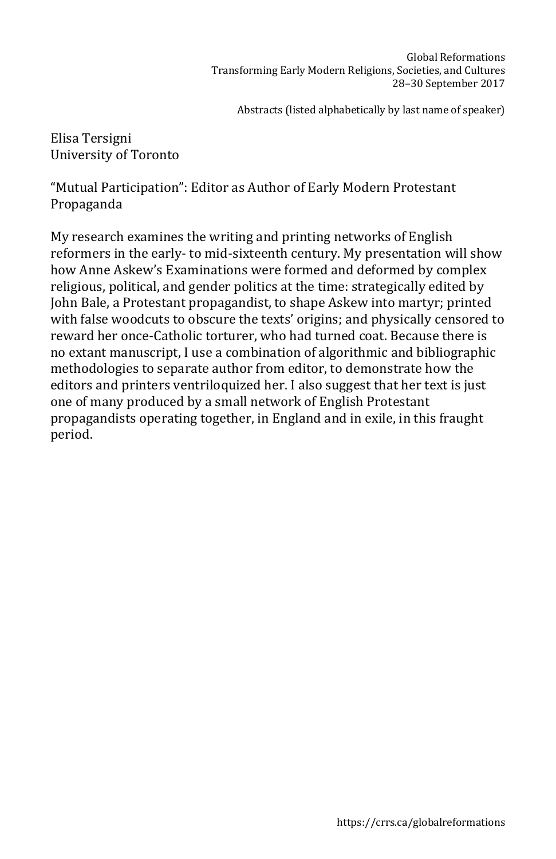Elisa Tersigni University of Toronto

"Mutual Participation": Editor as Author of Early Modern Protestant Propaganda

My research examines the writing and printing networks of English reformers in the early- to mid-sixteenth century. My presentation will show how Anne Askew's Examinations were formed and deformed by complex religious, political, and gender politics at the time: strategically edited by John Bale, a Protestant propagandist, to shape Askew into martyr; printed with false woodcuts to obscure the texts' origins; and physically censored to reward her once-Catholic torturer, who had turned coat. Because there is no extant manuscript, I use a combination of algorithmic and bibliographic methodologies to separate author from editor, to demonstrate how the editors and printers ventriloquized her. I also suggest that her text is just one of many produced by a small network of English Protestant propagandists operating together, in England and in exile, in this fraught period.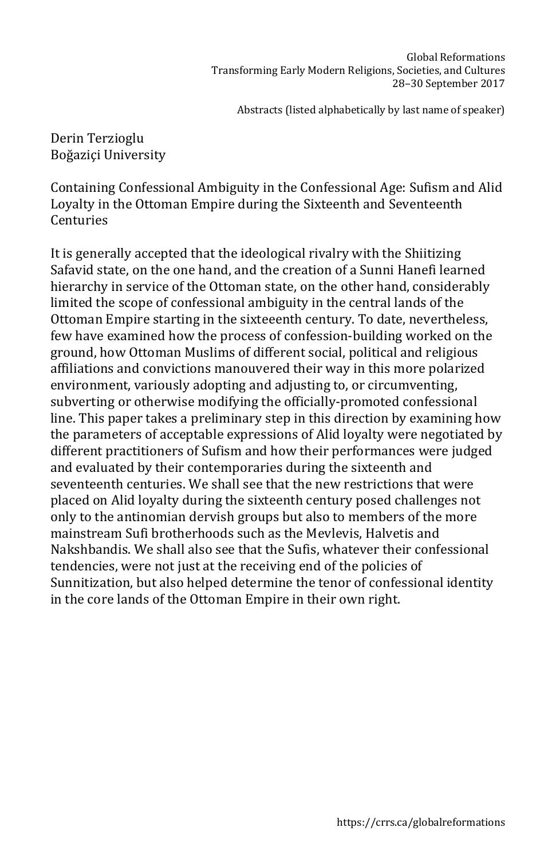Derin Terzioglu Boğaziçi University

Containing Confessional Ambiguity in the Confessional Age: Sufism and Alid Loyalty in the Ottoman Empire during the Sixteenth and Seventeenth Centuries

It is generally accepted that the ideological rivalry with the Shiitizing Safavid state, on the one hand, and the creation of a Sunni Hanefi learned hierarchy in service of the Ottoman state, on the other hand, considerably limited the scope of confessional ambiguity in the central lands of the Ottoman Empire starting in the sixteeenth century. To date, nevertheless, few have examined how the process of confession-building worked on the ground, how Ottoman Muslims of different social, political and religious affiliations and convictions manouvered their way in this more polarized environment, variously adopting and adjusting to, or circumventing, subverting or otherwise modifying the officially-promoted confessional line. This paper takes a preliminary step in this direction by examining how the parameters of acceptable expressions of Alid loyalty were negotiated by different practitioners of Sufism and how their performances were judged and evaluated by their contemporaries during the sixteenth and seventeenth centuries. We shall see that the new restrictions that were placed on Alid loyalty during the sixteenth century posed challenges not only to the antinomian dervish groups but also to members of the more mainstream Sufi brotherhoods such as the Mevlevis, Halvetis and Nakshbandis. We shall also see that the Sufis, whatever their confessional tendencies, were not just at the receiving end of the policies of Sunnitization, but also helped determine the tenor of confessional identity in the core lands of the Ottoman Empire in their own right.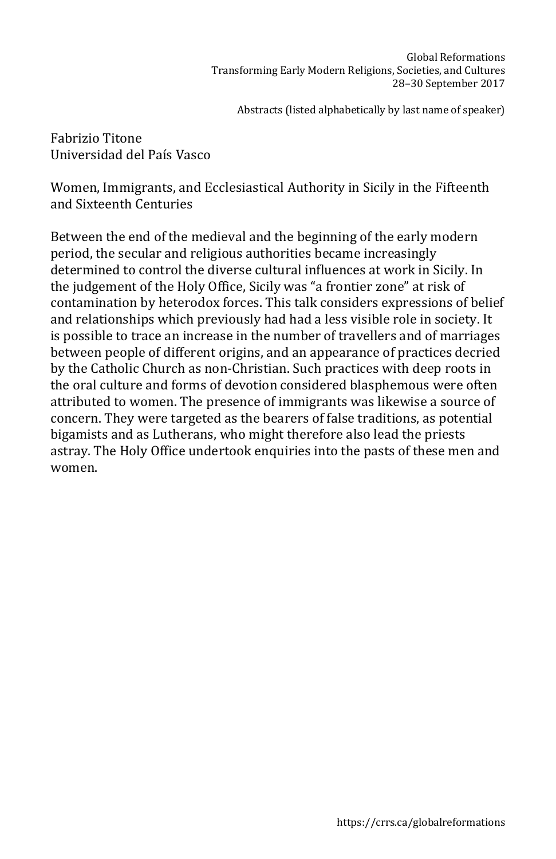Fabrizio Titone Universidad del País Vasco

Women, Immigrants, and Ecclesiastical Authority in Sicily in the Fifteenth and Sixteenth Centuries

Between the end of the medieval and the beginning of the early modern period, the secular and religious authorities became increasingly determined to control the diverse cultural influences at work in Sicily. In the judgement of the Holy Office, Sicily was "a frontier zone" at risk of contamination by heterodox forces. This talk considers expressions of belief and relationships which previously had had a less visible role in society. It is possible to trace an increase in the number of travellers and of marriages between people of different origins, and an appearance of practices decried by the Catholic Church as non-Christian. Such practices with deep roots in the oral culture and forms of devotion considered blasphemous were often attributed to women. The presence of immigrants was likewise a source of concern. They were targeted as the bearers of false traditions, as potential bigamists and as Lutherans, who might therefore also lead the priests astray. The Holy Office undertook enquiries into the pasts of these men and women.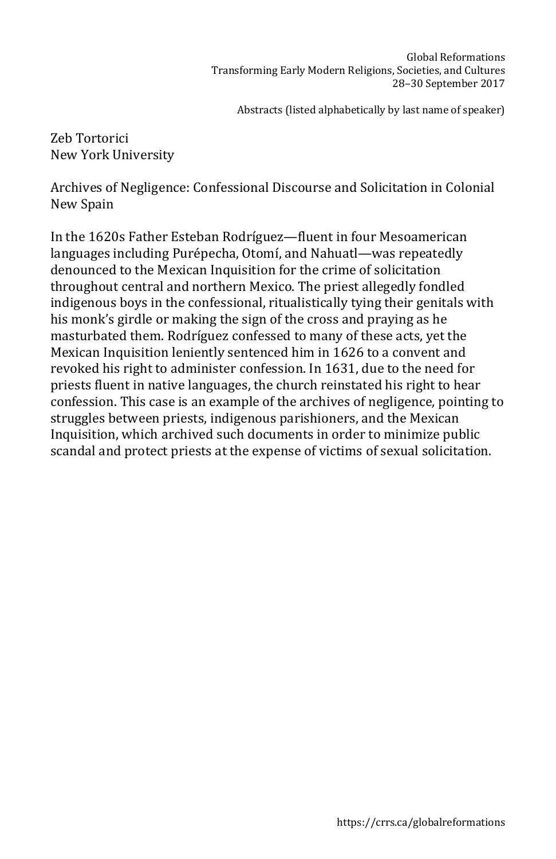Zeb Tortorici New York University

Archives of Negligence: Confessional Discourse and Solicitation in Colonial New Spain

In the 1620s Father Esteban Rodríguez—fluent in four Mesoamerican languages including Purépecha, Otomí, and Nahuatl—was repeatedly denounced to the Mexican Inquisition for the crime of solicitation throughout central and northern Mexico. The priest allegedly fondled indigenous boys in the confessional, ritualistically tying their genitals with his monk's girdle or making the sign of the cross and praying as he masturbated them. Rodríguez confessed to many of these acts, yet the Mexican Inquisition leniently sentenced him in 1626 to a convent and revoked his right to administer confession. In 1631, due to the need for priests fluent in native languages, the church reinstated his right to hear confession. This case is an example of the archives of negligence, pointing to struggles between priests, indigenous parishioners, and the Mexican Inquisition, which archived such documents in order to minimize public scandal and protect priests at the expense of victims of sexual solicitation.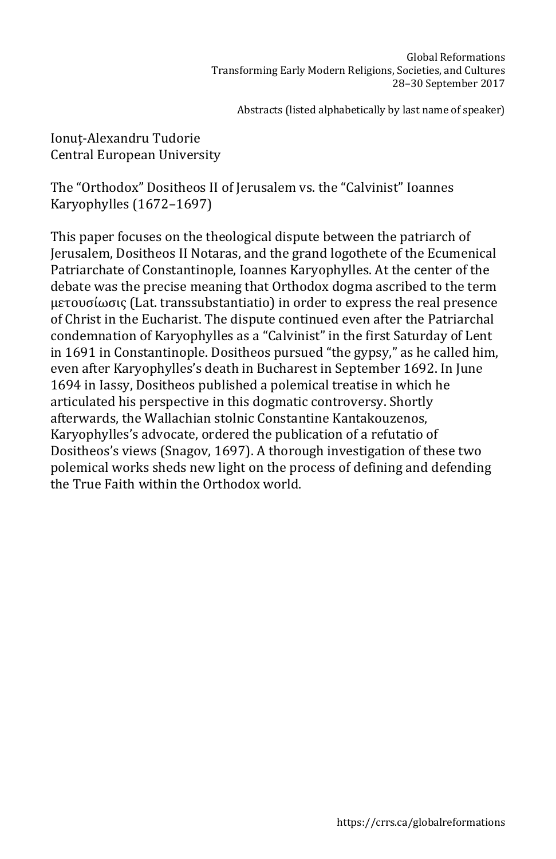Ionuț-Alexandru Tudorie Central European University

The "Orthodox" Dositheos II of Jerusalem vs. the "Calvinist" Ioannes Karyophylles (1672–1697)

This paper focuses on the theological dispute between the patriarch of Jerusalem, Dositheos II Notaras, and the grand logothete of the Ecumenical Patriarchate of Constantinople, Ioannes Karyophylles. At the center of the debate was the precise meaning that Orthodox dogma ascribed to the term μετουσίωσις (Lat. transsubstantiatio) in order to express the real presence of Christ in the Eucharist. The dispute continued even after the Patriarchal condemnation of Karyophylles as a "Calvinist" in the first Saturday of Lent in 1691 in Constantinople. Dositheos pursued "the gypsy," as he called him, even after Karyophylles's death in Bucharest in September 1692. In June 1694 in Iassy, Dositheos published a polemical treatise in which he articulated his perspective in this dogmatic controversy. Shortly afterwards, the Wallachian stolnic Constantine Kantakouzenos, Karyophylles's advocate, ordered the publication of a refutatio of Dositheos's views (Snagov, 1697). A thorough investigation of these two polemical works sheds new light on the process of defining and defending the True Faith within the Orthodox world.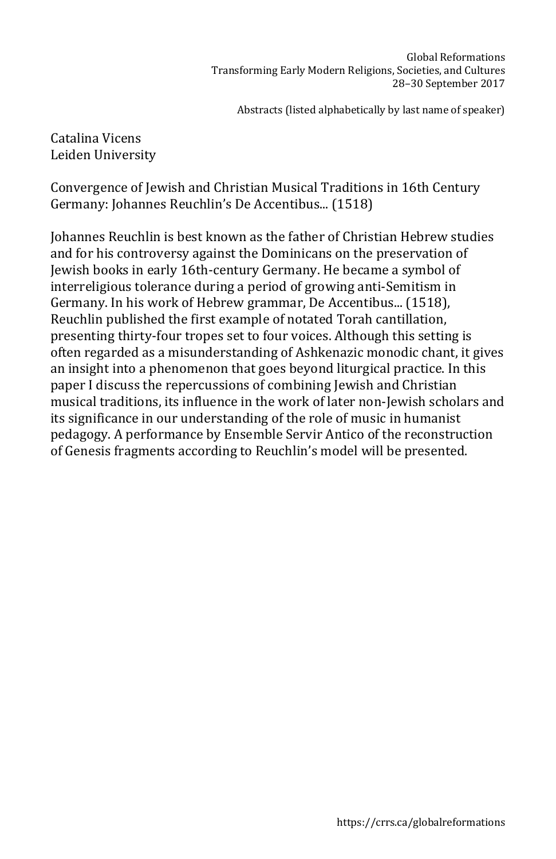## Catalina Vicens Leiden University

Convergence of Jewish and Christian Musical Traditions in 16th Century Germany: Johannes Reuchlin's De Accentibus... (1518)

Johannes Reuchlin is best known as the father of Christian Hebrew studies and for his controversy against the Dominicans on the preservation of Jewish books in early 16th-century Germany. He became a symbol of interreligious tolerance during a period of growing anti-Semitism in Germany. In his work of Hebrew grammar, De Accentibus... (1518), Reuchlin published the first example of notated Torah cantillation, presenting thirty-four tropes set to four voices. Although this setting is often regarded as a misunderstanding of Ashkenazic monodic chant, it gives an insight into a phenomenon that goes beyond liturgical practice. In this paper I discuss the repercussions of combining Jewish and Christian musical traditions, its influence in the work of later non-Jewish scholars and its significance in our understanding of the role of music in humanist pedagogy. A performance by Ensemble Servir Antico of the reconstruction of Genesis fragments according to Reuchlin's model will be presented.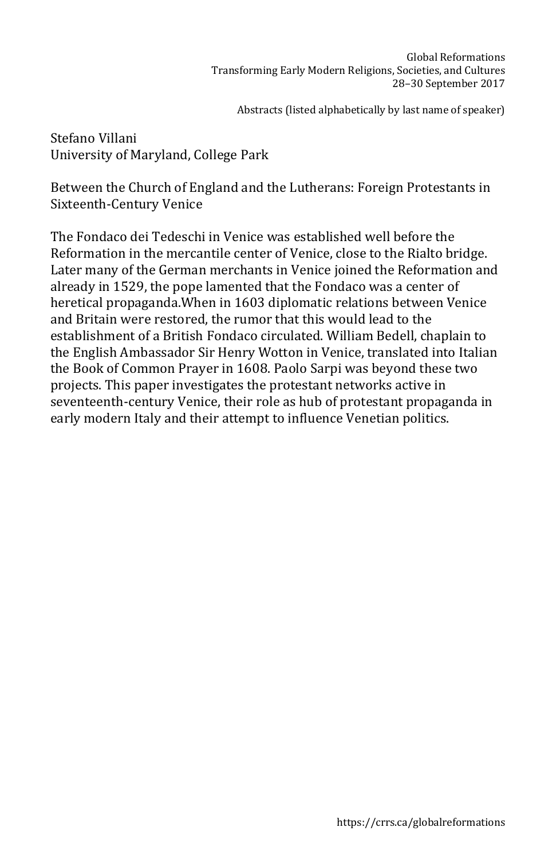Stefano Villani University of Maryland, College Park

Between the Church of England and the Lutherans: Foreign Protestants in Sixteenth-Century Venice

The Fondaco dei Tedeschi in Venice was established well before the Reformation in the mercantile center of Venice, close to the Rialto bridge. Later many of the German merchants in Venice joined the Reformation and already in 1529, the pope lamented that the Fondaco was a center of heretical propaganda.When in 1603 diplomatic relations between Venice and Britain were restored, the rumor that this would lead to the establishment of a British Fondaco circulated. William Bedell, chaplain to the English Ambassador Sir Henry Wotton in Venice, translated into Italian the Book of Common Prayer in 1608. Paolo Sarpi was beyond these two projects. This paper investigates the protestant networks active in seventeenth-century Venice, their role as hub of protestant propaganda in early modern Italy and their attempt to influence Venetian politics.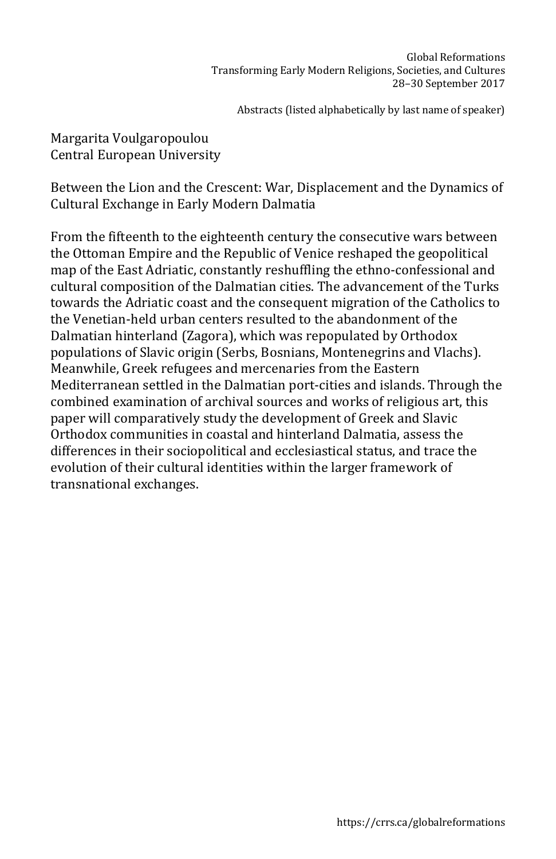Margarita Voulgaropoulou Central European University

Between the Lion and the Crescent: War, Displacement and the Dynamics of Cultural Exchange in Early Modern Dalmatia

From the fifteenth to the eighteenth century the consecutive wars between the Ottoman Empire and the Republic of Venice reshaped the geopolitical map of the East Adriatic, constantly reshuffling the ethno-confessional and cultural composition of the Dalmatian cities. The advancement of the Turks towards the Adriatic coast and the consequent migration of the Catholics to the Venetian-held urban centers resulted to the abandonment of the Dalmatian hinterland (Zagora), which was repopulated by Orthodox populations of Slavic origin (Serbs, Bosnians, Montenegrins and Vlachs). Meanwhile, Greek refugees and mercenaries from the Eastern Mediterranean settled in the Dalmatian port-cities and islands. Through the combined examination of archival sources and works of religious art, this paper will comparatively study the development of Greek and Slavic Orthodox communities in coastal and hinterland Dalmatia, assess the differences in their sociopolitical and ecclesiastical status, and trace the evolution of their cultural identities within the larger framework of transnational exchanges.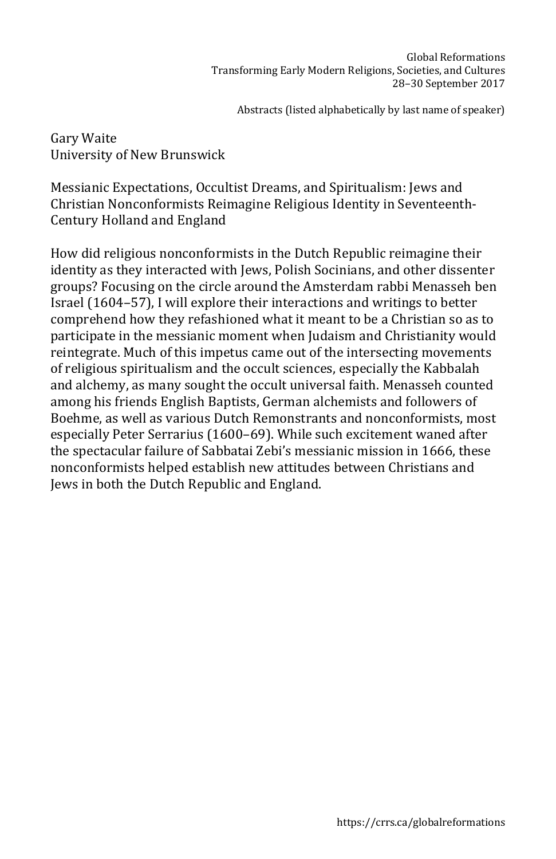Gary Waite University of New Brunswick

Messianic Expectations, Occultist Dreams, and Spiritualism: Jews and Christian Nonconformists Reimagine Religious Identity in Seventeenth-Century Holland and England

How did religious nonconformists in the Dutch Republic reimagine their identity as they interacted with Jews, Polish Socinians, and other dissenter groups? Focusing on the circle around the Amsterdam rabbi Menasseh ben Israel (1604–57), I will explore their interactions and writings to better comprehend how they refashioned what it meant to be a Christian so as to participate in the messianic moment when Judaism and Christianity would reintegrate. Much of this impetus came out of the intersecting movements of religious spiritualism and the occult sciences, especially the Kabbalah and alchemy, as many sought the occult universal faith. Menasseh counted among his friends English Baptists, German alchemists and followers of Boehme, as well as various Dutch Remonstrants and nonconformists, most especially Peter Serrarius (1600–69). While such excitement waned after the spectacular failure of Sabbatai Zebi's messianic mission in 1666, these nonconformists helped establish new attitudes between Christians and Jews in both the Dutch Republic and England.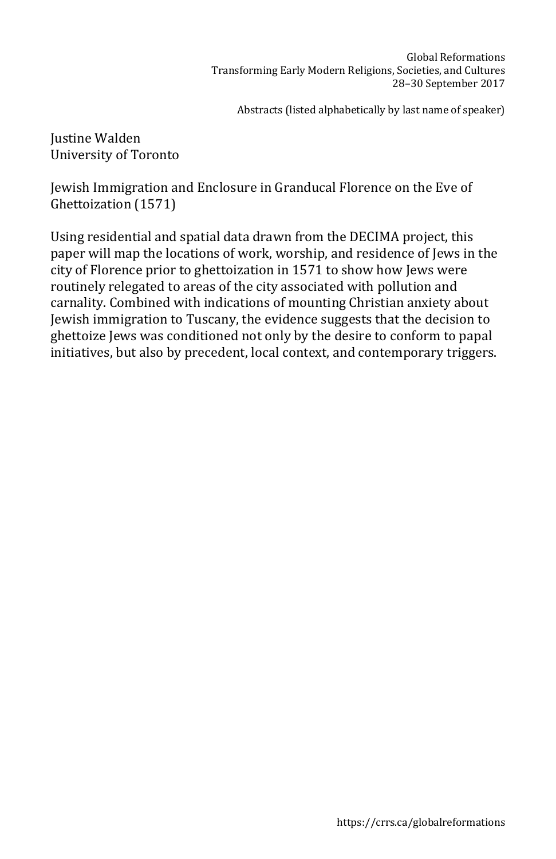Justine Walden University of Toronto

Jewish Immigration and Enclosure in Granducal Florence on the Eve of Ghettoization (1571)

Using residential and spatial data drawn from the DECIMA project, this paper will map the locations of work, worship, and residence of Jews in the city of Florence prior to ghettoization in 1571 to show how Jews were routinely relegated to areas of the city associated with pollution and carnality. Combined with indications of mounting Christian anxiety about Jewish immigration to Tuscany, the evidence suggests that the decision to ghettoize Jews was conditioned not only by the desire to conform to papal initiatives, but also by precedent, local context, and contemporary triggers.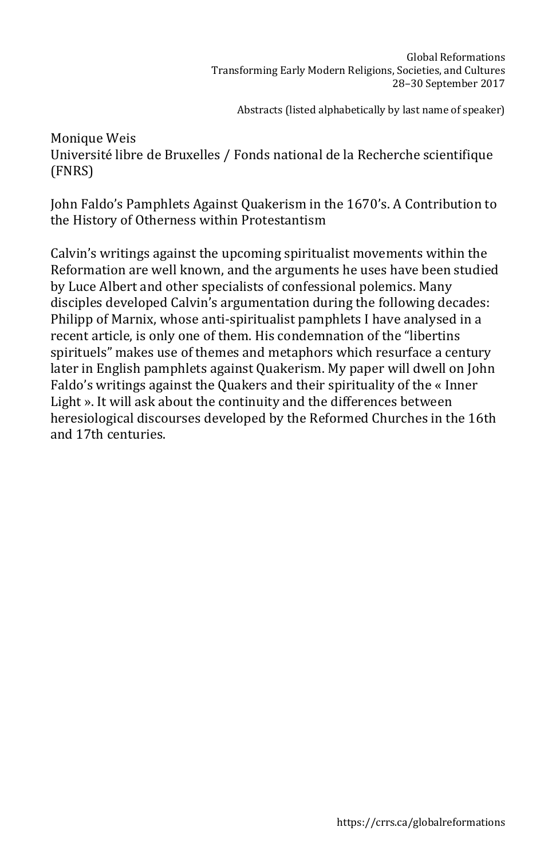Monique Weis Université libre de Bruxelles / Fonds national de la Recherche scientifique (FNRS)

John Faldo's Pamphlets Against Quakerism in the 1670's. A Contribution to the History of Otherness within Protestantism

Calvin's writings against the upcoming spiritualist movements within the Reformation are well known, and the arguments he uses have been studied by Luce Albert and other specialists of confessional polemics. Many disciples developed Calvin's argumentation during the following decades: Philipp of Marnix, whose anti-spiritualist pamphlets I have analysed in a recent article, is only one of them. His condemnation of the "libertins spirituels" makes use of themes and metaphors which resurface a century later in English pamphlets against Quakerism. My paper will dwell on John Faldo's writings against the Quakers and their spirituality of the « Inner Light ». It will ask about the continuity and the differences between heresiological discourses developed by the Reformed Churches in the 16th and 17th centuries.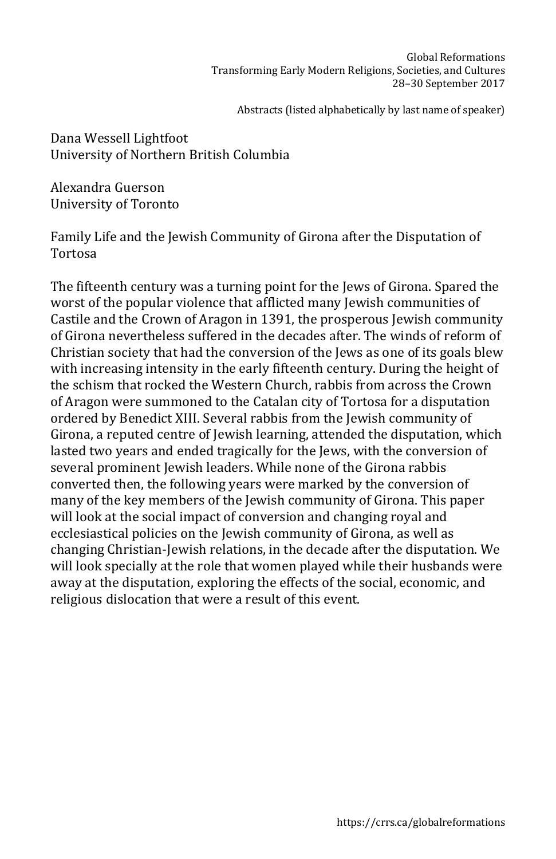Dana Wessell Lightfoot University of Northern British Columbia

Alexandra Guerson University of Toronto

Family Life and the Jewish Community of Girona after the Disputation of Tortosa

The fifteenth century was a turning point for the Jews of Girona. Spared the worst of the popular violence that afflicted many Jewish communities of Castile and the Crown of Aragon in 1391, the prosperous Jewish community of Girona nevertheless suffered in the decades after. The winds of reform of Christian society that had the conversion of the Jews as one of its goals blew with increasing intensity in the early fifteenth century. During the height of the schism that rocked the Western Church, rabbis from across the Crown of Aragon were summoned to the Catalan city of Tortosa for a disputation ordered by Benedict XIII. Several rabbis from the Jewish community of Girona, a reputed centre of Jewish learning, attended the disputation, which lasted two years and ended tragically for the Jews, with the conversion of several prominent Jewish leaders. While none of the Girona rabbis converted then, the following years were marked by the conversion of many of the key members of the Jewish community of Girona. This paper will look at the social impact of conversion and changing royal and ecclesiastical policies on the Jewish community of Girona, as well as changing Christian-Jewish relations, in the decade after the disputation. We will look specially at the role that women played while their husbands were away at the disputation, exploring the effects of the social, economic, and religious dislocation that were a result of this event.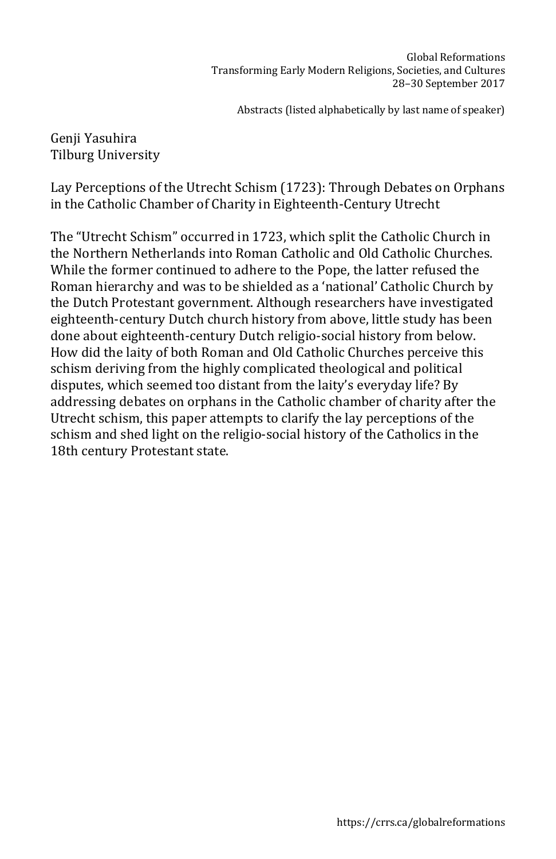## Genji Yasuhira Tilburg University

Lay Perceptions of the Utrecht Schism (1723): Through Debates on Orphans in the Catholic Chamber of Charity in Eighteenth-Century Utrecht

The "Utrecht Schism" occurred in 1723, which split the Catholic Church in the Northern Netherlands into Roman Catholic and Old Catholic Churches. While the former continued to adhere to the Pope, the latter refused the Roman hierarchy and was to be shielded as a 'national' Catholic Church by the Dutch Protestant government. Although researchers have investigated eighteenth-century Dutch church history from above, little study has been done about eighteenth-century Dutch religio-social history from below. How did the laity of both Roman and Old Catholic Churches perceive this schism deriving from the highly complicated theological and political disputes, which seemed too distant from the laity's everyday life? By addressing debates on orphans in the Catholic chamber of charity after the Utrecht schism, this paper attempts to clarify the lay perceptions of the schism and shed light on the religio-social history of the Catholics in the 18th century Protestant state.